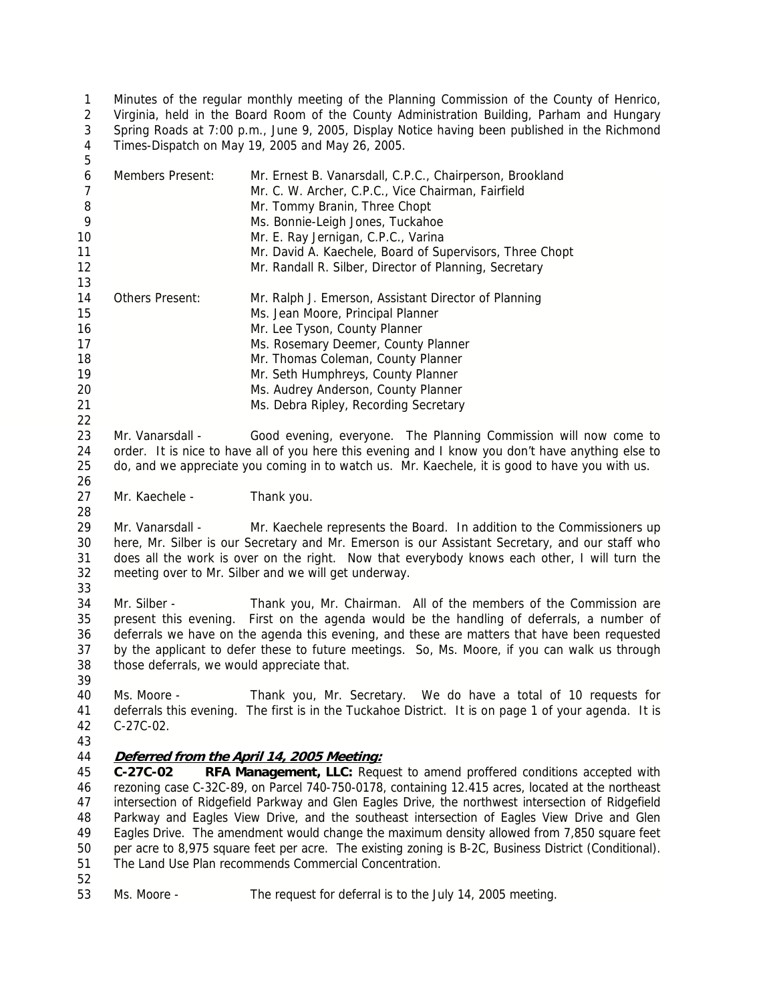Minutes of the regular monthly meeting of the Planning Commission of the County of Henrico, Virginia, held in the Board Room of the County Administration Building, Parham and Hungary Spring Roads at 7:00 p.m., June 9, 2005, Display Notice having been published in the Richmond Times-Dispatch on May 19, 2005 and May 26, 2005. 1 2 3 4 5

| 6<br>$\overline{7}$<br>8<br>9<br>10<br>11<br>12    | <b>Members Present:</b>                                                                                                                                                                                                                                                                                                                               | Mr. Ernest B. Vanarsdall, C.P.C., Chairperson, Brookland<br>Mr. C. W. Archer, C.P.C., Vice Chairman, Fairfield<br>Mr. Tommy Branin, Three Chopt<br>Ms. Bonnie-Leigh Jones, Tuckahoe<br>Mr. E. Ray Jernigan, C.P.C., Varina<br>Mr. David A. Kaechele, Board of Supervisors, Three Chopt<br>Mr. Randall R. Silber, Director of Planning, Secretary                                                                                                                                                                               |  |
|----------------------------------------------------|-------------------------------------------------------------------------------------------------------------------------------------------------------------------------------------------------------------------------------------------------------------------------------------------------------------------------------------------------------|--------------------------------------------------------------------------------------------------------------------------------------------------------------------------------------------------------------------------------------------------------------------------------------------------------------------------------------------------------------------------------------------------------------------------------------------------------------------------------------------------------------------------------|--|
| 13<br>14<br>15<br>16<br>17<br>18<br>19<br>20<br>21 | Others Present:                                                                                                                                                                                                                                                                                                                                       | Mr. Ralph J. Emerson, Assistant Director of Planning<br>Ms. Jean Moore, Principal Planner<br>Mr. Lee Tyson, County Planner<br>Ms. Rosemary Deemer, County Planner<br>Mr. Thomas Coleman, County Planner<br>Mr. Seth Humphreys, County Planner<br>Ms. Audrey Anderson, County Planner<br>Ms. Debra Ripley, Recording Secretary                                                                                                                                                                                                  |  |
| 22<br>23<br>24<br>25<br>26                         | Mr. Vanarsdall -<br>Good evening, everyone. The Planning Commission will now come to<br>order. It is nice to have all of you here this evening and I know you don't have anything else to<br>do, and we appreciate you coming in to watch us. Mr. Kaechele, it is good to have you with us.                                                           |                                                                                                                                                                                                                                                                                                                                                                                                                                                                                                                                |  |
| 27<br>28                                           | Mr. Kaechele -                                                                                                                                                                                                                                                                                                                                        | Thank you.                                                                                                                                                                                                                                                                                                                                                                                                                                                                                                                     |  |
| 29<br>30<br>31<br>32<br>33                         | Mr. Vanarsdall -<br>Mr. Kaechele represents the Board. In addition to the Commissioners up<br>here, Mr. Silber is our Secretary and Mr. Emerson is our Assistant Secretary, and our staff who<br>does all the work is over on the right. Now that everybody knows each other, I will turn the<br>meeting over to Mr. Silber and we will get underway. |                                                                                                                                                                                                                                                                                                                                                                                                                                                                                                                                |  |
| 34<br>35<br>36<br>37<br>38<br>39                   | Mr. Silber -<br>those deferrals, we would appreciate that.                                                                                                                                                                                                                                                                                            | Thank you, Mr. Chairman. All of the members of the Commission are<br>present this evening. First on the agenda would be the handling of deferrals, a number of<br>deferrals we have on the agenda this evening, and these are matters that have been requested<br>by the applicant to defer these to future meetings. So, Ms. Moore, if you can walk us through                                                                                                                                                                |  |
| 40<br>41<br>42                                     | Ms. Moore -<br>$C-27C-02$ .                                                                                                                                                                                                                                                                                                                           | Thank you, Mr. Secretary. We do have a total of 10 requests for<br>deferrals this evening. The first is in the Tuckahoe District. It is on page 1 of your agenda. It is                                                                                                                                                                                                                                                                                                                                                        |  |
| 43<br>44<br>45<br>46<br>47<br>48<br>49             | $C-27C-02$                                                                                                                                                                                                                                                                                                                                            | Deferred from the April 14, 2005 Meeting:<br>RFA Management, LLC: Request to amend proffered conditions accepted with<br>rezoning case C-32C-89, on Parcel 740-750-0178, containing 12.415 acres, located at the northeast<br>intersection of Ridgefield Parkway and Glen Eagles Drive, the northwest intersection of Ridgefield<br>Parkway and Eagles View Drive, and the southeast intersection of Eagles View Drive and Glen<br>Eagles Drive. The amendment would change the maximum density allowed from 7,850 square feet |  |

50 per acre to 8,975 square feet per acre. The existing zoning is B-2C, Business District (Conditional). 51 The Land Use Plan recommends Commercial Concentration. 52

53 Ms. Moore - The request for deferral is to the July 14, 2005 meeting.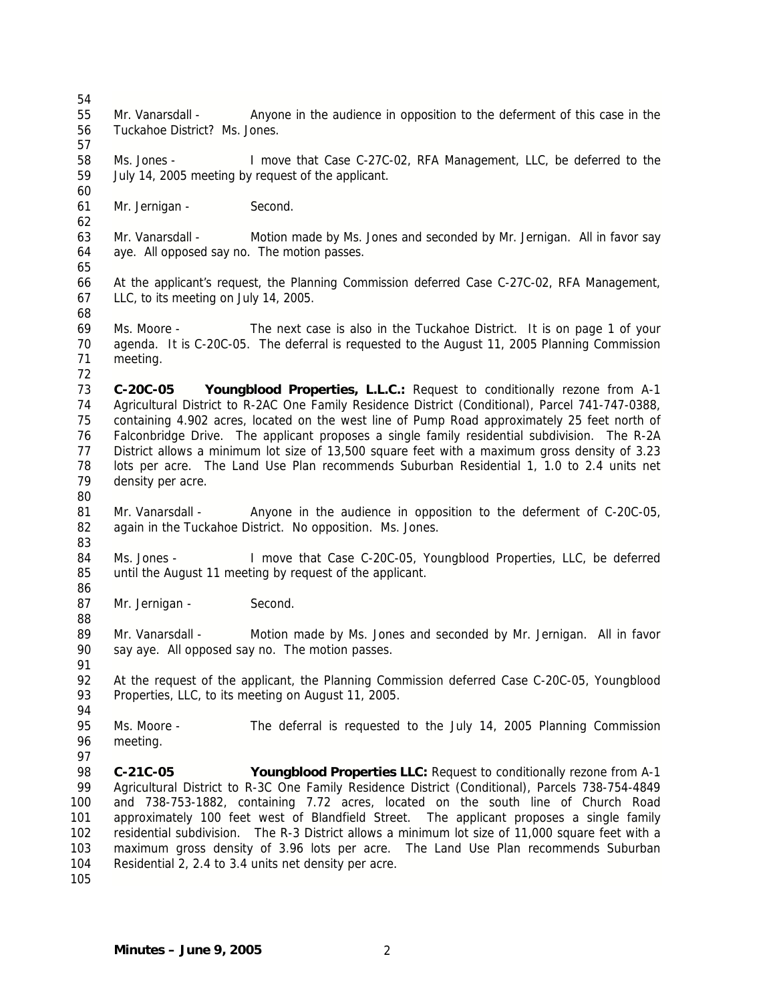57

60

62

65

55 Mr. Vanarsdall - Anyone in the audience in opposition to the deferment of this case in the 56 Tuckahoe District? Ms. Jones.

58 Ms. Jones - I move that Case C-27C-02, RFA Management, LLC, be deferred to the 59 July 14, 2005 meeting by request of the applicant.

61 Mr. Jernigan - Second.

63 Mr. Vanarsdall - Motion made by Ms. Jones and seconded by Mr. Jernigan. All in favor say 64 aye. All opposed say no. The motion passes.

66 At the applicant's request, the Planning Commission deferred Case C-27C-02, RFA Management, 67 LLC, to its meeting on July 14, 2005.

68

80

86

88

91

94

97

69 Ms. Moore - The next case is also in the Tuckahoe District. It is on page 1 of your 70 agenda. It is C-20C-05. The deferral is requested to the August 11, 2005 Planning Commission 71 meeting. 72

73 **C-20C-05 Youngblood Properties, L.L.C.:** Request to conditionally rezone from A-1 74 Agricultural District to R-2AC One Family Residence District (Conditional), Parcel 741-747-0388, 75 containing 4.902 acres, located on the west line of Pump Road approximately 25 feet north of 76 Falconbridge Drive. The applicant proposes a single family residential subdivision. The R-2A 77 District allows a minimum lot size of 13,500 square feet with a maximum gross density of 3.23 78 lots per acre. The Land Use Plan recommends Suburban Residential 1, 1.0 to 2.4 units net 79 density per acre.

- 81 Mr. Vanarsdall Anyone in the audience in opposition to the deferment of C-20C-05, 82 again in the Tuckahoe District. No opposition. Ms. Jones. 83
- 84 Ms. Jones I move that Case C-20C-05, Youngblood Properties, LLC, be deferred 85 until the August 11 meeting by request of the applicant.
- 87 Mr. Jernigan Second.

89 Mr. Vanarsdall - Motion made by Ms. Jones and seconded by Mr. Jernigan. All in favor 90 say aye. All opposed say no. The motion passes.

92 At the request of the applicant, the Planning Commission deferred Case C-20C-05, Youngblood 93 Properties, LLC, to its meeting on August 11, 2005.

95 Ms. Moore - The deferral is requested to the July 14, 2005 Planning Commission 96 meeting.

98 **C-21C-05 Youngblood Properties LLC:** Request to conditionally rezone from A-1 99 Agricultural District to R-3C One Family Residence District (Conditional), Parcels 738-754-4849 100 and 738-753-1882, containing 7.72 acres, located on the south line of Church Road 101 approximately 100 feet west of Blandfield Street. The applicant proposes a single family 102 residential subdivision. The R-3 District allows a minimum lot size of 11,000 square feet with a 103 maximum gross density of 3.96 lots per acre. The Land Use Plan recommends Suburban 104 Residential 2, 2.4 to 3.4 units net density per acre.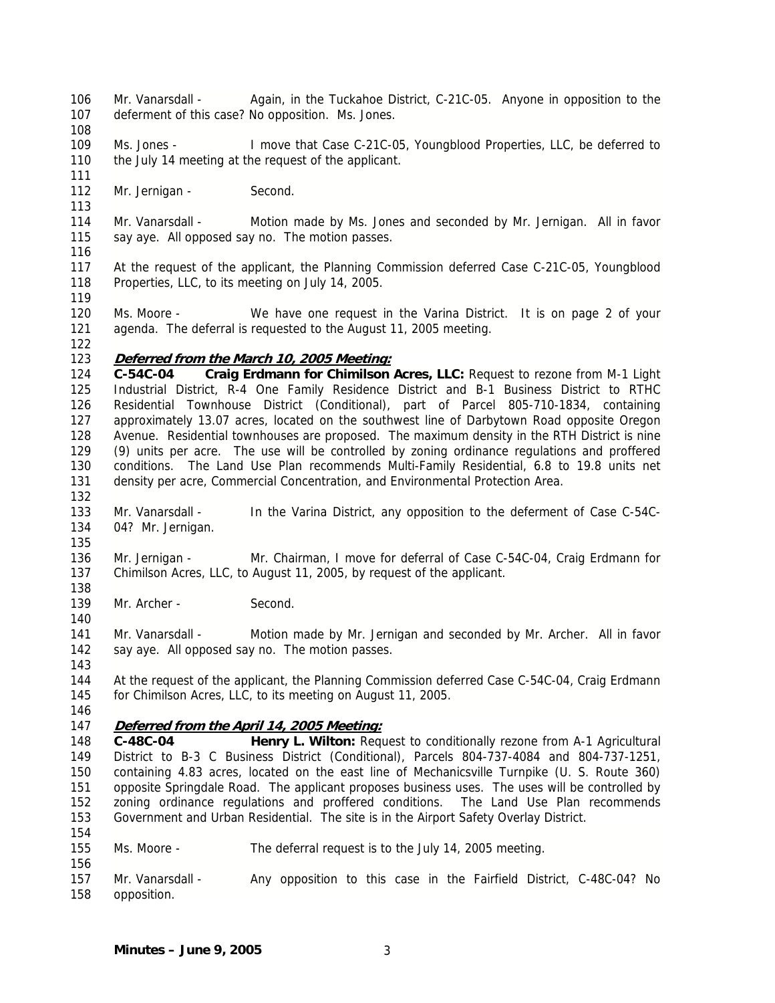- 106 Mr. Vanarsdall Again, in the Tuckahoe District, C-21C-05. Anyone in opposition to the 107 deferment of this case? No opposition. Ms. Jones.
- 108

113

109 Ms. Jones - I move that Case C-21C-05, Youngblood Properties, LLC, be deferred to 110 the July 14 meeting at the request of the applicant.

- 112 Mr. Jernigan Second.
- 114 Mr. Vanarsdall Motion made by Ms. Jones and seconded by Mr. Jernigan. All in favor 115 say aye. All opposed say no. The motion passes.
- 116

117 At the request of the applicant, the Planning Commission deferred Case C-21C-05, Youngblood 118 Properties, LLC, to its meeting on July 14, 2005.

119

122

132

135

138

140

143

120 Ms. Moore - We have one request in the Varina District. It is on page 2 of your 121 agenda. The deferral is requested to the August 11, 2005 meeting.

## 123 **Deferred from the March 10, 2005 Meeting:**

124 **C-54C-04 Craig Erdmann for Chimilson Acres, LLC:** Request to rezone from M-1 Light 125 Industrial District, R-4 One Family Residence District and B-1 Business District to RTHC 126 Residential Townhouse District (Conditional), part of Parcel 805-710-1834, containing 127 approximately 13.07 acres, located on the southwest line of Darbytown Road opposite Oregon 128 Avenue. Residential townhouses are proposed. The maximum density in the RTH District is nine 129 (9) units per acre. The use will be controlled by zoning ordinance regulations and proffered 130 conditions. The Land Use Plan recommends Multi-Family Residential, 6.8 to 19.8 units net 131 density per acre, Commercial Concentration, and Environmental Protection Area.

- 133 Mr. Vanarsdall In the Varina District, any opposition to the deferment of Case C-54C-134 04? Mr. Jernigan.
- 136 Mr. Jernigan Mr. Chairman, I move for deferral of Case C-54C-04, Craig Erdmann for 137 Chimilson Acres, LLC, to August 11, 2005, by request of the applicant.
- 139 Mr. Archer Second.
- 141 Mr. Vanarsdall Motion made by Mr. Jernigan and seconded by Mr. Archer. All in favor 142 say aye. All opposed say no. The motion passes.

144 At the request of the applicant, the Planning Commission deferred Case C-54C-04, Craig Erdmann 145 for Chimilson Acres, LLC, to its meeting on August 11, 2005.

146

154

156

# 147 **Deferred from the April 14, 2005 Meeting:**

148 149 150 151 152 153 **C-48C-04 Henry L. Wilton:** Request to conditionally rezone from A-1 Agricultural District to B-3 C Business District (Conditional), Parcels 804-737-4084 and 804-737-1251, containing 4.83 acres, located on the east line of Mechanicsville Turnpike (U. S. Route 360) opposite Springdale Road. The applicant proposes business uses. The uses will be controlled by zoning ordinance regulations and proffered conditions. The Land Use Plan recommends Government and Urban Residential. The site is in the Airport Safety Overlay District.

- 155 Ms. Moore The deferral request is to the July 14, 2005 meeting.
- 157 Mr. Vanarsdall Any opposition to this case in the Fairfield District, C-48C-04? No 158 opposition.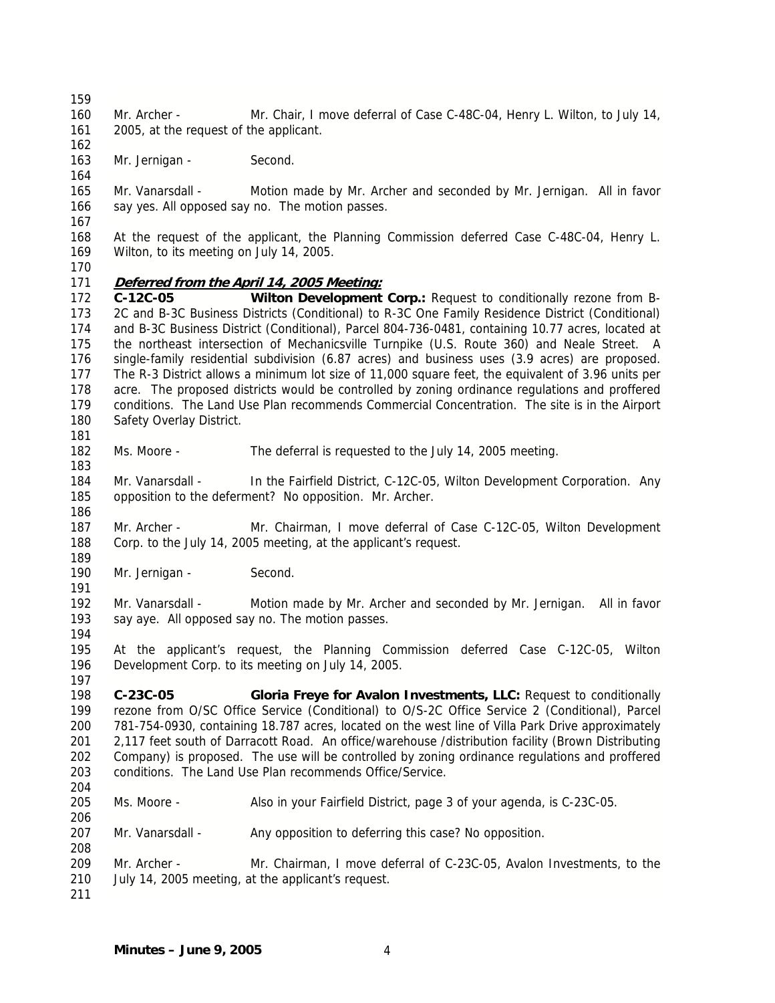162

164

167

160 Mr. Archer - Mr. Chair, I move deferral of Case C-48C-04, Henry L. Wilton, to July 14, 161 2005, at the request of the applicant.

163 Mr. Jernigan - Second.

165 Mr. Vanarsdall - Motion made by Mr. Archer and seconded by Mr. Jernigan. All in favor 166 say yes. All opposed say no. The motion passes.

168 At the request of the applicant, the Planning Commission deferred Case C-48C-04, Henry L. 169 Wilton, to its meeting on July 14, 2005.

170

189

191

197

#### 171 **Deferred from the April 14, 2005 Meeting:**

172 **C-12C-05 Wilton Development Corp.:** Request to conditionally rezone from B-173 2C and B-3C Business Districts (Conditional) to R-3C One Family Residence District (Conditional) 174 and B-3C Business District (Conditional), Parcel 804-736-0481, containing 10.77 acres, located at 175 the northeast intersection of Mechanicsville Turnpike (U.S. Route 360) and Neale Street. A 176 single-family residential subdivision (6.87 acres) and business uses (3.9 acres) are proposed. 177 The R-3 District allows a minimum lot size of 11,000 square feet, the equivalent of 3.96 units per 178 acre. The proposed districts would be controlled by zoning ordinance regulations and proffered 179 conditions. The Land Use Plan recommends Commercial Concentration. The site is in the Airport 180 Safety Overlay District. 181

- 182 Ms. Moore The deferral is requested to the July 14, 2005 meeting. 183
- 184 Mr. Vanarsdall In the Fairfield District, C-12C-05, Wilton Development Corporation. Any 185 opposition to the deferment? No opposition. Mr. Archer. 186
- 187 Mr. Archer Mr. Chairman, I move deferral of Case C-12C-05, Wilton Development 188 Corp. to the July 14, 2005 meeting, at the applicant's request.
- 190 Mr. Jernigan Second.
- 192 Mr. Vanarsdall Motion made by Mr. Archer and seconded by Mr. Jernigan. All in favor 193 say aye. All opposed say no. The motion passes.
- 194 195 At the applicant's request, the Planning Commission deferred Case C-12C-05, Wilton 196 Development Corp. to its meeting on July 14, 2005.
- 198 **C-23C-05 Gloria Freye for Avalon Investments, LLC:** Request to conditionally 199 rezone from O/SC Office Service (Conditional) to O/S-2C Office Service 2 (Conditional), Parcel 200 781-754-0930, containing 18.787 acres, located on the west line of Villa Park Drive approximately 201 2,117 feet south of Darracott Road. An office/warehouse /distribution facility (Brown Distributing 202 Company) is proposed. The use will be controlled by zoning ordinance regulations and proffered 203 conditions. The Land Use Plan recommends Office/Service. 204
- 205 Ms. Moore Also in your Fairfield District, page 3 of your agenda, is C-23C-05.
- 207 Mr. Vanarsdall Any opposition to deferring this case? No opposition.
- 209 Mr. Archer Mr. Chairman, I move deferral of C-23C-05, Avalon Investments, to the 210 July 14, 2005 meeting, at the applicant's request.
- 211

206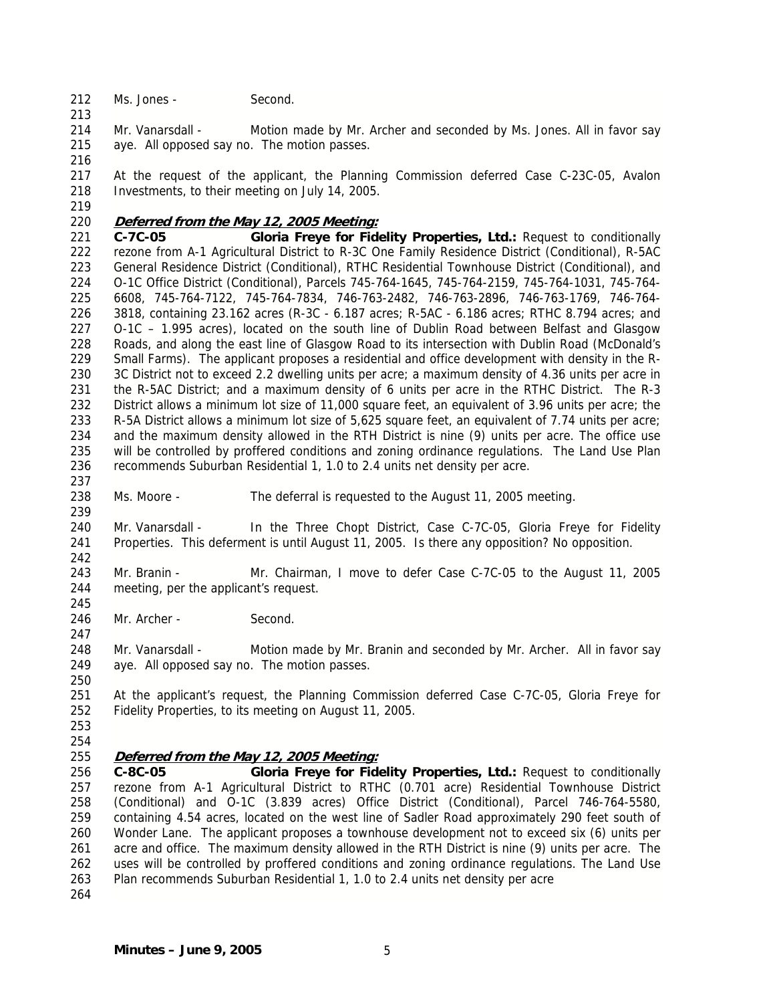212 Ms. Jones - Second.

214 Mr. Vanarsdall - Motion made by Mr. Archer and seconded by Ms. Jones. All in favor say 215 aye. All opposed say no. The motion passes.

216

213

217 At the request of the applicant, the Planning Commission deferred Case C-23C-05, Avalon 218 Investments, to their meeting on July 14, 2005.

219

## 220 **Deferred from the May 12, 2005 Meeting:**

221 **C-7C-05 Gloria Freye for Fidelity Properties, Ltd.:** Request to conditionally 222 rezone from A-1 Agricultural District to R-3C One Family Residence District (Conditional), R-5AC 223 General Residence District (Conditional), RTHC Residential Townhouse District (Conditional), and 224 O-1C Office District (Conditional), Parcels 745-764-1645, 745-764-2159, 745-764-1031, 745-764- 225 6608, 745-764-7122, 745-764-7834, 746-763-2482, 746-763-2896, 746-763-1769, 746-764- 226 3818, containing 23.162 acres (R-3C - 6.187 acres; R-5AC - 6.186 acres; RTHC 8.794 acres; and 227 O-1C – 1.995 acres), located on the south line of Dublin Road between Belfast and Glasgow 228 Roads, and along the east line of Glasgow Road to its intersection with Dublin Road (McDonald's 229 Small Farms). The applicant proposes a residential and office development with density in the R-230 3C District not to exceed 2.2 dwelling units per acre; a maximum density of 4.36 units per acre in 231 the R-5AC District; and a maximum density of 6 units per acre in the RTHC District. The R-3 232 District allows a minimum lot size of 11,000 square feet, an equivalent of 3.96 units per acre; the 233 R-5A District allows a minimum lot size of 5,625 square feet, an equivalent of 7.74 units per acre; 234 and the maximum density allowed in the RTH District is nine (9) units per acre. The office use 235 will be controlled by proffered conditions and zoning ordinance regulations. The Land Use Plan 236 recommends Suburban Residential 1, 1.0 to 2.4 units net density per acre.

238 Ms. Moore - The deferral is requested to the August 11, 2005 meeting.

240 Mr. Vanarsdall - In the Three Chopt District, Case C-7C-05, Gloria Freye for Fidelity 241 Properties. This deferment is until August 11, 2005. Is there any opposition? No opposition.

243 Mr. Branin - Mr. Chairman, I move to defer Case C-7C-05 to the August 11, 2005 244 meeting, per the applicant's request.

246 Mr. Archer - Second.

248 Mr. Vanarsdall - Motion made by Mr. Branin and seconded by Mr. Archer. All in favor say 249 aye. All opposed say no. The motion passes.

251 At the applicant's request, the Planning Commission deferred Case C-7C-05, Gloria Freye for 252 Fidelity Properties, to its meeting on August 11, 2005.

253 254

237

239

242

245

247

250

#### 255 **Deferred from the May 12, 2005 Meeting:**

256 **C-8C-05 Gloria Freye for Fidelity Properties, Ltd.:** Request to conditionally 257 rezone from A-1 Agricultural District to RTHC (0.701 acre) Residential Townhouse District 258 (Conditional) and O-1C (3.839 acres) Office District (Conditional), Parcel 746-764-5580, 259 containing 4.54 acres, located on the west line of Sadler Road approximately 290 feet south of 260 Wonder Lane. The applicant proposes a townhouse development not to exceed six (6) units per 261 acre and office. The maximum density allowed in the RTH District is nine (9) units per acre. The 262 uses will be controlled by proffered conditions and zoning ordinance regulations. The Land Use 263 Plan recommends Suburban Residential 1, 1.0 to 2.4 units net density per acre 264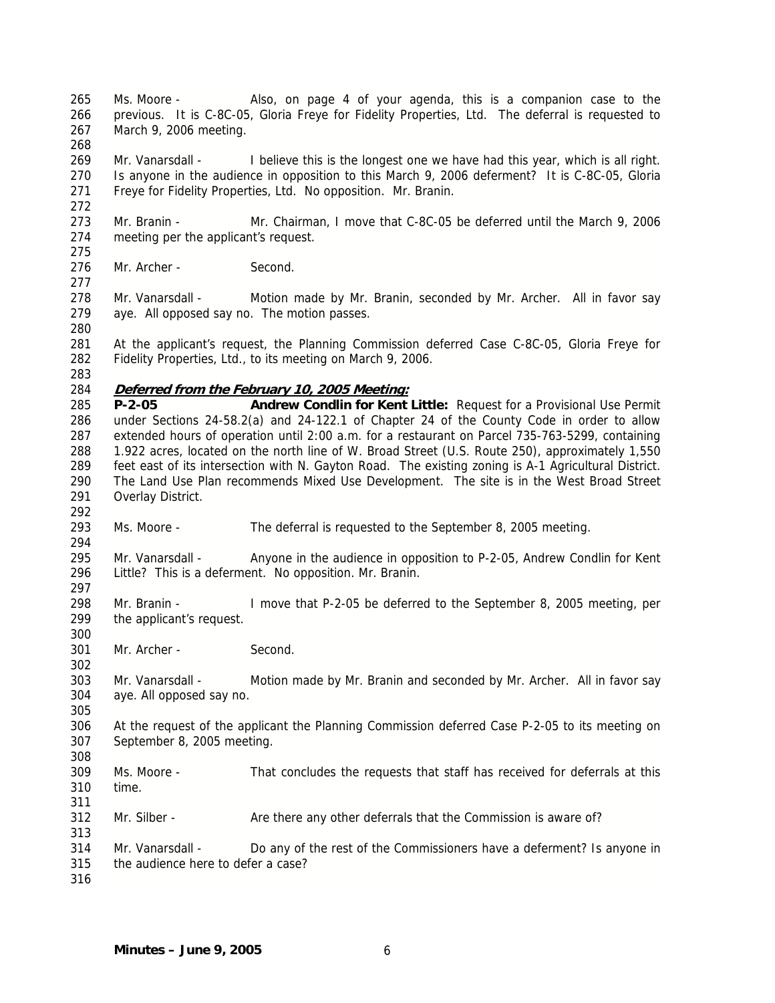265 Ms. Moore - Also, on page 4 of your agenda, this is a companion case to the 266 previous. It is C-8C-05, Gloria Freye for Fidelity Properties, Ltd. The deferral is requested to 267 March 9, 2006 meeting.

269 Mr. Vanarsdall - I believe this is the longest one we have had this year, which is all right. 270 Is anyone in the audience in opposition to this March 9, 2006 deferment? It is C-8C-05, Gloria 271 Freye for Fidelity Properties, Ltd. No opposition. Mr. Branin.

273 Mr. Branin - Mr. Chairman, I move that C-8C-05 be deferred until the March 9, 2006 274 meeting per the applicant's request.

276 Mr. Archer - Second.

278 Mr. Vanarsdall - Motion made by Mr. Branin, seconded by Mr. Archer. All in favor say 279 aye. All opposed say no. The motion passes.

281 At the applicant's request, the Planning Commission deferred Case C-8C-05, Gloria Freye for 282 Fidelity Properties, Ltd., to its meeting on March 9, 2006.

283

292

294

297

300

302

305

308

311

313

268

272

275

277

280

### 284 **Deferred from the February 10, 2005 Meeting:**

285 **P-2-05 Andrew Condlin for Kent Little:** Request for a Provisional Use Permit 286 under Sections 24-58.2(a) and 24-122.1 of Chapter 24 of the County Code in order to allow 287 extended hours of operation until 2:00 a.m. for a restaurant on Parcel 735-763-5299, containing 288 1.922 acres, located on the north line of W. Broad Street (U.S. Route 250), approximately 1,550 289 feet east of its intersection with N. Gayton Road. The existing zoning is A-1 Agricultural District. 290 The Land Use Plan recommends Mixed Use Development. The site is in the West Broad Street 291 Overlay District.

293 Ms. Moore - The deferral is requested to the September 8, 2005 meeting.

295 Mr. Vanarsdall - Anyone in the audience in opposition to P-2-05, Andrew Condlin for Kent 296 Little? This is a deferment. No opposition. Mr. Branin.

298 Mr. Branin - I move that P-2-05 be deferred to the September 8, 2005 meeting, per 299 the applicant's request.

301 Mr. Archer - Second.

303 Mr. Vanarsdall - Motion made by Mr. Branin and seconded by Mr. Archer. All in favor say 304 aye. All opposed say no.

306 At the request of the applicant the Planning Commission deferred Case P-2-05 to its meeting on 307 September 8, 2005 meeting.

309 Ms. Moore - That concludes the requests that staff has received for deferrals at this 310 time.

312 Mr. Silber - Are there any other deferrals that the Commission is aware of?

314 Mr. Vanarsdall - Do any of the rest of the Commissioners have a deferment? Is anyone in 315 the audience here to defer a case?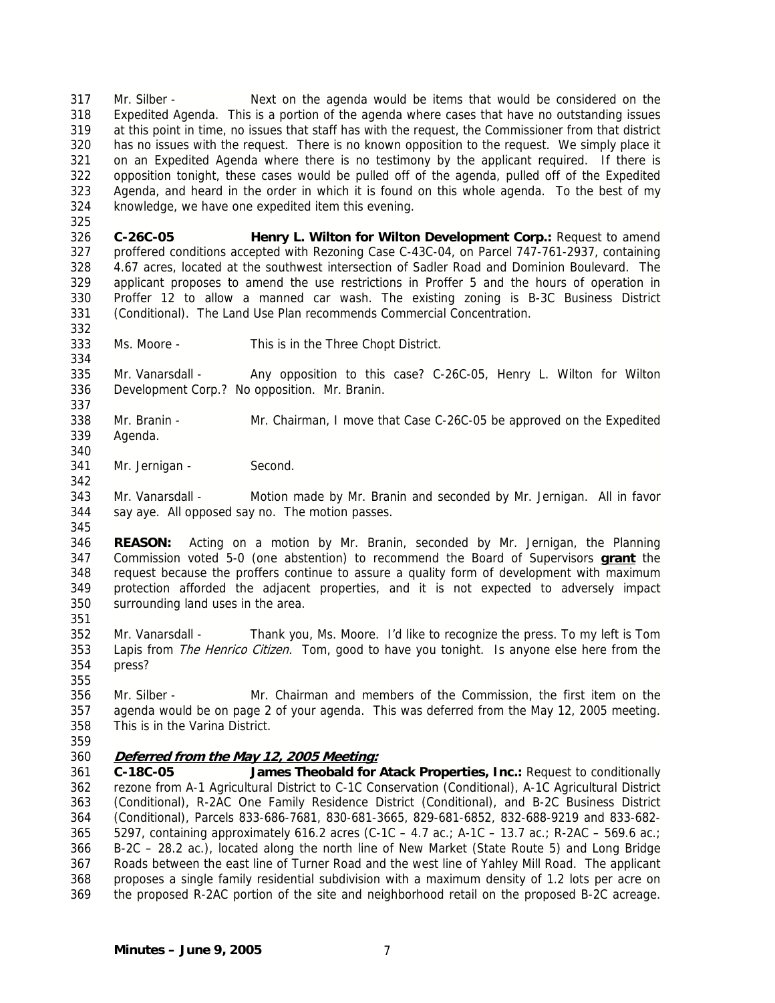317 Mr. Silber - Next on the agenda would be items that would be considered on the 318 Expedited Agenda. This is a portion of the agenda where cases that have no outstanding issues 319 at this point in time, no issues that staff has with the request, the Commissioner from that district 320 has no issues with the request. There is no known opposition to the request. We simply place it 321 on an Expedited Agenda where there is no testimony by the applicant required. If there is 322 opposition tonight, these cases would be pulled off of the agenda, pulled off of the Expedited 323 Agenda, and heard in the order in which it is found on this whole agenda. To the best of my 324 knowledge, we have one expedited item this evening.

326 **C-26C-05 Henry L. Wilton for Wilton Development Corp.:** Request to amend 327 proffered conditions accepted with Rezoning Case C-43C-04, on Parcel 747-761-2937, containing 328 4.67 acres, located at the southwest intersection of Sadler Road and Dominion Boulevard. The 329 applicant proposes to amend the use restrictions in Proffer 5 and the hours of operation in 330 Proffer 12 to allow a manned car wash. The existing zoning is B-3C Business District 331 (Conditional). The Land Use Plan recommends Commercial Concentration.

333 Ms. Moore - This is in the Three Chopt District.

335 Mr. Vanarsdall - Any opposition to this case? C-26C-05, Henry L. Wilton for Wilton 336 Development Corp.? No opposition. Mr. Branin.

- 338 Mr. Branin Mr. Chairman, I move that Case C-26C-05 be approved on the Expedited 339 Agenda.
- 341 Mr. Jernigan Second.

343 Mr. Vanarsdall - Motion made by Mr. Branin and seconded by Mr. Jernigan. All in favor 344 say aye. All opposed say no. The motion passes.

346 **REASON:** Acting on a motion by Mr. Branin, seconded by Mr. Jernigan, the Planning 347 Commission voted 5-0 (one abstention) to recommend the Board of Supervisors **grant** the 348 request because the proffers continue to assure a quality form of development with maximum 349 protection afforded the adjacent properties, and it is not expected to adversely impact 350 surrounding land uses in the area.

- 352 Mr. Vanarsdall Thank you, Ms. Moore. I'd like to recognize the press. To my left is Tom 353 Lapis from *The Henrico Citizen*. Tom, good to have you tonight. Is anyone else here from the 354 press?
- 356 Mr. Silber Mr. Chairman and members of the Commission, the first item on the 357 agenda would be on page 2 of your agenda. This was deferred from the May 12, 2005 meeting. 358 This is in the Varina District.
- 359

325

332

334

337

340

342

345

351

355

360 **Deferred from the May 12, 2005 Meeting:**

361 **C-18C-05 James Theobald for Atack Properties, Inc.:** Request to conditionally 362 rezone from A-1 Agricultural District to C-1C Conservation (Conditional), A-1C Agricultural District 363 (Conditional), R-2AC One Family Residence District (Conditional), and B-2C Business District 364 (Conditional), Parcels 833-686-7681, 830-681-3665, 829-681-6852, 832-688-9219 and 833-682- 365 5297, containing approximately 616.2 acres (C-1C – 4.7 ac.; A-1C – 13.7 ac.; R-2AC – 569.6 ac.; 366 B-2C – 28.2 ac.), located along the north line of New Market (State Route 5) and Long Bridge 367 Roads between the east line of Turner Road and the west line of Yahley Mill Road. The applicant 368 proposes a single family residential subdivision with a maximum density of 1.2 lots per acre on 369 the proposed R-2AC portion of the site and neighborhood retail on the proposed B-2C acreage.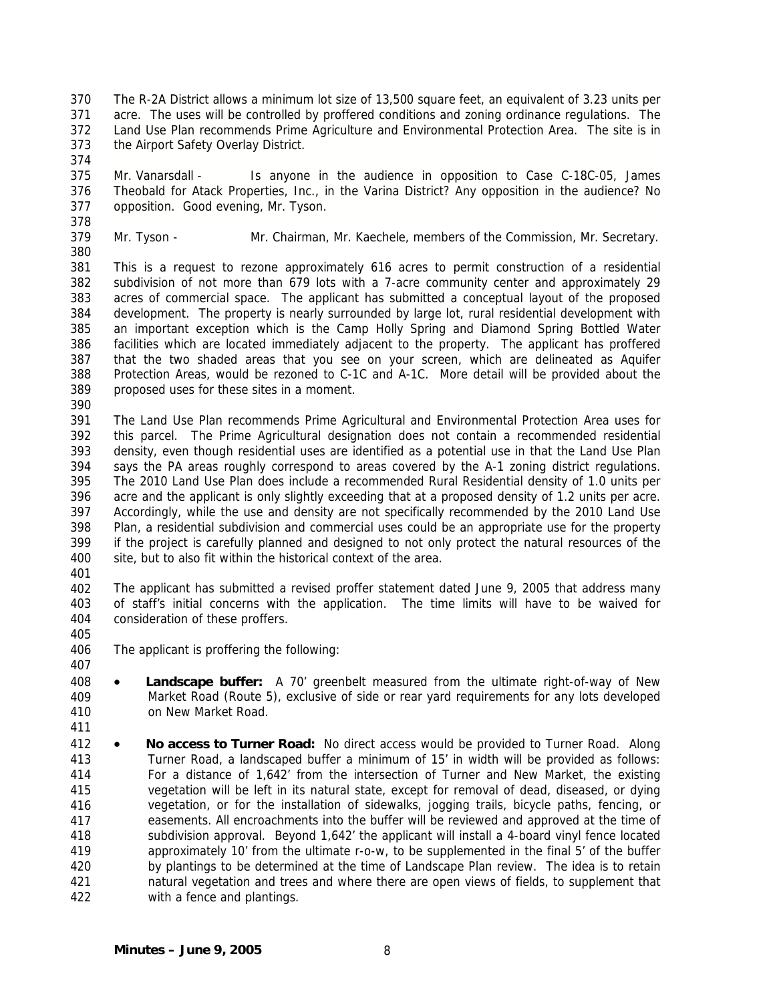- 370 The R-2A District allows a minimum lot size of 13,500 square feet, an equivalent of 3.23 units per 371 acre. The uses will be controlled by proffered conditions and zoning ordinance regulations. The 372 Land Use Plan recommends Prime Agriculture and Environmental Protection Area. The site is in 373 the Airport Safety Overlay District.
- 375 Mr. Vanarsdall Is anyone in the audience in opposition to Case C-18C-05, James 376 Theobald for Atack Properties, Inc., in the Varina District? Any opposition in the audience? No 377 opposition. Good evening, Mr. Tyson.
- 378

- 379 380
- Mr. Tyson Mr. Chairman, Mr. Kaechele, members of the Commission, Mr. Secretary.
- 381 382 383 384 385 386 387 388 389 This is a request to rezone approximately 616 acres to permit construction of a residential subdivision of not more than 679 lots with a 7-acre community center and approximately 29 acres of commercial space. The applicant has submitted a conceptual layout of the proposed development. The property is nearly surrounded by large lot, rural residential development with an important exception which is the Camp Holly Spring and Diamond Spring Bottled Water facilities which are located immediately adjacent to the property. The applicant has proffered that the two shaded areas that you see on your screen, which are delineated as Aquifer Protection Areas, would be rezoned to C-1C and A-1C. More detail will be provided about the proposed uses for these sites in a moment.
- 390

391 392 393 394 395 396 397 398 399 400 The Land Use Plan recommends Prime Agricultural and Environmental Protection Area uses for this parcel. The Prime Agricultural designation does not contain a recommended residential density, even though residential uses are identified as a potential use in that the Land Use Plan says the PA areas roughly correspond to areas covered by the A-1 zoning district regulations. The 2010 Land Use Plan does include a recommended Rural Residential density of 1.0 units per acre and the applicant is only slightly exceeding that at a proposed density of 1.2 units per acre. Accordingly, while the use and density are not specifically recommended by the 2010 Land Use Plan, a residential subdivision and commercial uses could be an appropriate use for the property if the project is carefully planned and designed to not only protect the natural resources of the site, but to also fit within the historical context of the area.

401

402 403 404 The applicant has submitted a revised proffer statement dated June 9, 2005 that address many of staff's initial concerns with the application. The time limits will have to be waived for consideration of these proffers.

- 405
- 406 407 The applicant is proffering the following:
- 408 409 410 • **Landscape buffer:** A 70' greenbelt measured from the ultimate right-of-way of New Market Road (Route 5), exclusive of side or rear yard requirements for any lots developed on New Market Road.
- 411
- 412 413 414 415 416 417 418 419 420 421 422 • **No access to Turner Road:** No direct access would be provided to Turner Road. Along Turner Road, a landscaped buffer a minimum of 15' in width will be provided as follows: For a distance of 1,642' from the intersection of Turner and New Market, the existing vegetation will be left in its natural state, except for removal of dead, diseased, or dying vegetation, or for the installation of sidewalks, jogging trails, bicycle paths, fencing, or easements. All encroachments into the buffer will be reviewed and approved at the time of subdivision approval. Beyond 1,642' the applicant will install a 4-board vinyl fence located approximately 10' from the ultimate r-o-w, to be supplemented in the final 5' of the buffer by plantings to be determined at the time of Landscape Plan review. The idea is to retain natural vegetation and trees and where there are open views of fields, to supplement that with a fence and plantings.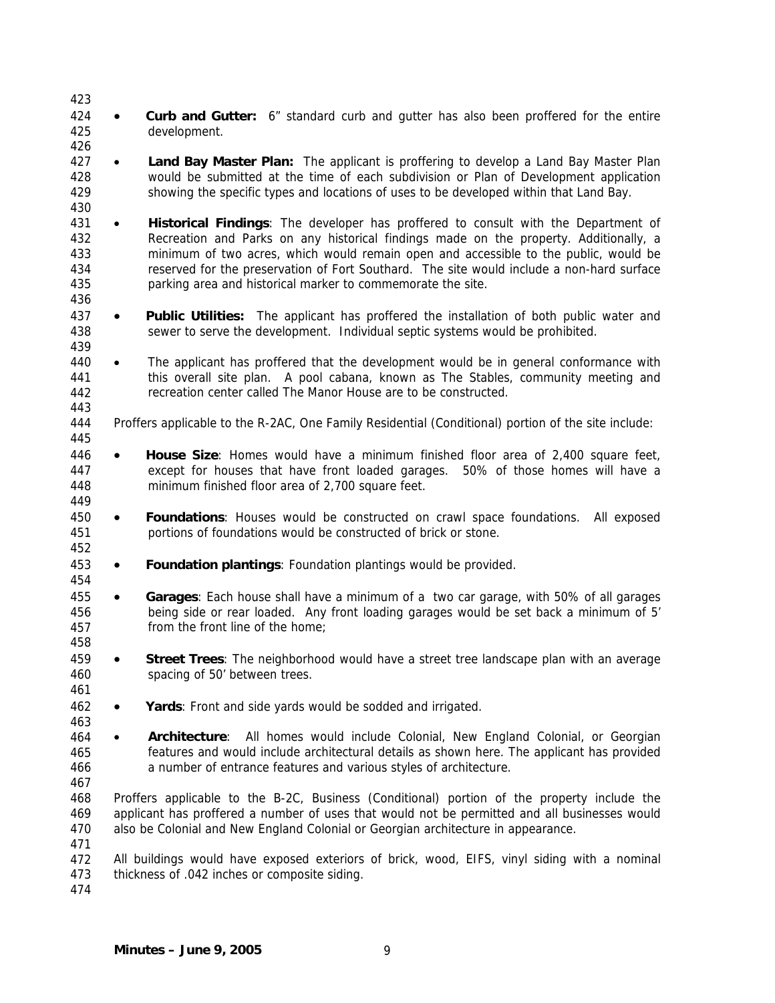424 425 • **Curb and Gutter:** 6" standard curb and gutter has also been proffered for the entire development.

- 427 428 429 • **Land Bay Master Plan:** The applicant is proffering to develop a Land Bay Master Plan would be submitted at the time of each subdivision or Plan of Development application showing the specific types and locations of uses to be developed within that Land Bay.
- 431 432 433 434 435 • **Historical Findings**: The developer has proffered to consult with the Department of Recreation and Parks on any historical findings made on the property. Additionally, a minimum of two acres, which would remain open and accessible to the public, would be reserved for the preservation of Fort Southard. The site would include a non-hard surface parking area and historical marker to commemorate the site.
- 437 438 • **Public Utilities:** The applicant has proffered the installation of both public water and sewer to serve the development. Individual septic systems would be prohibited.
- 440 441 442 • The applicant has proffered that the development would be in general conformance with this overall site plan. A pool cabana, known as The Stables, community meeting and recreation center called The Manor House are to be constructed.
- 444 Proffers applicable to the R-2AC, One Family Residential (Conditional) portion of the site include:
- 446 447 448 449 • **House Size**: Homes would have a minimum finished floor area of 2,400 square feet, except for houses that have front loaded garages. 50% of those homes will have a minimum finished floor area of 2,700 square feet.
- 450 451 • **Foundations**: Houses would be constructed on crawl space foundations. All exposed portions of foundations would be constructed of brick or stone.
- 453 • **Foundation plantings**: Foundation plantings would be provided.
- 455 456 457 • **Garages**: Each house shall have a minimum of a two car garage, with 50% of all garages being side or rear loaded. Any front loading garages would be set back a minimum of 5' from the front line of the home;
- 459 460 • **Street Trees**: The neighborhood would have a street tree landscape plan with an average spacing of 50' between trees.
- 462 • **Yards**: Front and side yards would be sodded and irrigated.
- 464 465 466 • **Architecture**: All homes would include Colonial, New England Colonial, or Georgian features and would include architectural details as shown here. The applicant has provided a number of entrance features and various styles of architecture.
- 467

423

426

430

436

439

443

445

452

454

458

461

463

- 468 469 470 Proffers applicable to the B-2C, Business (Conditional) portion of the property include the applicant has proffered a number of uses that would not be permitted and all businesses would also be Colonial and New England Colonial or Georgian architecture in appearance.
- 471

472 473 All buildings would have exposed exteriors of brick, wood, EIFS, vinyl siding with a nominal thickness of .042 inches or composite siding.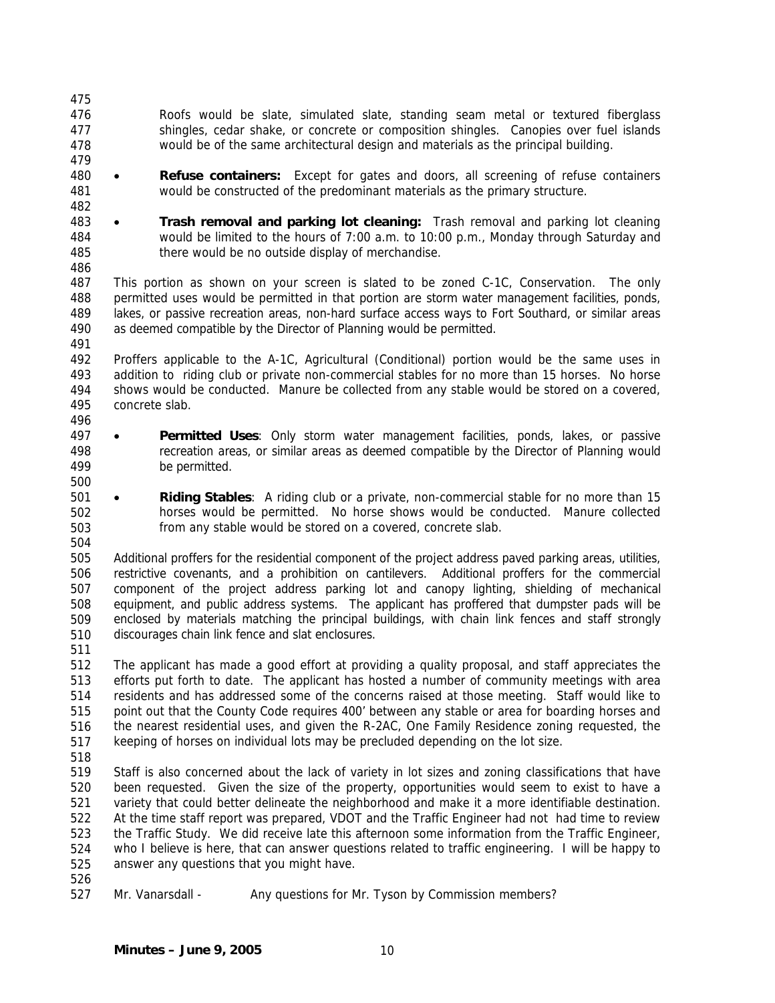- 476 477 478 Roofs would be slate, simulated slate, standing seam metal or textured fiberglass shingles, cedar shake, or concrete or composition shingles. Canopies over fuel islands would be of the same architectural design and materials as the principal building.
- 480 481 • **Refuse containers:** Except for gates and doors, all screening of refuse containers would be constructed of the predominant materials as the primary structure.
- 483 484 485 • **Trash removal and parking lot cleaning:** Trash removal and parking lot cleaning would be limited to the hours of 7:00 a.m. to 10:00 p.m., Monday through Saturday and there would be no outside display of merchandise.
- 486

479

482

487 488 489 490 491 This portion as shown on your screen is slated to be zoned C-1C, Conservation. The only permitted uses would be permitted in that portion are storm water management facilities, ponds, lakes, or passive recreation areas, non-hard surface access ways to Fort Southard, or similar areas as deemed compatible by the Director of Planning would be permitted.

492 493 494 495 Proffers applicable to the A-1C, Agricultural (Conditional) portion would be the same uses in addition to riding club or private non-commercial stables for no more than 15 horses. No horse shows would be conducted. Manure be collected from any stable would be stored on a covered, concrete slab.

- 496
- 497 498 499 • **Permitted Uses**: Only storm water management facilities, ponds, lakes, or passive recreation areas, or similar areas as deemed compatible by the Director of Planning would be permitted.
- 500
- 501 502 503 504 • **Riding Stables**: A riding club or a private, non-commercial stable for no more than 15 horses would be permitted. No horse shows would be conducted. Manure collected from any stable would be stored on a covered, concrete slab.

505 506 507 508 509 510 Additional proffers for the residential component of the project address paved parking areas, utilities, restrictive covenants, and a prohibition on cantilevers. Additional proffers for the commercial component of the project address parking lot and canopy lighting, shielding of mechanical equipment, and public address systems. The applicant has proffered that dumpster pads will be enclosed by materials matching the principal buildings, with chain link fences and staff strongly discourages chain link fence and slat enclosures.

511

512 513 514 515 516 517 The applicant has made a good effort at providing a quality proposal, and staff appreciates the efforts put forth to date. The applicant has hosted a number of community meetings with area residents and has addressed some of the concerns raised at those meeting. Staff would like to point out that the County Code requires 400' between any stable or area for boarding horses and the nearest residential uses, and given the R-2AC, One Family Residence zoning requested, the keeping of horses on individual lots may be precluded depending on the lot size.

518

526

519 520 521 522 523 524 525 Staff is also concerned about the lack of variety in lot sizes and zoning classifications that have been requested. Given the size of the property, opportunities would seem to exist to have a variety that could better delineate the neighborhood and make it a more identifiable destination. At the time staff report was prepared, VDOT and the Traffic Engineer had not had time to review the Traffic Study. We did receive late this afternoon some information from the Traffic Engineer, who I believe is here, that can answer questions related to traffic engineering. I will be happy to answer any questions that you might have.

527 Mr. Vanarsdall - Any questions for Mr. Tyson by Commission members?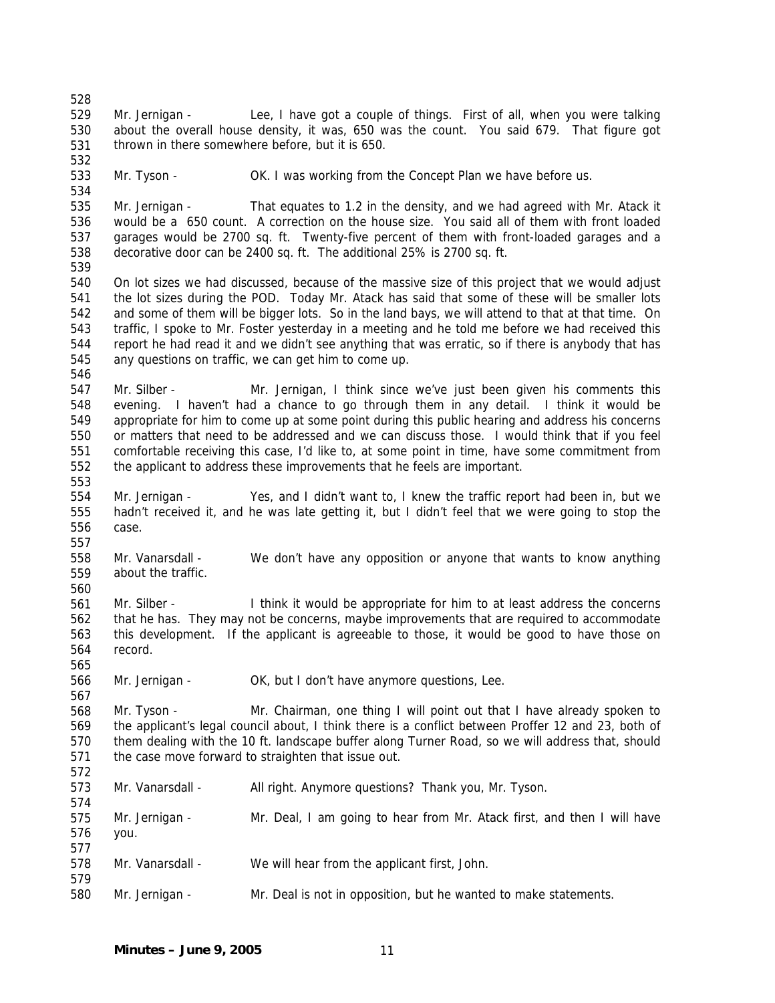529 530 531 532 533 534 535 536 537 538 539 540 541 542 543 544 545 546 547 548 549 550 551 552 553 554 555 556 557 558 559 560 561 562 563 564 565 566 567 568 569 570 571 572 573 574 575 576 577 578 579 580 Mr. Jernigan - Lee, I have got a couple of things. First of all, when you were talking about the overall house density, it was, 650 was the count. You said 679. That figure got thrown in there somewhere before, but it is 650. Mr. Tyson - OK. I was working from the Concept Plan we have before us. Mr. Jernigan - That equates to 1.2 in the density, and we had agreed with Mr. Atack it would be a 650 count. A correction on the house size. You said all of them with front loaded garages would be 2700 sq. ft. Twenty-five percent of them with front-loaded garages and a decorative door can be 2400 sq. ft. The additional 25% is 2700 sq. ft. On lot sizes we had discussed, because of the massive size of this project that we would adjust the lot sizes during the POD. Today Mr. Atack has said that some of these will be smaller lots and some of them will be bigger lots. So in the land bays, we will attend to that at that time. On traffic, I spoke to Mr. Foster yesterday in a meeting and he told me before we had received this report he had read it and we didn't see anything that was erratic, so if there is anybody that has any questions on traffic, we can get him to come up. Mr. Silber - Mr. Jernigan, I think since we've just been given his comments this evening. I haven't had a chance to go through them in any detail. I think it would be appropriate for him to come up at some point during this public hearing and address his concerns or matters that need to be addressed and we can discuss those. I would think that if you feel comfortable receiving this case, I'd like to, at some point in time, have some commitment from the applicant to address these improvements that he feels are important. Mr. Jernigan - Yes, and I didn't want to, I knew the traffic report had been in, but we hadn't received it, and he was late getting it, but I didn't feel that we were going to stop the case. Mr. Vanarsdall - We don't have any opposition or anyone that wants to know anything about the traffic. Mr. Silber - I think it would be appropriate for him to at least address the concerns that he has. They may not be concerns, maybe improvements that are required to accommodate this development. If the applicant is agreeable to those, it would be good to have those on record. Mr. Jernigan - OK, but I don't have anymore questions, Lee. Mr. Tyson - Mr. Chairman, one thing I will point out that I have already spoken to the applicant's legal council about, I think there is a conflict between Proffer 12 and 23, both of them dealing with the 10 ft. landscape buffer along Turner Road, so we will address that, should the case move forward to straighten that issue out. Mr. Vanarsdall - All right. Anymore questions? Thank you, Mr. Tyson. Mr. Jernigan - Mr. Deal, I am going to hear from Mr. Atack first, and then I will have you. Mr. Vanarsdall - We will hear from the applicant first, John. Mr. Jernigan - Mr. Deal is not in opposition, but he wanted to make statements.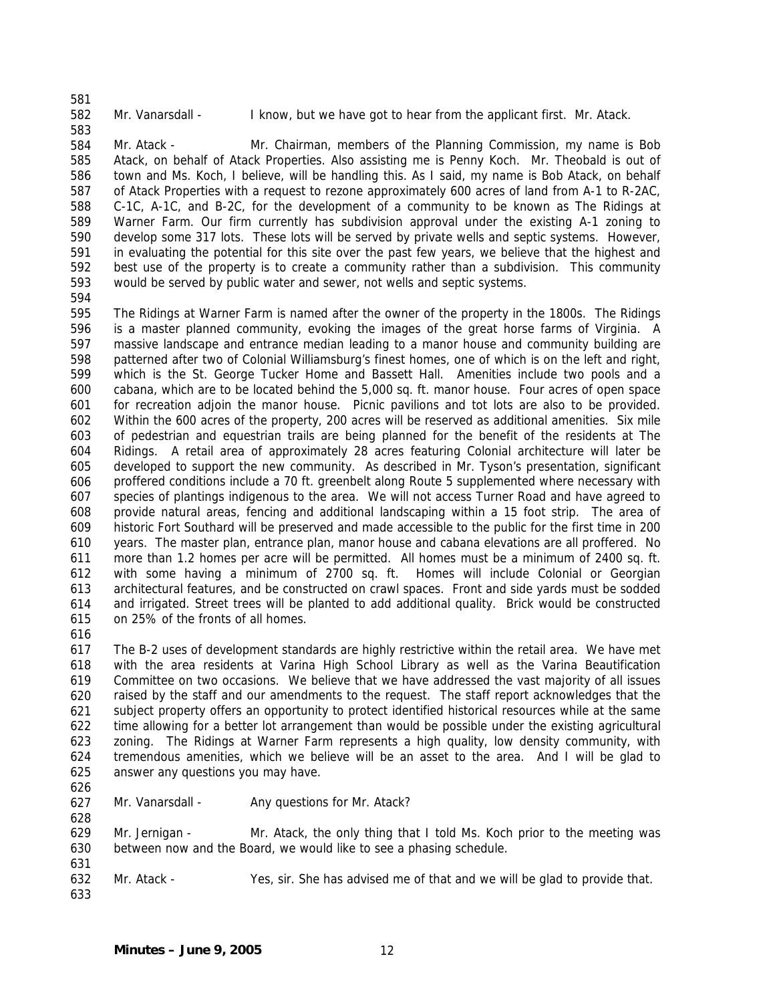583

582

Mr. Vanarsdall - I know, but we have got to hear from the applicant first. Mr. Atack.

584 585 586 587 588 589 590 591 592 593 Mr. Atack - Mr. Chairman, members of the Planning Commission, my name is Bob Atack, on behalf of Atack Properties. Also assisting me is Penny Koch. Mr. Theobald is out of town and Ms. Koch, I believe, will be handling this. As I said, my name is Bob Atack, on behalf of Atack Properties with a request to rezone approximately 600 acres of land from A-1 to R-2AC, C-1C, A-1C, and B-2C, for the development of a community to be known as The Ridings at Warner Farm. Our firm currently has subdivision approval under the existing A-1 zoning to develop some 317 lots. These lots will be served by private wells and septic systems. However, in evaluating the potential for this site over the past few years, we believe that the highest and best use of the property is to create a community rather than a subdivision. This community would be served by public water and sewer, not wells and septic systems.

594

595 596 597 598 599 600 601 602 603 604 605 606 607 608 609 610 611 612 613 614 615 The Ridings at Warner Farm is named after the owner of the property in the 1800s. The Ridings is a master planned community, evoking the images of the great horse farms of Virginia. A massive landscape and entrance median leading to a manor house and community building are patterned after two of Colonial Williamsburg's finest homes, one of which is on the left and right, which is the St. George Tucker Home and Bassett Hall. Amenities include two pools and a cabana, which are to be located behind the 5,000 sq. ft. manor house. Four acres of open space for recreation adjoin the manor house. Picnic pavilions and tot lots are also to be provided. Within the 600 acres of the property, 200 acres will be reserved as additional amenities. Six mile of pedestrian and equestrian trails are being planned for the benefit of the residents at The Ridings. A retail area of approximately 28 acres featuring Colonial architecture will later be developed to support the new community. As described in Mr. Tyson's presentation, significant proffered conditions include a 70 ft. greenbelt along Route 5 supplemented where necessary with species of plantings indigenous to the area. We will not access Turner Road and have agreed to provide natural areas, fencing and additional landscaping within a 15 foot strip. The area of historic Fort Southard will be preserved and made accessible to the public for the first time in 200 years. The master plan, entrance plan, manor house and cabana elevations are all proffered. No more than 1.2 homes per acre will be permitted. All homes must be a minimum of 2400 sq. ft. with some having a minimum of 2700 sq. ft. Homes will include Colonial or Georgian architectural features, and be constructed on crawl spaces. Front and side yards must be sodded and irrigated. Street trees will be planted to add additional quality. Brick would be constructed on 25% of the fronts of all homes.

616

617 618 619 620 621 622 623 624 625 The B-2 uses of development standards are highly restrictive within the retail area. We have met with the area residents at Varina High School Library as well as the Varina Beautification Committee on two occasions. We believe that we have addressed the vast majority of all issues raised by the staff and our amendments to the request. The staff report acknowledges that the subject property offers an opportunity to protect identified historical resources while at the same time allowing for a better lot arrangement than would be possible under the existing agricultural zoning. The Ridings at Warner Farm represents a high quality, low density community, with tremendous amenities, which we believe will be an asset to the area. And I will be glad to answer any questions you may have.

626

628

- 627
- Mr. Vanarsdall Any questions for Mr. Atack?

629 630 Mr. Jernigan - Mr. Atack, the only thing that I told Ms. Koch prior to the meeting was between now and the Board, we would like to see a phasing schedule.

632 Mr. Atack - Yes, sir. She has advised me of that and we will be glad to provide that.

633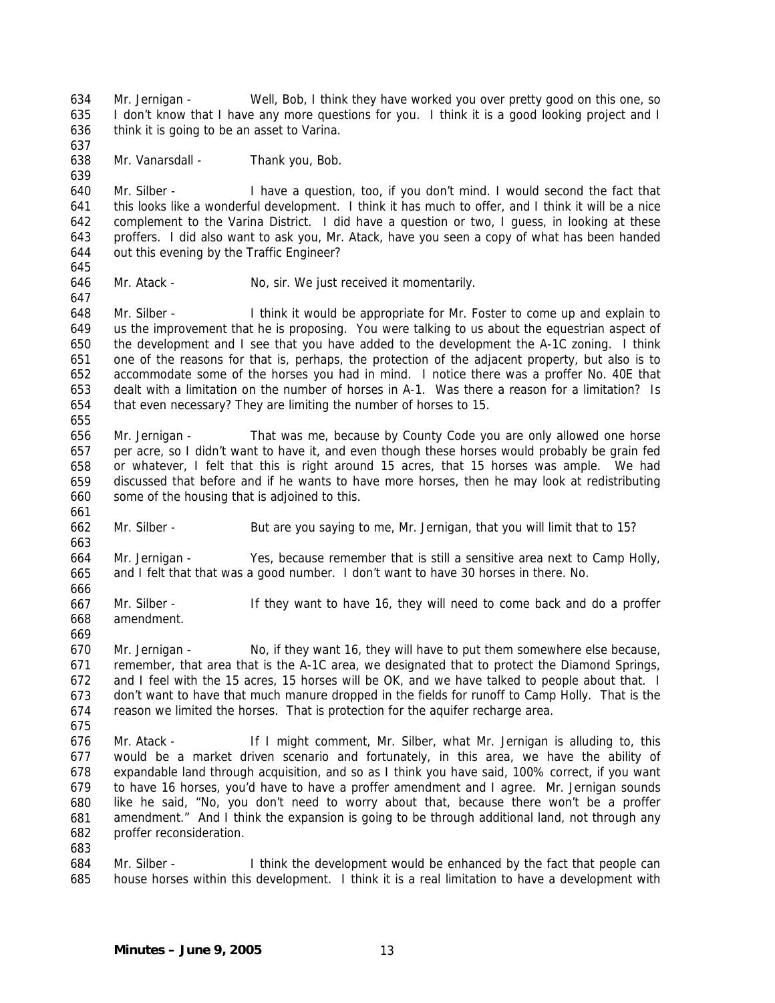634 635 636 Mr. Jernigan - Well, Bob, I think they have worked you over pretty good on this one, so I don't know that I have any more questions for you. I think it is a good looking project and I think it is going to be an asset to Varina.

638 Mr. Vanarsdall - Thank you, Bob.

640 641 642 643 644 Mr. Silber - I have a question, too, if you don't mind. I would second the fact that this looks like a wonderful development. I think it has much to offer, and I think it will be a nice complement to the Varina District. I did have a question or two, I guess, in looking at these proffers. I did also want to ask you, Mr. Atack, have you seen a copy of what has been handed out this evening by the Traffic Engineer?

645 646

647

637

639

Mr. Atack - No, sir. We just received it momentarily.

648 649 650 651 652 653 654 Mr. Silber - I think it would be appropriate for Mr. Foster to come up and explain to us the improvement that he is proposing. You were talking to us about the equestrian aspect of the development and I see that you have added to the development the A-1C zoning. I think one of the reasons for that is, perhaps, the protection of the adjacent property, but also is to accommodate some of the horses you had in mind. I notice there was a proffer No. 40E that dealt with a limitation on the number of horses in A-1. Was there a reason for a limitation? Is that even necessary? They are limiting the number of horses to 15.

- 656 657 658 659 660 Mr. Jernigan - That was me, because by County Code you are only allowed one horse per acre, so I didn't want to have it, and even though these horses would probably be grain fed or whatever, I felt that this is right around 15 acres, that 15 horses was ample. We had discussed that before and if he wants to have more horses, then he may look at redistributing some of the housing that is adjoined to this.
- 661

655

- 662 663 Mr. Silber - But are you saying to me, Mr. Jernigan, that you will limit that to 15?
- 664 665 Mr. Jernigan - Yes, because remember that is still a sensitive area next to Camp Holly, and I felt that that was a good number. I don't want to have 30 horses in there. No.
- 667 668 Mr. Silber - If they want to have 16, they will need to come back and do a proffer amendment.
- 669

675

666

670 671 672 673 674 Mr. Jernigan - No, if they want 16, they will have to put them somewhere else because, remember, that area that is the A-1C area, we designated that to protect the Diamond Springs, and I feel with the 15 acres, 15 horses will be OK, and we have talked to people about that. I don't want to have that much manure dropped in the fields for runoff to Camp Holly. That is the reason we limited the horses. That is protection for the aquifer recharge area.

676 677 678 679 680 681 682 Mr. Atack - If I might comment, Mr. Silber, what Mr. Jernigan is alluding to, this would be a market driven scenario and fortunately, in this area, we have the ability of expandable land through acquisition, and so as I think you have said, 100% correct, if you want to have 16 horses, you'd have to have a proffer amendment and I agree. Mr. Jernigan sounds like he said, "No, you don't need to worry about that, because there won't be a proffer amendment." And I think the expansion is going to be through additional land, not through any proffer reconsideration.

- 683
- 684 685 Mr. Silber - I think the development would be enhanced by the fact that people can house horses within this development. I think it is a real limitation to have a development with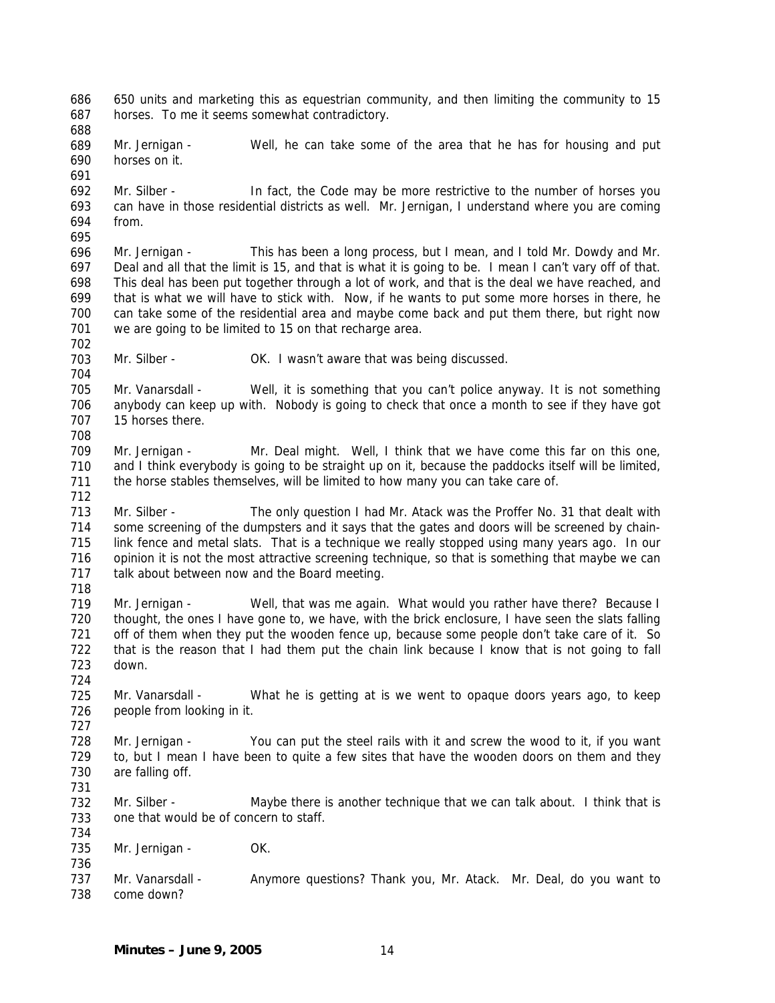686 687 650 units and marketing this as equestrian community, and then limiting the community to 15 horses. To me it seems somewhat contradictory.

688

691

689 690 Mr. Jernigan - Well, he can take some of the area that he has for housing and put horses on it.

692 693 694 Mr. Silber - In fact, the Code may be more restrictive to the number of horses you can have in those residential districts as well. Mr. Jernigan, I understand where you are coming from.

695

704

708

696 697 698 699 700 701 702 Mr. Jernigan - This has been a long process, but I mean, and I told Mr. Dowdy and Mr. Deal and all that the limit is 15, and that is what it is going to be. I mean I can't vary off of that. This deal has been put together through a lot of work, and that is the deal we have reached, and that is what we will have to stick with. Now, if he wants to put some more horses in there, he can take some of the residential area and maybe come back and put them there, but right now we are going to be limited to 15 on that recharge area.

703 Mr. Silber - **OK.** I wasn't aware that was being discussed.

705 706 707 Mr. Vanarsdall - Well, it is something that you can't police anyway. It is not something anybody can keep up with. Nobody is going to check that once a month to see if they have got 15 horses there.

709 710 711 712 Mr. Jernigan - Mr. Deal might. Well, I think that we have come this far on this one, and I think everybody is going to be straight up on it, because the paddocks itself will be limited, the horse stables themselves, will be limited to how many you can take care of.

713 714 715 716 717 Mr. Silber - The only question I had Mr. Atack was the Proffer No. 31 that dealt with some screening of the dumpsters and it says that the gates and doors will be screened by chainlink fence and metal slats. That is a technique we really stopped using many years ago. In our opinion it is not the most attractive screening technique, so that is something that maybe we can talk about between now and the Board meeting.

718

724

727

736

719 720 721 722 723 Mr. Jernigan - Well, that was me again. What would you rather have there? Because I thought, the ones I have gone to, we have, with the brick enclosure, I have seen the slats falling off of them when they put the wooden fence up, because some people don't take care of it. So that is the reason that I had them put the chain link because I know that is not going to fall down.

725 726 Mr. Vanarsdall - What he is getting at is we went to opaque doors years ago, to keep people from looking in it.

728 729 730 731 Mr. Jernigan - You can put the steel rails with it and screw the wood to it, if you want to, but I mean I have been to quite a few sites that have the wooden doors on them and they are falling off.

732 733 734 Mr. Silber - Maybe there is another technique that we can talk about. I think that is one that would be of concern to staff.

735 Mr. Jernigan - OK.

737 738 Mr. Vanarsdall - Anymore questions? Thank you, Mr. Atack. Mr. Deal, do you want to come down?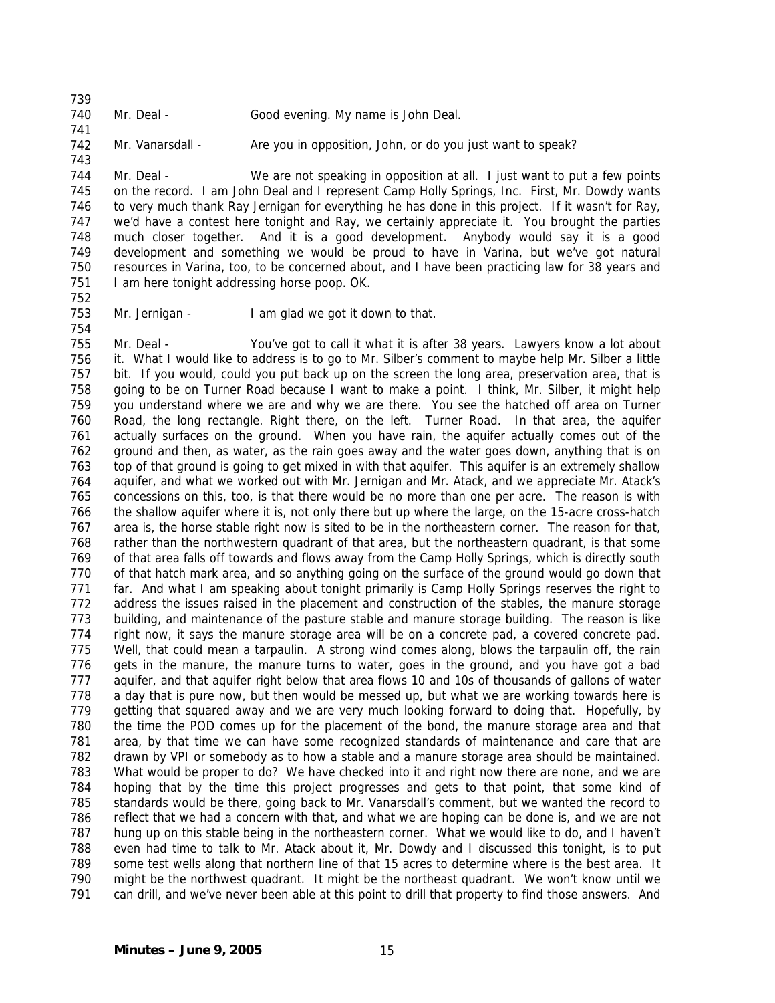741

743

Mr. Deal - Good evening. My name is John Deal.

742 Mr. Vanarsdall - Are you in opposition, John, or do you just want to speak?

744 745 746 747 748 749 750 751 Mr. Deal - We are not speaking in opposition at all. I just want to put a few points on the record. I am John Deal and I represent Camp Holly Springs, Inc. First, Mr. Dowdy wants to very much thank Ray Jernigan for everything he has done in this project. If it wasn't for Ray, we'd have a contest here tonight and Ray, we certainly appreciate it. You brought the parties much closer together. And it is a good development. Anybody would say it is a good development and something we would be proud to have in Varina, but we've got natural resources in Varina, too, to be concerned about, and I have been practicing law for 38 years and I am here tonight addressing horse poop. OK.

752

754

753 Mr. Jernigan - I am glad we got it down to that.

755 756 757 758 759 760 761 762 763 764 765 766 767 768 769 770 771 772 773 774 775 776 777 778 779 780 781 782 783 784 785 786 787 788 789 790 791 Mr. Deal - You've got to call it what it is after 38 years. Lawyers know a lot about it. What I would like to address is to go to Mr. Silber's comment to maybe help Mr. Silber a little bit. If you would, could you put back up on the screen the long area, preservation area, that is going to be on Turner Road because I want to make a point. I think, Mr. Silber, it might help you understand where we are and why we are there. You see the hatched off area on Turner Road, the long rectangle. Right there, on the left. Turner Road. In that area, the aquifer actually surfaces on the ground. When you have rain, the aquifer actually comes out of the ground and then, as water, as the rain goes away and the water goes down, anything that is on top of that ground is going to get mixed in with that aquifer. This aquifer is an extremely shallow aquifer, and what we worked out with Mr. Jernigan and Mr. Atack, and we appreciate Mr. Atack's concessions on this, too, is that there would be no more than one per acre. The reason is with the shallow aquifer where it is, not only there but up where the large, on the 15-acre cross-hatch area is, the horse stable right now is sited to be in the northeastern corner. The reason for that, rather than the northwestern quadrant of that area, but the northeastern quadrant, is that some of that area falls off towards and flows away from the Camp Holly Springs, which is directly south of that hatch mark area, and so anything going on the surface of the ground would go down that far. And what I am speaking about tonight primarily is Camp Holly Springs reserves the right to address the issues raised in the placement and construction of the stables, the manure storage building, and maintenance of the pasture stable and manure storage building. The reason is like right now, it says the manure storage area will be on a concrete pad, a covered concrete pad. Well, that could mean a tarpaulin. A strong wind comes along, blows the tarpaulin off, the rain gets in the manure, the manure turns to water, goes in the ground, and you have got a bad aquifer, and that aquifer right below that area flows 10 and 10s of thousands of gallons of water a day that is pure now, but then would be messed up, but what we are working towards here is getting that squared away and we are very much looking forward to doing that. Hopefully, by the time the POD comes up for the placement of the bond, the manure storage area and that area, by that time we can have some recognized standards of maintenance and care that are drawn by VPI or somebody as to how a stable and a manure storage area should be maintained. What would be proper to do? We have checked into it and right now there are none, and we are hoping that by the time this project progresses and gets to that point, that some kind of standards would be there, going back to Mr. Vanarsdall's comment, but we wanted the record to reflect that we had a concern with that, and what we are hoping can be done is, and we are not hung up on this stable being in the northeastern corner. What we would like to do, and I haven't even had time to talk to Mr. Atack about it, Mr. Dowdy and I discussed this tonight, is to put some test wells along that northern line of that 15 acres to determine where is the best area. It might be the northwest quadrant. It might be the northeast quadrant. We won't know until we can drill, and we've never been able at this point to drill that property to find those answers. And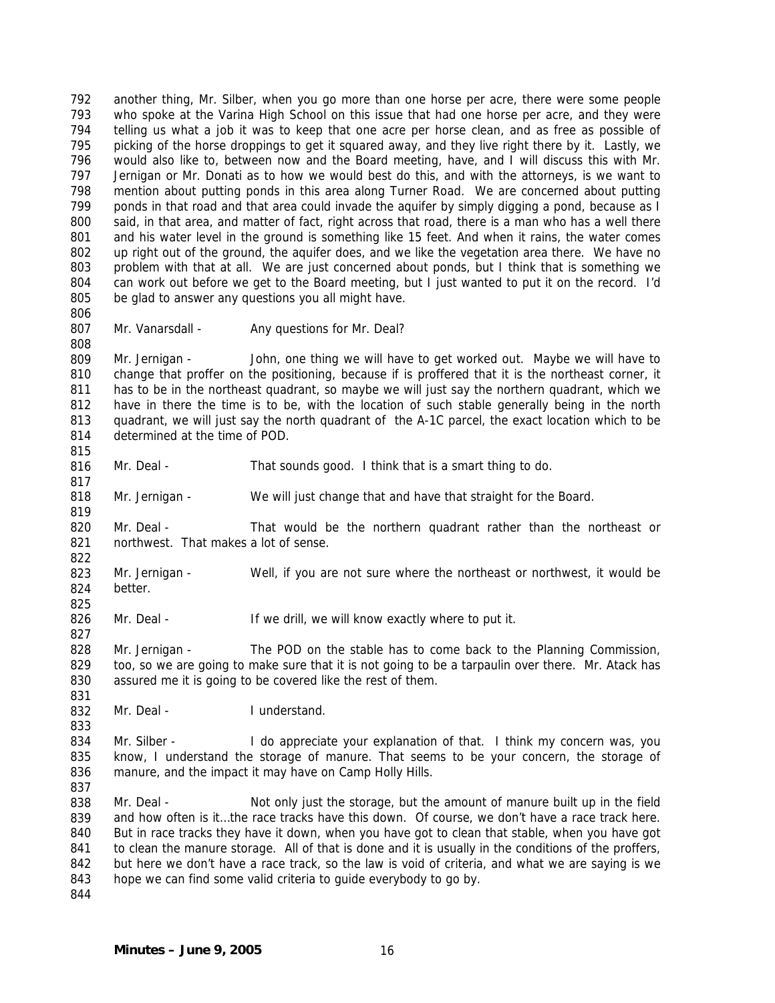792 793 794 795 796 797 798 799 800 801 802 803 804 805 806 another thing, Mr. Silber, when you go more than one horse per acre, there were some people who spoke at the Varina High School on this issue that had one horse per acre, and they were telling us what a job it was to keep that one acre per horse clean, and as free as possible of picking of the horse droppings to get it squared away, and they live right there by it. Lastly, we would also like to, between now and the Board meeting, have, and I will discuss this with Mr. Jernigan or Mr. Donati as to how we would best do this, and with the attorneys, is we want to mention about putting ponds in this area along Turner Road. We are concerned about putting ponds in that road and that area could invade the aquifer by simply digging a pond, because as I said, in that area, and matter of fact, right across that road, there is a man who has a well there and his water level in the ground is something like 15 feet. And when it rains, the water comes up right out of the ground, the aquifer does, and we like the vegetation area there. We have no problem with that at all. We are just concerned about ponds, but I think that is something we can work out before we get to the Board meeting, but I just wanted to put it on the record. I'd be glad to answer any questions you all might have.

807 808

817

819

822

825

827

831

833

Mr. Vanarsdall - Any questions for Mr. Deal?

809 810 811 812 813 814 815 Mr. Jernigan - John, one thing we will have to get worked out. Maybe we will have to change that proffer on the positioning, because if is proffered that it is the northeast corner, it has to be in the northeast quadrant, so maybe we will just say the northern quadrant, which we have in there the time is to be, with the location of such stable generally being in the north quadrant, we will just say the north quadrant of the A-1C parcel, the exact location which to be determined at the time of POD.

- 816 Mr. Deal - That sounds good. I think that is a smart thing to do.
- 818 Mr. Jernigan - We will just change that and have that straight for the Board.
- 820 821 Mr. Deal - That would be the northern quadrant rather than the northeast or northwest. That makes a lot of sense.
- 823 824 Mr. Jernigan - Well, if you are not sure where the northeast or northwest, it would be better.
- 826 Mr. Deal - If we drill, we will know exactly where to put it.

828 829 830 Mr. Jernigan - The POD on the stable has to come back to the Planning Commission, too, so we are going to make sure that it is not going to be a tarpaulin over there. Mr. Atack has assured me it is going to be covered like the rest of them.

832 Mr. Deal - **I** understand.

834 835 836 837 Mr. Silber - I do appreciate your explanation of that. I think my concern was, you know, I understand the storage of manure. That seems to be your concern, the storage of manure, and the impact it may have on Camp Holly Hills.

838 839 840 841 842 843 Mr. Deal - Not only just the storage, but the amount of manure built up in the field and how often is it…the race tracks have this down. Of course, we don't have a race track here. But in race tracks they have it down, when you have got to clean that stable, when you have got to clean the manure storage. All of that is done and it is usually in the conditions of the proffers, but here we don't have a race track, so the law is void of criteria, and what we are saying is we hope we can find some valid criteria to guide everybody to go by.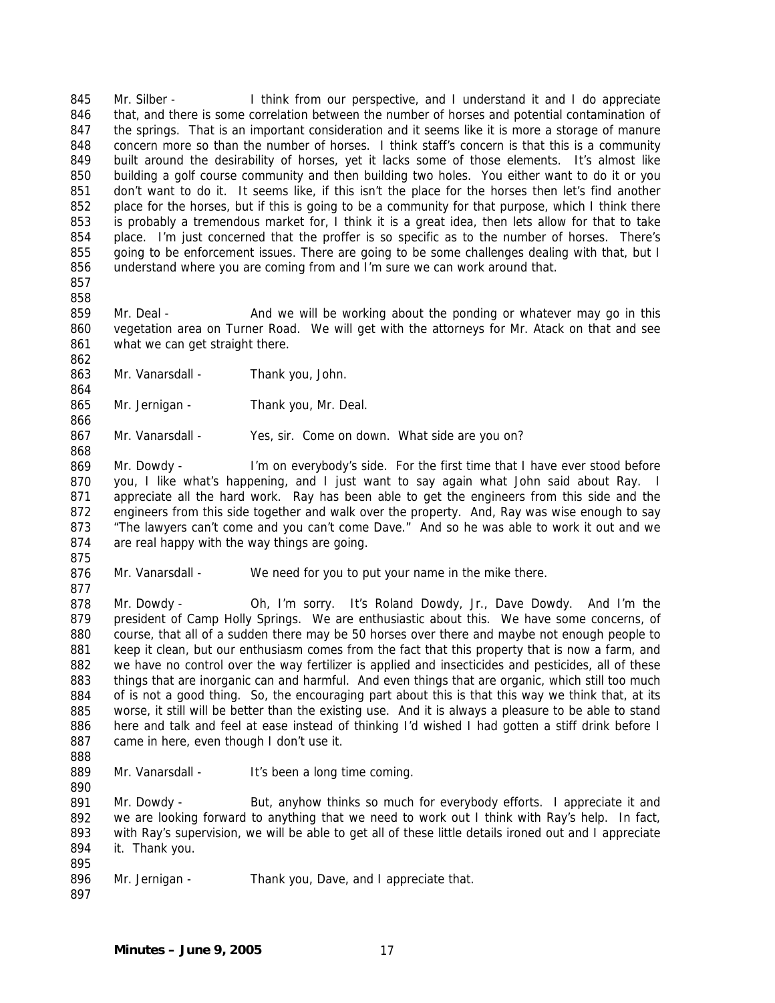845 846 847 848 849 850 851 852 853 854 855 856 Mr. Silber - I think from our perspective, and I understand it and I do appreciate that, and there is some correlation between the number of horses and potential contamination of the springs. That is an important consideration and it seems like it is more a storage of manure concern more so than the number of horses. I think staff's concern is that this is a community built around the desirability of horses, yet it lacks some of those elements. It's almost like building a golf course community and then building two holes. You either want to do it or you don't want to do it. It seems like, if this isn't the place for the horses then let's find another place for the horses, but if this is going to be a community for that purpose, which I think there is probably a tremendous market for, I think it is a great idea, then lets allow for that to take place. I'm just concerned that the proffer is so specific as to the number of horses. There's going to be enforcement issues. There are going to be some challenges dealing with that, but I understand where you are coming from and I'm sure we can work around that.

857 858

862

864

866

868

859 860 861 Mr. Deal - And we will be working about the ponding or whatever may go in this vegetation area on Turner Road. We will get with the attorneys for Mr. Atack on that and see what we can get straight there.

- 863 Mr. Vanarsdall - Thank you, John.
- 865 Mr. Jernigan - Thank you, Mr. Deal.

867 Mr. Vanarsdall - Yes, sir. Come on down. What side are you on?

869 870 871 872 873 874 Mr. Dowdy - I'm on everybody's side. For the first time that I have ever stood before you, I like what's happening, and I just want to say again what John said about Ray. I appreciate all the hard work. Ray has been able to get the engineers from this side and the engineers from this side together and walk over the property. And, Ray was wise enough to say "The lawyers can't come and you can't come Dave." And so he was able to work it out and we are real happy with the way things are going.

875

877

876 Mr. Vanarsdall - We need for you to put your name in the mike there.

878 879 880 881 882 883 884 885 886 887 Mr. Dowdy - Oh, I'm sorry. It's Roland Dowdy, Jr., Dave Dowdy. And I'm the president of Camp Holly Springs. We are enthusiastic about this. We have some concerns, of course, that all of a sudden there may be 50 horses over there and maybe not enough people to keep it clean, but our enthusiasm comes from the fact that this property that is now a farm, and we have no control over the way fertilizer is applied and insecticides and pesticides, all of these things that are inorganic can and harmful. And even things that are organic, which still too much of is not a good thing. So, the encouraging part about this is that this way we think that, at its worse, it still will be better than the existing use. And it is always a pleasure to be able to stand here and talk and feel at ease instead of thinking I'd wished I had gotten a stiff drink before I came in here, even though I don't use it.

888

890

889 Mr. Vanarsdall - It's been a long time coming.

891 892 893 894 895 Mr. Dowdy - But, anyhow thinks so much for everybody efforts. I appreciate it and we are looking forward to anything that we need to work out I think with Ray's help. In fact, with Ray's supervision, we will be able to get all of these little details ironed out and I appreciate it. Thank you.

- 896 Mr. Jernigan - Thank you, Dave, and I appreciate that.
- 897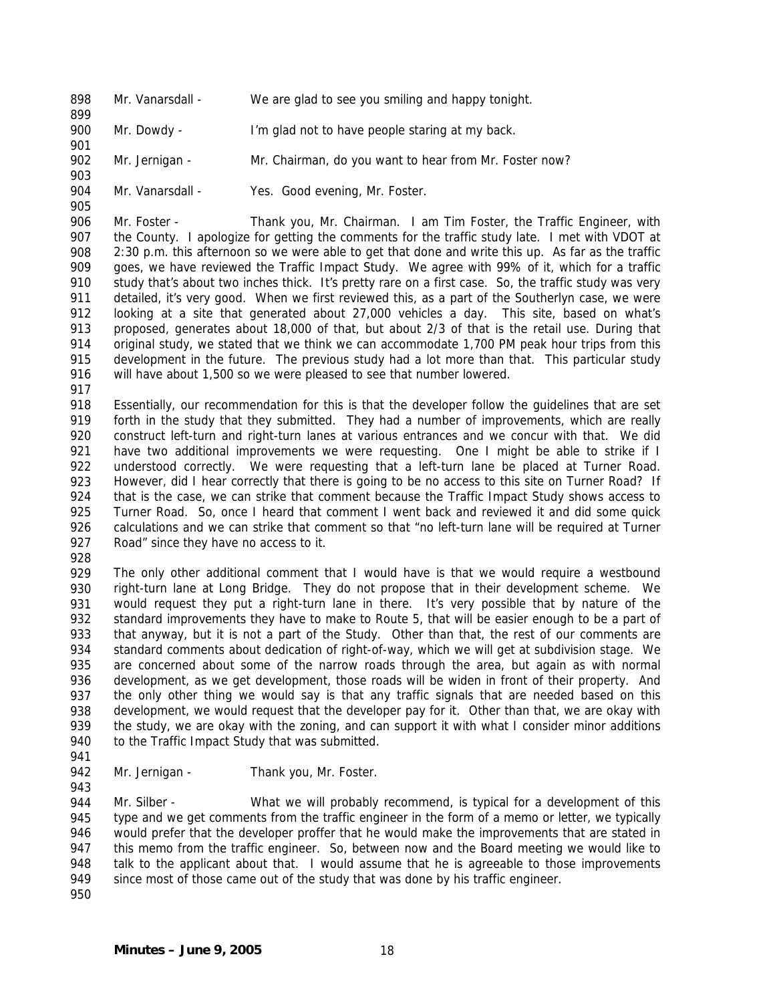898 Mr. Vanarsdall - We are glad to see you smiling and happy tonight.

900 Mr. Dowdy - I'm glad not to have people staring at my back.

902 Mr. Jernigan - Mr. Chairman, do you want to hear from Mr. Foster now?

904 905 Mr. Vanarsdall - Yes. Good evening, Mr. Foster.

906 907 908 909 910 911 912 913 914 915 916 Mr. Foster - Thank you, Mr. Chairman. I am Tim Foster, the Traffic Engineer, with the County. I apologize for getting the comments for the traffic study late. I met with VDOT at 2:30 p.m. this afternoon so we were able to get that done and write this up. As far as the traffic goes, we have reviewed the Traffic Impact Study. We agree with 99% of it, which for a traffic study that's about two inches thick. It's pretty rare on a first case. So, the traffic study was very detailed, it's very good. When we first reviewed this, as a part of the Southerlyn case, we were looking at a site that generated about 27,000 vehicles a day. This site, based on what's proposed, generates about 18,000 of that, but about 2/3 of that is the retail use. During that original study, we stated that we think we can accommodate 1,700 PM peak hour trips from this development in the future. The previous study had a lot more than that. This particular study will have about 1,500 so we were pleased to see that number lowered.

917

899

901

903

918 919 920 921 922 923 924 925 926 927 Essentially, our recommendation for this is that the developer follow the guidelines that are set forth in the study that they submitted. They had a number of improvements, which are really construct left-turn and right-turn lanes at various entrances and we concur with that. We did have two additional improvements we were requesting. One I might be able to strike if I understood correctly. We were requesting that a left-turn lane be placed at Turner Road. However, did I hear correctly that there is going to be no access to this site on Turner Road? If that is the case, we can strike that comment because the Traffic Impact Study shows access to Turner Road. So, once I heard that comment I went back and reviewed it and did some quick calculations and we can strike that comment so that "no left-turn lane will be required at Turner Road" since they have no access to it.

928

929 930 931 932 933 934 935 936 937 938 939 940 The only other additional comment that I would have is that we would require a westbound right-turn lane at Long Bridge. They do not propose that in their development scheme. We would request they put a right-turn lane in there. It's very possible that by nature of the standard improvements they have to make to Route 5, that will be easier enough to be a part of that anyway, but it is not a part of the Study. Other than that, the rest of our comments are standard comments about dedication of right-of-way, which we will get at subdivision stage. We are concerned about some of the narrow roads through the area, but again as with normal development, as we get development, those roads will be widen in front of their property. And the only other thing we would say is that any traffic signals that are needed based on this development, we would request that the developer pay for it. Other than that, we are okay with the study, we are okay with the zoning, and can support it with what I consider minor additions to the Traffic Impact Study that was submitted.

- 941
- 942 943 Mr. Jernigan - Thank you, Mr. Foster.

944 945 946 947 948 949 Mr. Silber - What we will probably recommend, is typical for a development of this type and we get comments from the traffic engineer in the form of a memo or letter, we typically would prefer that the developer proffer that he would make the improvements that are stated in this memo from the traffic engineer. So, between now and the Board meeting we would like to talk to the applicant about that. I would assume that he is agreeable to those improvements since most of those came out of the study that was done by his traffic engineer.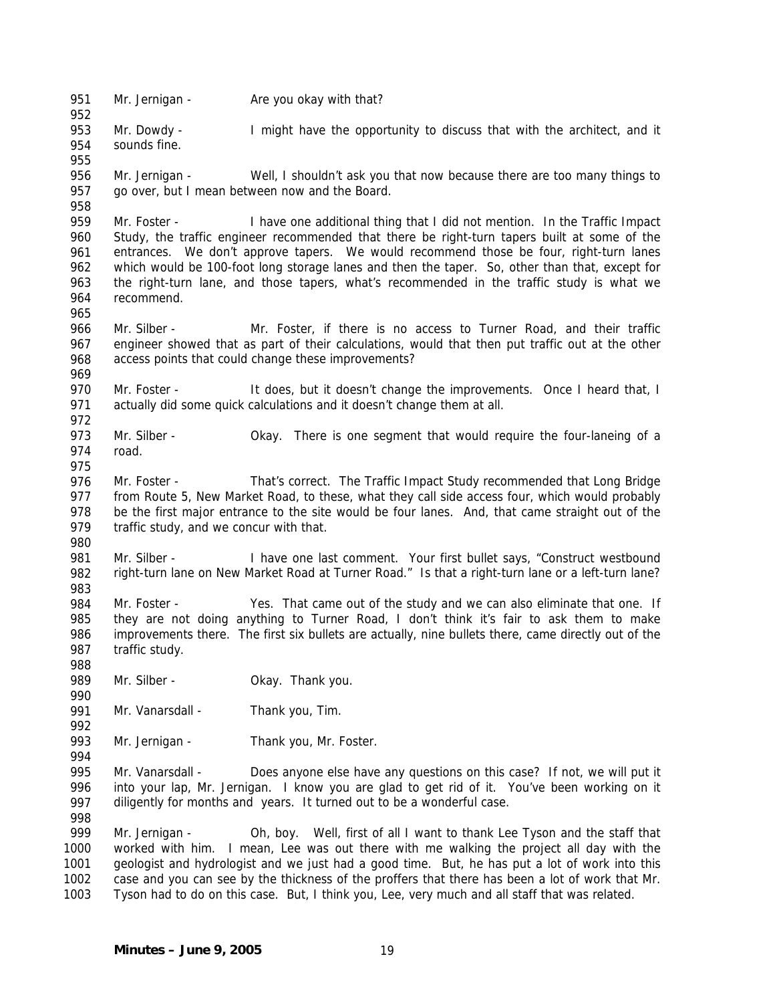951 Mr. Jernigan - Are you okay with that?

953 954 Mr. Dowdy - I might have the opportunity to discuss that with the architect, and it sounds fine.

956 957 Mr. Jernigan - Well, I shouldn't ask you that now because there are too many things to go over, but I mean between now and the Board.

959 960 961 962 963 964 965 Mr. Foster - I have one additional thing that I did not mention. In the Traffic Impact Study, the traffic engineer recommended that there be right-turn tapers built at some of the entrances. We don't approve tapers. We would recommend those be four, right-turn lanes which would be 100-foot long storage lanes and then the taper. So, other than that, except for the right-turn lane, and those tapers, what's recommended in the traffic study is what we recommend.

966 967 968 Mr. Silber - Mr. Foster, if there is no access to Turner Road, and their traffic engineer showed that as part of their calculations, would that then put traffic out at the other access points that could change these improvements?

970 971 972 Mr. Foster - It does, but it doesn't change the improvements. Once I heard that, I actually did some quick calculations and it doesn't change them at all.

- 973 974 Mr. Silber - Okay. There is one segment that would require the four-laneing of a road.
- 975

988

990

992

994

969

952

955

958

976 977 978 979 980 Mr. Foster - That's correct. The Traffic Impact Study recommended that Long Bridge from Route 5, New Market Road, to these, what they call side access four, which would probably be the first major entrance to the site would be four lanes. And, that came straight out of the traffic study, and we concur with that.

981 982 983 Mr. Silber - I have one last comment. Your first bullet says, "Construct westbound right-turn lane on New Market Road at Turner Road." Is that a right-turn lane or a left-turn lane?

984 985 986 987 Mr. Foster - Yes. That came out of the study and we can also eliminate that one. If they are not doing anything to Turner Road, I don't think it's fair to ask them to make improvements there. The first six bullets are actually, nine bullets there, came directly out of the traffic study.

989 Mr. Silber - **Okay. Thank you.** 

991 Mr. Vanarsdall - Thank you, Tim.

993 Mr. Jernigan - Thank you, Mr. Foster.

995 996 997 998 Mr. Vanarsdall - Does anyone else have any questions on this case? If not, we will put it into your lap, Mr. Jernigan. I know you are glad to get rid of it. You've been working on it diligently for months and years. It turned out to be a wonderful case.

999 1000 1001 1002 1003 Mr. Jernigan - Oh, boy. Well, first of all I want to thank Lee Tyson and the staff that worked with him. I mean, Lee was out there with me walking the project all day with the geologist and hydrologist and we just had a good time. But, he has put a lot of work into this case and you can see by the thickness of the proffers that there has been a lot of work that Mr. Tyson had to do on this case. But, I think you, Lee, very much and all staff that was related.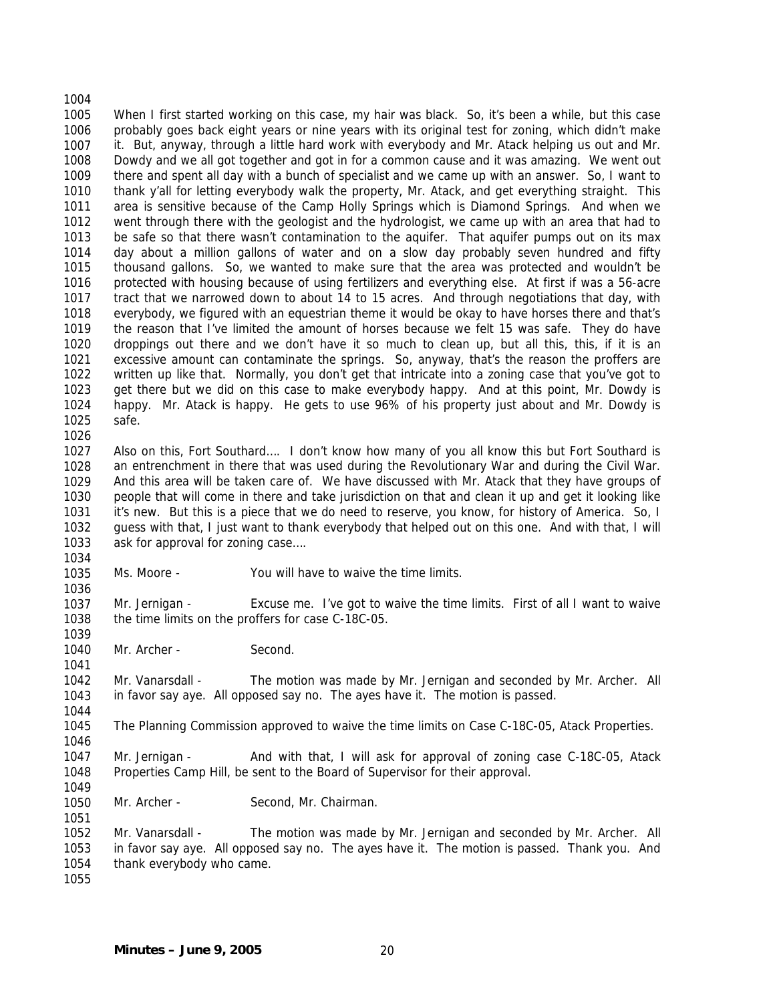1004 1005 1006 1007 1008 1009 1010 1011 1012 1013 1014 1015 1016 1017 1018 1019 1020 1021 1022 1023 1024 1025 When I first started working on this case, my hair was black. So, it's been a while, but this case probably goes back eight years or nine years with its original test for zoning, which didn't make it. But, anyway, through a little hard work with everybody and Mr. Atack helping us out and Mr. Dowdy and we all got together and got in for a common cause and it was amazing. We went out there and spent all day with a bunch of specialist and we came up with an answer. So, I want to thank y'all for letting everybody walk the property, Mr. Atack, and get everything straight. This area is sensitive because of the Camp Holly Springs which is Diamond Springs. And when we went through there with the geologist and the hydrologist, we came up with an area that had to be safe so that there wasn't contamination to the aquifer. That aquifer pumps out on its max day about a million gallons of water and on a slow day probably seven hundred and fifty thousand gallons. So, we wanted to make sure that the area was protected and wouldn't be protected with housing because of using fertilizers and everything else. At first if was a 56-acre tract that we narrowed down to about 14 to 15 acres. And through negotiations that day, with everybody, we figured with an equestrian theme it would be okay to have horses there and that's the reason that I've limited the amount of horses because we felt 15 was safe. They do have droppings out there and we don't have it so much to clean up, but all this, this, if it is an excessive amount can contaminate the springs. So, anyway, that's the reason the proffers are written up like that. Normally, you don't get that intricate into a zoning case that you've got to get there but we did on this case to make everybody happy. And at this point, Mr. Dowdy is happy. Mr. Atack is happy. He gets to use 96% of his property just about and Mr. Dowdy is safe.

1026

1034

1036

1039

1041

1044

1046

1051

1027 1028 1029 1030 1031 1032 1033 Also on this, Fort Southard…. I don't know how many of you all know this but Fort Southard is an entrenchment in there that was used during the Revolutionary War and during the Civil War. And this area will be taken care of. We have discussed with Mr. Atack that they have groups of people that will come in there and take jurisdiction on that and clean it up and get it looking like it's new. But this is a piece that we do need to reserve, you know, for history of America. So, I guess with that, I just want to thank everybody that helped out on this one. And with that, I will ask for approval for zoning case….

1035 Ms. Moore - You will have to waive the time limits.

1037 1038 Mr. Jernigan - Excuse me. I've got to waive the time limits. First of all I want to waive the time limits on the proffers for case C-18C-05.

1040 Mr. Archer - Second.

1042 1043 Mr. Vanarsdall - The motion was made by Mr. Jernigan and seconded by Mr. Archer. All in favor say aye. All opposed say no. The ayes have it. The motion is passed.

1045 The Planning Commission approved to waive the time limits on Case C-18C-05, Atack Properties.

1047 1048 1049 Mr. Jernigan - And with that, I will ask for approval of zoning case C-18C-05, Atack Properties Camp Hill, be sent to the Board of Supervisor for their approval.

1050 Mr. Archer - Second, Mr. Chairman.

1052 1053 1054 Mr. Vanarsdall - The motion was made by Mr. Jernigan and seconded by Mr. Archer. All in favor say aye. All opposed say no. The ayes have it. The motion is passed. Thank you. And thank everybody who came.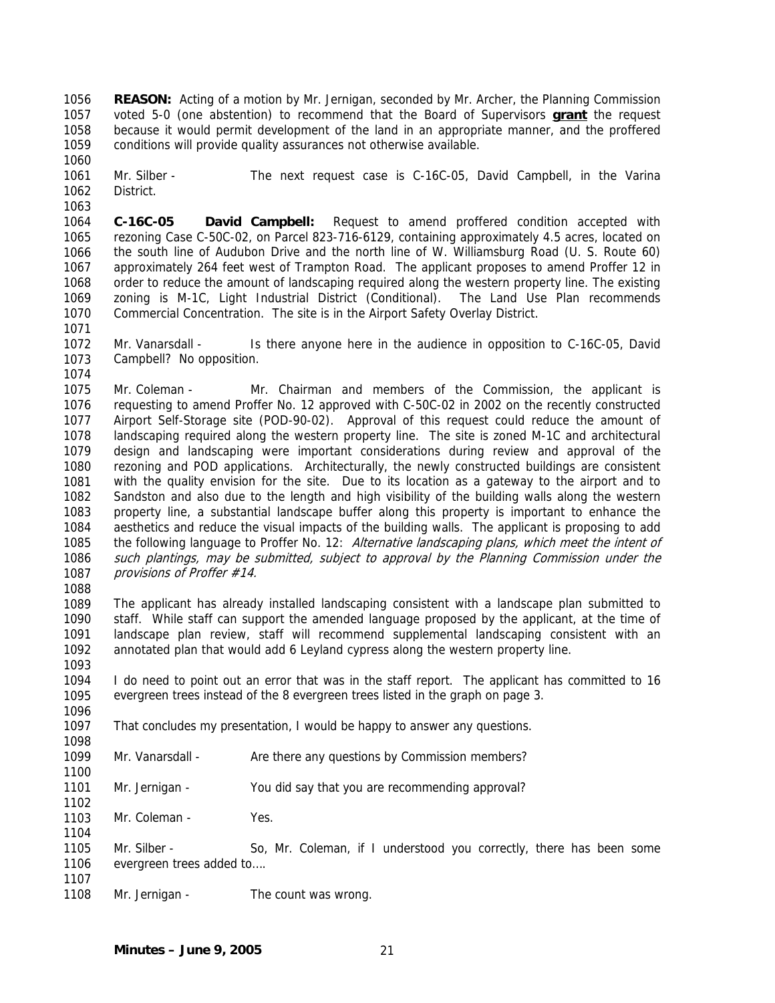**REASON:** Acting of a motion by Mr. Jernigan, seconded by Mr. Archer, the Planning Commission voted 5-0 (one abstention) to recommend that the Board of Supervisors **grant** the request 1056 because it would permit development of the land in an appropriate manner, and the proffered conditions will provide quality assurances not otherwise available. 1057 1058 1059

1061 1062 1063 Mr. Silber - The next request case is C-16C-05, David Campbell, in the Varina District.

1064 1065 1066 1067 1068 1069 1070 **C-16C-05 David Campbell:** Request to amend proffered condition accepted with rezoning Case C-50C-02, on Parcel 823-716-6129, containing approximately 4.5 acres, located on the south line of Audubon Drive and the north line of W. Williamsburg Road (U. S. Route 60) approximately 264 feet west of Trampton Road. The applicant proposes to amend Proffer 12 in order to reduce the amount of landscaping required along the western property line. The existing zoning is M-1C, Light Industrial District (Conditional). The Land Use Plan recommends Commercial Concentration. The site is in the Airport Safety Overlay District.

1072 1073 Mr. Vanarsdall - Is there anyone here in the audience in opposition to C-16C-05, David Campbell? No opposition.

1075 1076 1077 1078 1079 1080 1081 1082 1083 1084 1085 1086 1087 Mr. Coleman - Mr. Chairman and members of the Commission, the applicant is requesting to amend Proffer No. 12 approved with C-50C-02 in 2002 on the recently constructed Airport Self-Storage site (POD-90-02). Approval of this request could reduce the amount of landscaping required along the western property line. The site is zoned M-1C and architectural design and landscaping were important considerations during review and approval of the rezoning and POD applications. Architecturally, the newly constructed buildings are consistent with the quality envision for the site. Due to its location as a gateway to the airport and to Sandston and also due to the length and high visibility of the building walls along the western property line, a substantial landscape buffer along this property is important to enhance the aesthetics and reduce the visual impacts of the building walls. The applicant is proposing to add the following language to Proffer No. 12: Alternative landscaping plans, which meet the intent of such plantings, may be submitted, subject to approval by the Planning Commission under the provisions of Proffer #14.

1088

1098

1100

1102

1104

1060

1071

1074

1089 1090 1091 1092 1093 The applicant has already installed landscaping consistent with a landscape plan submitted to staff. While staff can support the amended language proposed by the applicant, at the time of landscape plan review, staff will recommend supplemental landscaping consistent with an annotated plan that would add 6 Leyland cypress along the western property line.

1094 1095 1096 I do need to point out an error that was in the staff report. The applicant has committed to 16 evergreen trees instead of the 8 evergreen trees listed in the graph on page 3.

1097 That concludes my presentation, I would be happy to answer any questions.

1099 Mr. Vanarsdall - Are there any questions by Commission members?

1101 Mr. Jernigan - You did say that you are recommending approval?

1103 Mr. Coleman - Yes.

1105 1106 Mr. Silber - So, Mr. Coleman, if I understood you correctly, there has been some evergreen trees added to….

1107 1108

Mr. Jernigan - The count was wrong.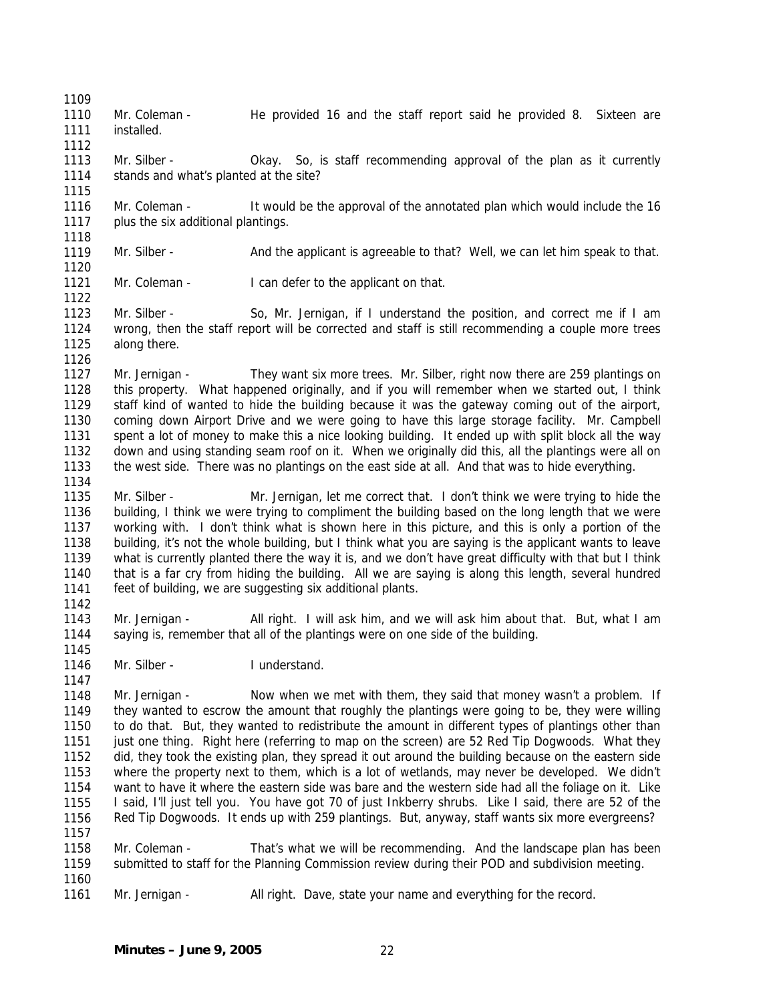1110 1111 Mr. Coleman - He provided 16 and the staff report said he provided 8. Sixteen are installed.

1113 1114 Mr. Silber - Okay. So, is staff recommending approval of the plan as it currently stands and what's planted at the site?

1116 1117 1118 Mr. Coleman - It would be the approval of the annotated plan which would include the 16 plus the six additional plantings.

1119 Mr. Silber - And the applicant is agreeable to that? Well, we can let him speak to that.

1121 Mr. Coleman - I can defer to the applicant on that.

1109

1112

1115

1120

1122

1126

1134

1142

1145

1147

1160

1123 1124 1125 Mr. Silber - So, Mr. Jernigan, if I understand the position, and correct me if I am wrong, then the staff report will be corrected and staff is still recommending a couple more trees along there.

1127 1128 1129 1130 1131 1132 1133 Mr. Jernigan - They want six more trees. Mr. Silber, right now there are 259 plantings on this property. What happened originally, and if you will remember when we started out, I think staff kind of wanted to hide the building because it was the gateway coming out of the airport, coming down Airport Drive and we were going to have this large storage facility. Mr. Campbell spent a lot of money to make this a nice looking building. It ended up with split block all the way down and using standing seam roof on it. When we originally did this, all the plantings were all on the west side. There was no plantings on the east side at all. And that was to hide everything.

1135 1136 1137 1138 1139 1140 1141 Mr. Silber - Mr. Jernigan, let me correct that. I don't think we were trying to hide the building, I think we were trying to compliment the building based on the long length that we were working with. I don't think what is shown here in this picture, and this is only a portion of the building, it's not the whole building, but I think what you are saying is the applicant wants to leave what is currently planted there the way it is, and we don't have great difficulty with that but I think that is a far cry from hiding the building. All we are saying is along this length, several hundred feet of building, we are suggesting six additional plants.

1143 1144 Mr. Jernigan - All right. I will ask him, and we will ask him about that. But, what I am saying is, remember that all of the plantings were on one side of the building.

1146 Mr. Silber - **I** understand.

1148 1149 1150 1151 1152 1153 1154 1155 1156 1157 Mr. Jernigan - Now when we met with them, they said that money wasn't a problem. If they wanted to escrow the amount that roughly the plantings were going to be, they were willing to do that. But, they wanted to redistribute the amount in different types of plantings other than just one thing. Right here (referring to map on the screen) are 52 Red Tip Dogwoods. What they did, they took the existing plan, they spread it out around the building because on the eastern side where the property next to them, which is a lot of wetlands, may never be developed. We didn't want to have it where the eastern side was bare and the western side had all the foliage on it. Like I said, I'll just tell you. You have got 70 of just Inkberry shrubs. Like I said, there are 52 of the Red Tip Dogwoods. It ends up with 259 plantings. But, anyway, staff wants six more evergreens?

1158 1159 Mr. Coleman - That's what we will be recommending. And the landscape plan has been submitted to staff for the Planning Commission review during their POD and subdivision meeting.

1161 Mr. Jernigan - All right. Dave, state your name and everything for the record.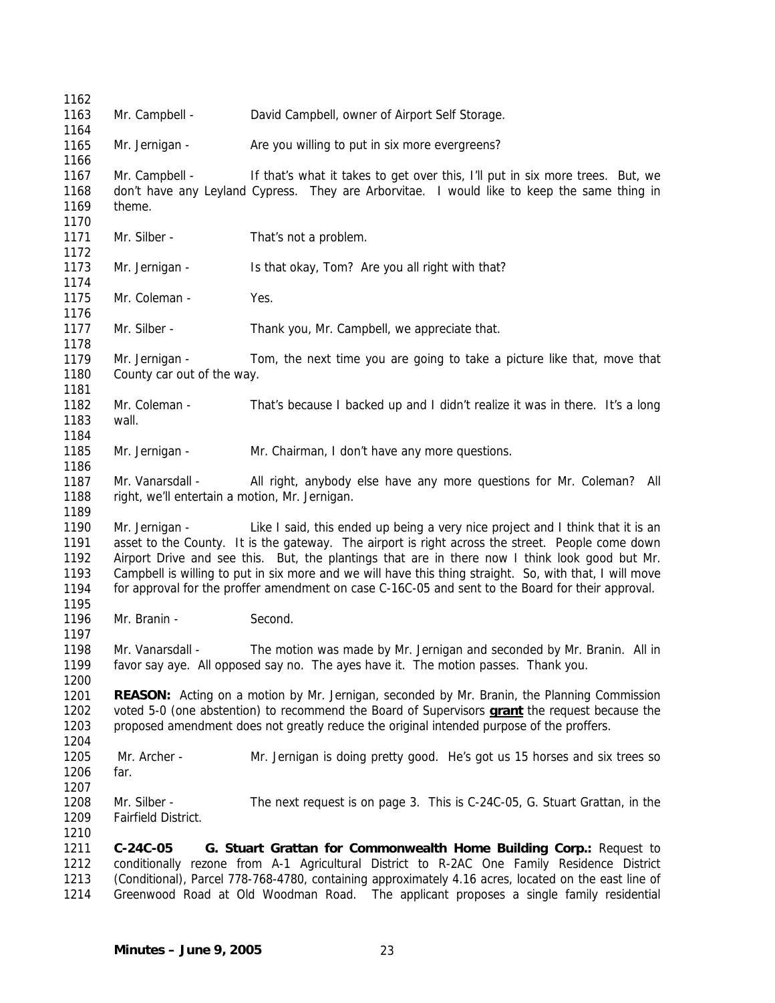| 1162<br>1163                         |                                                                                                                                                                                                                                                                                                   |                                                                                                                                                                                                                                                                                                                                                                                                                                                                                                      |  |
|--------------------------------------|---------------------------------------------------------------------------------------------------------------------------------------------------------------------------------------------------------------------------------------------------------------------------------------------------|------------------------------------------------------------------------------------------------------------------------------------------------------------------------------------------------------------------------------------------------------------------------------------------------------------------------------------------------------------------------------------------------------------------------------------------------------------------------------------------------------|--|
| 1164                                 | Mr. Campbell -                                                                                                                                                                                                                                                                                    | David Campbell, owner of Airport Self Storage.                                                                                                                                                                                                                                                                                                                                                                                                                                                       |  |
| 1165<br>1166                         | Mr. Jernigan -                                                                                                                                                                                                                                                                                    | Are you willing to put in six more evergreens?                                                                                                                                                                                                                                                                                                                                                                                                                                                       |  |
| 1167<br>1168<br>1169<br>1170         | Mr. Campbell -<br>theme.                                                                                                                                                                                                                                                                          | If that's what it takes to get over this, I'll put in six more trees. But, we<br>don't have any Leyland Cypress. They are Arborvitae. I would like to keep the same thing in                                                                                                                                                                                                                                                                                                                         |  |
| 1171<br>1172                         | Mr. Silber -                                                                                                                                                                                                                                                                                      | That's not a problem.                                                                                                                                                                                                                                                                                                                                                                                                                                                                                |  |
| 1173<br>1174                         | Mr. Jernigan -                                                                                                                                                                                                                                                                                    | Is that okay, Tom? Are you all right with that?                                                                                                                                                                                                                                                                                                                                                                                                                                                      |  |
| 1175<br>1176                         | Mr. Coleman -                                                                                                                                                                                                                                                                                     | Yes.                                                                                                                                                                                                                                                                                                                                                                                                                                                                                                 |  |
| 1177<br>1178                         | Mr. Silber -                                                                                                                                                                                                                                                                                      | Thank you, Mr. Campbell, we appreciate that.                                                                                                                                                                                                                                                                                                                                                                                                                                                         |  |
| 1179<br>1180<br>1181                 | Mr. Jernigan -<br>Tom, the next time you are going to take a picture like that, move that<br>County car out of the way.                                                                                                                                                                           |                                                                                                                                                                                                                                                                                                                                                                                                                                                                                                      |  |
| 1182<br>1183<br>1184                 | Mr. Coleman -<br>wall.                                                                                                                                                                                                                                                                            | That's because I backed up and I didn't realize it was in there. It's a long                                                                                                                                                                                                                                                                                                                                                                                                                         |  |
| 1185<br>1186                         | Mr. Jernigan -                                                                                                                                                                                                                                                                                    | Mr. Chairman, I don't have any more questions.                                                                                                                                                                                                                                                                                                                                                                                                                                                       |  |
| 1187<br>1188<br>1189                 | Mr. Vanarsdall -<br>All right, anybody else have any more questions for Mr. Coleman? All<br>right, we'll entertain a motion, Mr. Jernigan.                                                                                                                                                        |                                                                                                                                                                                                                                                                                                                                                                                                                                                                                                      |  |
| 1190<br>1191<br>1192<br>1193<br>1194 | Mr. Jernigan -                                                                                                                                                                                                                                                                                    | Like I said, this ended up being a very nice project and I think that it is an<br>asset to the County. It is the gateway. The airport is right across the street. People come down<br>Airport Drive and see this. But, the plantings that are in there now I think look good but Mr.<br>Campbell is willing to put in six more and we will have this thing straight. So, with that, I will move<br>for approval for the proffer amendment on case C-16C-05 and sent to the Board for their approval. |  |
| 1195<br>1196<br>1197                 | Mr. Branin -                                                                                                                                                                                                                                                                                      | Second.                                                                                                                                                                                                                                                                                                                                                                                                                                                                                              |  |
| 1198<br>1199<br>1200                 | Mr. Vanarsdall -                                                                                                                                                                                                                                                                                  | The motion was made by Mr. Jernigan and seconded by Mr. Branin. All in<br>favor say aye. All opposed say no. The ayes have it. The motion passes. Thank you.                                                                                                                                                                                                                                                                                                                                         |  |
| 1201<br>1202<br>1203<br>1204         | <b>REASON:</b> Acting on a motion by Mr. Jernigan, seconded by Mr. Branin, the Planning Commission<br>voted 5-0 (one abstention) to recommend the Board of Supervisors grant the request because the<br>proposed amendment does not greatly reduce the original intended purpose of the proffers. |                                                                                                                                                                                                                                                                                                                                                                                                                                                                                                      |  |
| 1205<br>1206<br>1207                 | Mr. Archer -<br>far.                                                                                                                                                                                                                                                                              | Mr. Jernigan is doing pretty good. He's got us 15 horses and six trees so                                                                                                                                                                                                                                                                                                                                                                                                                            |  |
| 1208<br>1209<br>1210                 | Mr. Silber -<br>Fairfield District.                                                                                                                                                                                                                                                               | The next request is on page 3. This is C-24C-05, G. Stuart Grattan, in the                                                                                                                                                                                                                                                                                                                                                                                                                           |  |
| 1211<br>1212<br>1213<br>1214         | C-24C-05                                                                                                                                                                                                                                                                                          | G. Stuart Grattan for Commonwealth Home Building Corp.: Request to<br>conditionally rezone from A-1 Agricultural District to R-2AC One Family Residence District<br>(Conditional), Parcel 778-768-4780, containing approximately 4.16 acres, located on the east line of<br>Greenwood Road at Old Woodman Road. The applicant proposes a single family residential                                                                                                                                   |  |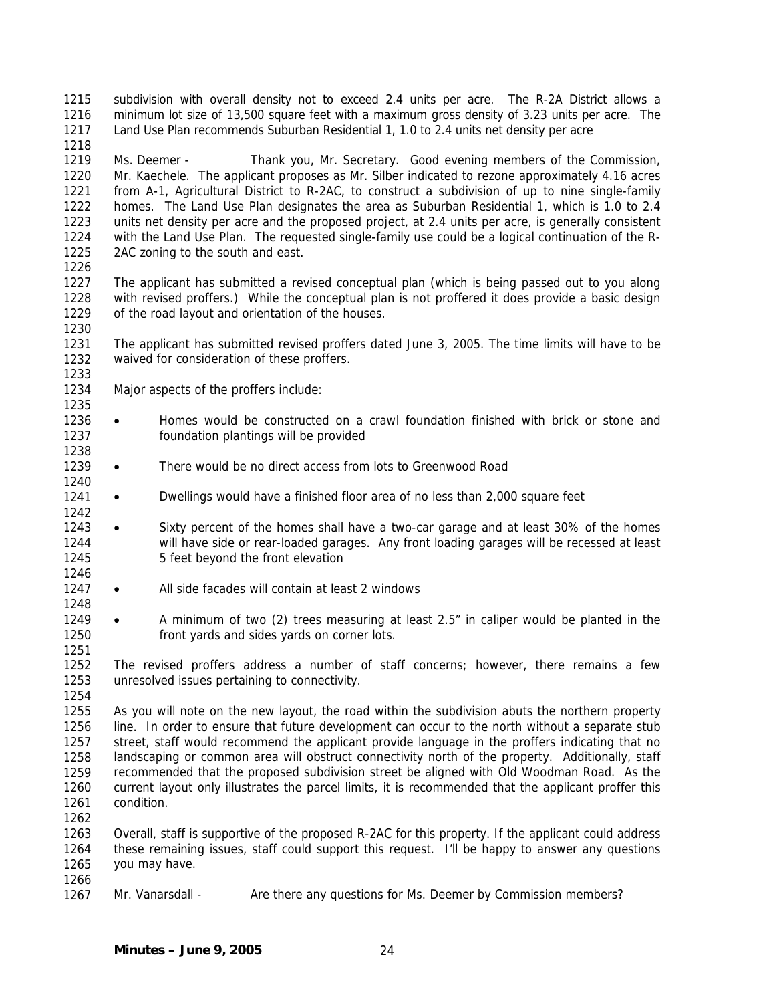1215 1216 1217 subdivision with overall density not to exceed 2.4 units per acre. The R-2A District allows a minimum lot size of 13,500 square feet with a maximum gross density of 3.23 units per acre. The Land Use Plan recommends Suburban Residential 1, 1.0 to 2.4 units net density per acre

1219 1220 1221 1222 1223 1224 1225 Ms. Deemer - Thank you, Mr. Secretary. Good evening members of the Commission, Mr. Kaechele. The applicant proposes as Mr. Silber indicated to rezone approximately 4.16 acres from A-1, Agricultural District to R-2AC, to construct a subdivision of up to nine single-family homes. The Land Use Plan designates the area as Suburban Residential 1, which is 1.0 to 2.4 units net density per acre and the proposed project, at 2.4 units per acre, is generally consistent with the Land Use Plan. The requested single-family use could be a logical continuation of the R-2AC zoning to the south and east.

1226

1233

1235

1238

1240

1242

1246

1248

1251

1218

1227 1228 1229 1230 The applicant has submitted a revised conceptual plan (which is being passed out to you along with revised proffers.) While the conceptual plan is not proffered it does provide a basic design of the road layout and orientation of the houses.

1231 1232 The applicant has submitted revised proffers dated June 3, 2005. The time limits will have to be waived for consideration of these proffers.

- 1234 Major aspects of the proffers include:
- 1236 1237 • Homes would be constructed on a crawl foundation finished with brick or stone and foundation plantings will be provided
- 1239 • There would be no direct access from lots to Greenwood Road
- 1241 • Dwellings would have a finished floor area of no less than 2,000 square feet
- 1243 1244 1245 • Sixty percent of the homes shall have a two-car garage and at least 30% of the homes will have side or rear-loaded garages. Any front loading garages will be recessed at least 5 feet beyond the front elevation
- 1247 • All side facades will contain at least 2 windows
- 1249 1250 • A minimum of two (2) trees measuring at least 2.5" in caliper would be planted in the front yards and sides yards on corner lots.

1252 1253 The revised proffers address a number of staff concerns; however, there remains a few unresolved issues pertaining to connectivity.

1254

1266

1255 1256 1257 1258 1259 1260 1261 1262 As you will note on the new layout, the road within the subdivision abuts the northern property line. In order to ensure that future development can occur to the north without a separate stub street, staff would recommend the applicant provide language in the proffers indicating that no landscaping or common area will obstruct connectivity north of the property. Additionally, staff recommended that the proposed subdivision street be aligned with Old Woodman Road. As the current layout only illustrates the parcel limits, it is recommended that the applicant proffer this condition.

1263 1264 1265 Overall, staff is supportive of the proposed R-2AC for this property. If the applicant could address these remaining issues, staff could support this request. I'll be happy to answer any questions you may have.

1267 Mr. Vanarsdall - Are there any questions for Ms. Deemer by Commission members?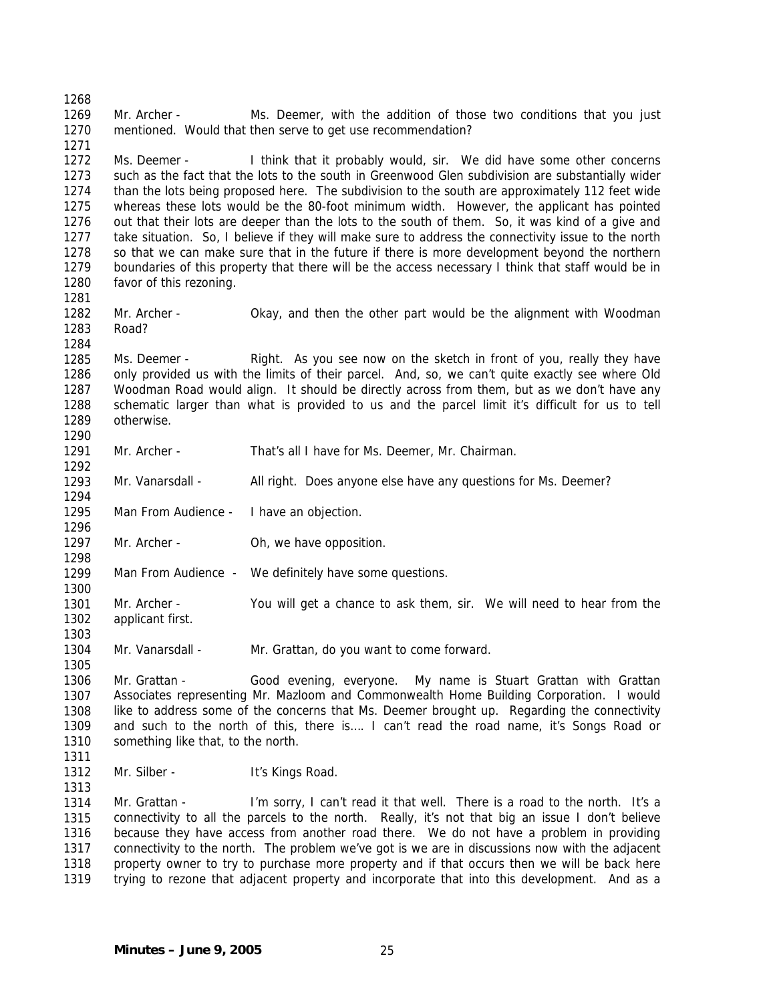1268 1269 1270 1271 1272 1273 1274 1275 1276 1277 1278 1279 1280 1281 1282 1283 1284 1285 1286 1287 1288 1289 1290 1291 1292 1293 1294 1295 1296 1297 1298 1299 1300 1301 1302 1303 1304 1305 1306 1307 1308 1309 1310 1311 1312 1313 1314 1315 1316 1317 1318 1319 Mr. Archer - Ms. Deemer, with the addition of those two conditions that you just mentioned. Would that then serve to get use recommendation? Ms. Deemer - I think that it probably would, sir. We did have some other concerns such as the fact that the lots to the south in Greenwood Glen subdivision are substantially wider than the lots being proposed here. The subdivision to the south are approximately 112 feet wide whereas these lots would be the 80-foot minimum width. However, the applicant has pointed out that their lots are deeper than the lots to the south of them. So, it was kind of a give and take situation. So, I believe if they will make sure to address the connectivity issue to the north so that we can make sure that in the future if there is more development beyond the northern boundaries of this property that there will be the access necessary I think that staff would be in favor of this rezoning. Mr. Archer - Okay, and then the other part would be the alignment with Woodman Road? Ms. Deemer - Right. As you see now on the sketch in front of you, really they have only provided us with the limits of their parcel. And, so, we can't quite exactly see where Old Woodman Road would align. It should be directly across from them, but as we don't have any schematic larger than what is provided to us and the parcel limit it's difficult for us to tell otherwise. Mr. Archer - That's all I have for Ms. Deemer, Mr. Chairman. Mr. Vanarsdall - All right. Does anyone else have any questions for Ms. Deemer? Man From Audience - I have an objection. Mr. Archer - Oh, we have opposition. Man From Audience - We definitely have some questions. Mr. Archer - You will get a chance to ask them, sir. We will need to hear from the applicant first. Mr. Vanarsdall - Mr. Grattan, do you want to come forward. Mr. Grattan - Good evening, everyone. My name is Stuart Grattan with Grattan Associates representing Mr. Mazloom and Commonwealth Home Building Corporation. I would like to address some of the concerns that Ms. Deemer brought up. Regarding the connectivity and such to the north of this, there is…. I can't read the road name, it's Songs Road or something like that, to the north. Mr. Silber - It's Kings Road. Mr. Grattan - I'm sorry, I can't read it that well. There is a road to the north. It's a connectivity to all the parcels to the north. Really, it's not that big an issue I don't believe because they have access from another road there. We do not have a problem in providing connectivity to the north. The problem we've got is we are in discussions now with the adjacent property owner to try to purchase more property and if that occurs then we will be back here trying to rezone that adjacent property and incorporate that into this development. And as a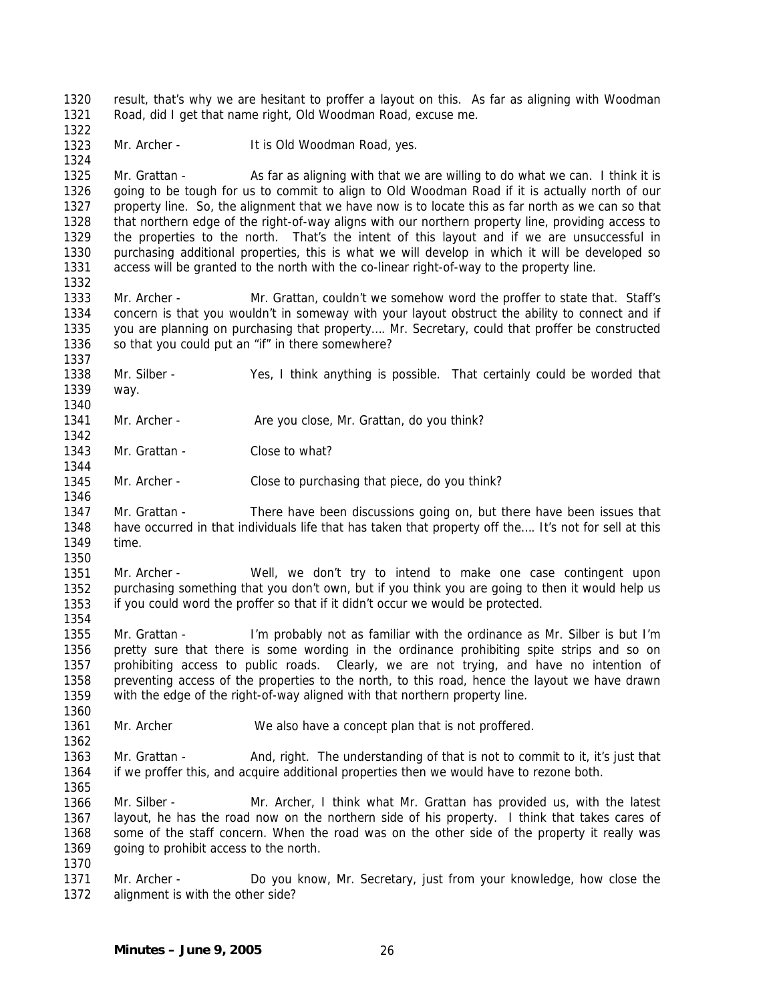1320 1321 result, that's why we are hesitant to proffer a layout on this. As far as aligning with Woodman Road, did I get that name right, Old Woodman Road, excuse me.

1323 Mr. Archer - It is Old Woodman Road, yes.

1325 1326 1327 1328 1329 1330 1331 Mr. Grattan - As far as aligning with that we are willing to do what we can. I think it is going to be tough for us to commit to align to Old Woodman Road if it is actually north of our property line. So, the alignment that we have now is to locate this as far north as we can so that that northern edge of the right-of-way aligns with our northern property line, providing access to the properties to the north. That's the intent of this layout and if we are unsuccessful in purchasing additional properties, this is what we will develop in which it will be developed so access will be granted to the north with the co-linear right-of-way to the property line.

1332

1337

1340

1342

1344

1346

1350

1354

1360

1362

1322

1324

1333 1334 1335 1336 Mr. Archer - Mr. Grattan, couldn't we somehow word the proffer to state that. Staff's concern is that you wouldn't in someway with your layout obstruct the ability to connect and if you are planning on purchasing that property…. Mr. Secretary, could that proffer be constructed so that you could put an "if" in there somewhere?

1338 1339 Mr. Silber - Yes, I think anything is possible. That certainly could be worded that way.

1341 Mr. Archer - Are you close, Mr. Grattan, do you think?

1343 Mr. Grattan - Close to what?

1345 Mr. Archer - Close to purchasing that piece, do you think?

1347 1348 1349 Mr. Grattan - There have been discussions going on, but there have been issues that have occurred in that individuals life that has taken that property off the…. It's not for sell at this time.

1351 1352 1353 Mr. Archer - Well, we don't try to intend to make one case contingent upon purchasing something that you don't own, but if you think you are going to then it would help us if you could word the proffer so that if it didn't occur we would be protected.

1355 1356 1357 1358 1359 Mr. Grattan - I'm probably not as familiar with the ordinance as Mr. Silber is but I'm pretty sure that there is some wording in the ordinance prohibiting spite strips and so on prohibiting access to public roads. Clearly, we are not trying, and have no intention of preventing access of the properties to the north, to this road, hence the layout we have drawn with the edge of the right-of-way aligned with that northern property line.

1361 Mr. Archer We also have a concept plan that is not proffered.

1363 1364 1365 Mr. Grattan - And, right. The understanding of that is not to commit to it, it's just that if we proffer this, and acquire additional properties then we would have to rezone both.

1366 1367 1368 1369 Mr. Silber - Mr. Archer, I think what Mr. Grattan has provided us, with the latest layout, he has the road now on the northern side of his property. I think that takes cares of some of the staff concern. When the road was on the other side of the property it really was going to prohibit access to the north.

1370

1371 1372 Mr. Archer - Do you know, Mr. Secretary, just from your knowledge, how close the alignment is with the other side?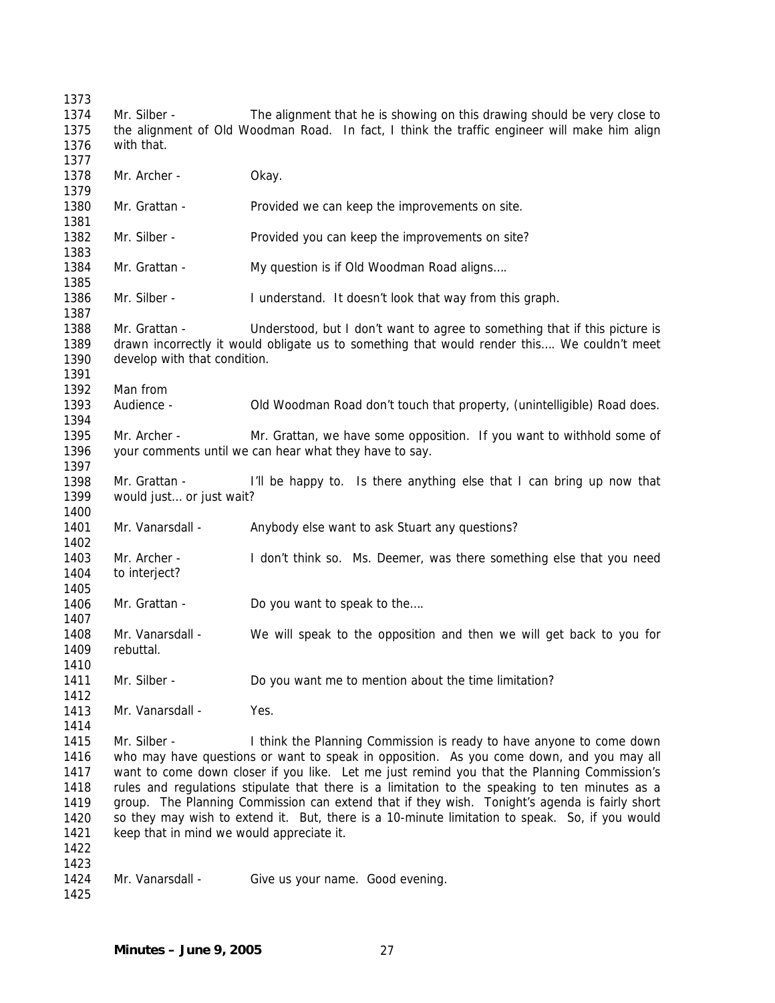Mr. Silber - The alignment that he is showing on this drawing should be very close to the alignment of Old Woodman Road. In fact, I think the traffic engineer will make him align with that. Mr. Archer - Okay. Mr. Grattan - Provided we can keep the improvements on site. Mr. Silber - Provided you can keep the improvements on site? Mr. Grattan - My question is if Old Woodman Road aligns.... Mr. Silber - I understand. It doesn't look that way from this graph. Mr. Grattan - Understood, but I don't want to agree to something that if this picture is drawn incorrectly it would obligate us to something that would render this…. We couldn't meet develop with that condition. Man from Audience - Old Woodman Road don't touch that property, (unintelligible) Road does. Mr. Archer - Mr. Grattan, we have some opposition. If you want to withhold some of your comments until we can hear what they have to say. Mr. Grattan - I'll be happy to. Is there anything else that I can bring up now that would just… or just wait? Mr. Vanarsdall - Anybody else want to ask Stuart any questions? Mr. Archer - I don't think so. Ms. Deemer, was there something else that you need to interject? Mr. Grattan - Do you want to speak to the.... Mr. Vanarsdall - We will speak to the opposition and then we will get back to you for rebuttal. Mr. Silber - Do you want me to mention about the time limitation? Mr. Vanarsdall - Yes. Mr. Silber - I think the Planning Commission is ready to have anyone to come down who may have questions or want to speak in opposition. As you come down, and you may all want to come down closer if you like. Let me just remind you that the Planning Commission's rules and regulations stipulate that there is a limitation to the speaking to ten minutes as a group. The Planning Commission can extend that if they wish. Tonight's agenda is fairly short so they may wish to extend it. But, there is a 10-minute limitation to speak. So, if you would keep that in mind we would appreciate it. Mr. Vanarsdall - Give us your name. Good evening.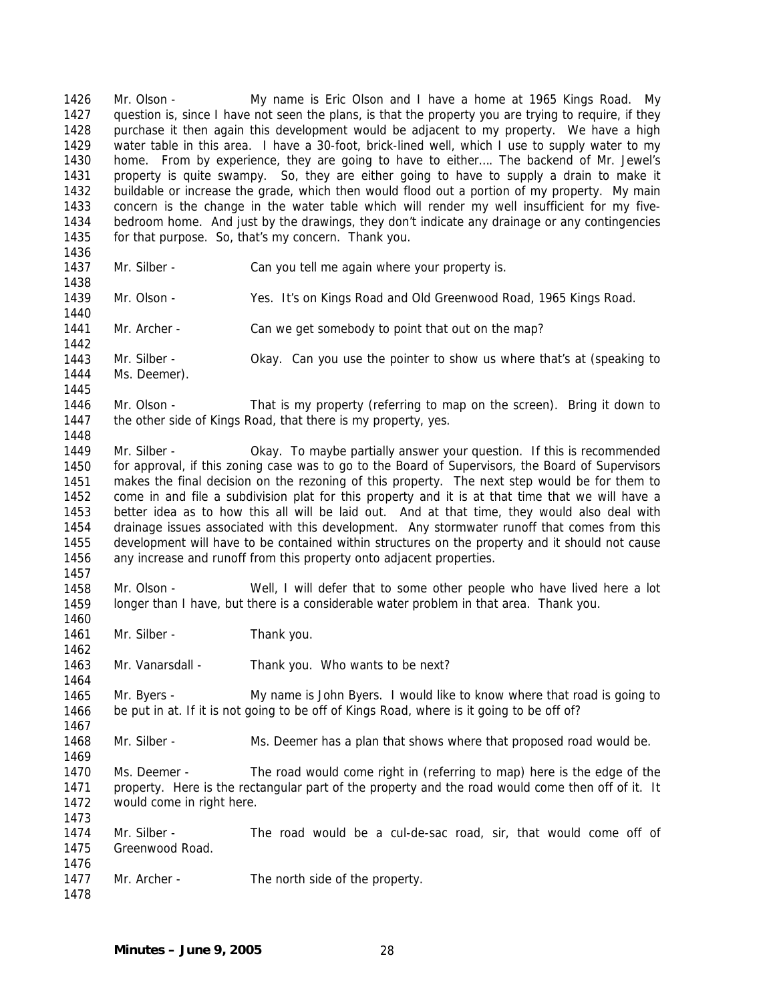1426 1427 1428 1429 1430 1431 1432 1433 1434 1435 1436 1437 1438 1439 1440 1441 1442 1443 1444 1445 1446 1447 1448 1449 1450 1451 1452 1453 1454 1455 1456 1457 1458 1459 1460 1461 1462 1463 1464 1465 1466 1467 1468 1469 1470 1471 1472 1473 1474 1475 1476 1477 1478 Mr. Olson - My name is Eric Olson and I have a home at 1965 Kings Road. My question is, since I have not seen the plans, is that the property you are trying to require, if they purchase it then again this development would be adjacent to my property. We have a high water table in this area. I have a 30-foot, brick-lined well, which I use to supply water to my home. From by experience, they are going to have to either…. The backend of Mr. Jewel's property is quite swampy. So, they are either going to have to supply a drain to make it buildable or increase the grade, which then would flood out a portion of my property. My main concern is the change in the water table which will render my well insufficient for my fivebedroom home. And just by the drawings, they don't indicate any drainage or any contingencies for that purpose. So, that's my concern. Thank you. Mr. Silber - Can you tell me again where your property is. Mr. Olson - Yes. It's on Kings Road and Old Greenwood Road, 1965 Kings Road. Mr. Archer - Can we get somebody to point that out on the map? Mr. Silber - Okay. Can you use the pointer to show us where that's at (speaking to Ms. Deemer). Mr. Olson - That is my property (referring to map on the screen). Bring it down to the other side of Kings Road, that there is my property, yes. Mr. Silber - Okay. To maybe partially answer your question. If this is recommended for approval, if this zoning case was to go to the Board of Supervisors, the Board of Supervisors makes the final decision on the rezoning of this property. The next step would be for them to come in and file a subdivision plat for this property and it is at that time that we will have a better idea as to how this all will be laid out. And at that time, they would also deal with drainage issues associated with this development. Any stormwater runoff that comes from this development will have to be contained within structures on the property and it should not cause any increase and runoff from this property onto adjacent properties. Mr. Olson - Well, I will defer that to some other people who have lived here a lot longer than I have, but there is a considerable water problem in that area. Thank you. Mr. Silber - Thank you. Mr. Vanarsdall - Thank you. Who wants to be next? Mr. Byers - My name is John Byers. I would like to know where that road is going to be put in at. If it is not going to be off of Kings Road, where is it going to be off of? Mr. Silber - Ms. Deemer has a plan that shows where that proposed road would be. Ms. Deemer - The road would come right in (referring to map) here is the edge of the property. Here is the rectangular part of the property and the road would come then off of it. It would come in right here. Mr. Silber - The road would be a cul-de-sac road, sir, that would come off of Greenwood Road. Mr. Archer - The north side of the property.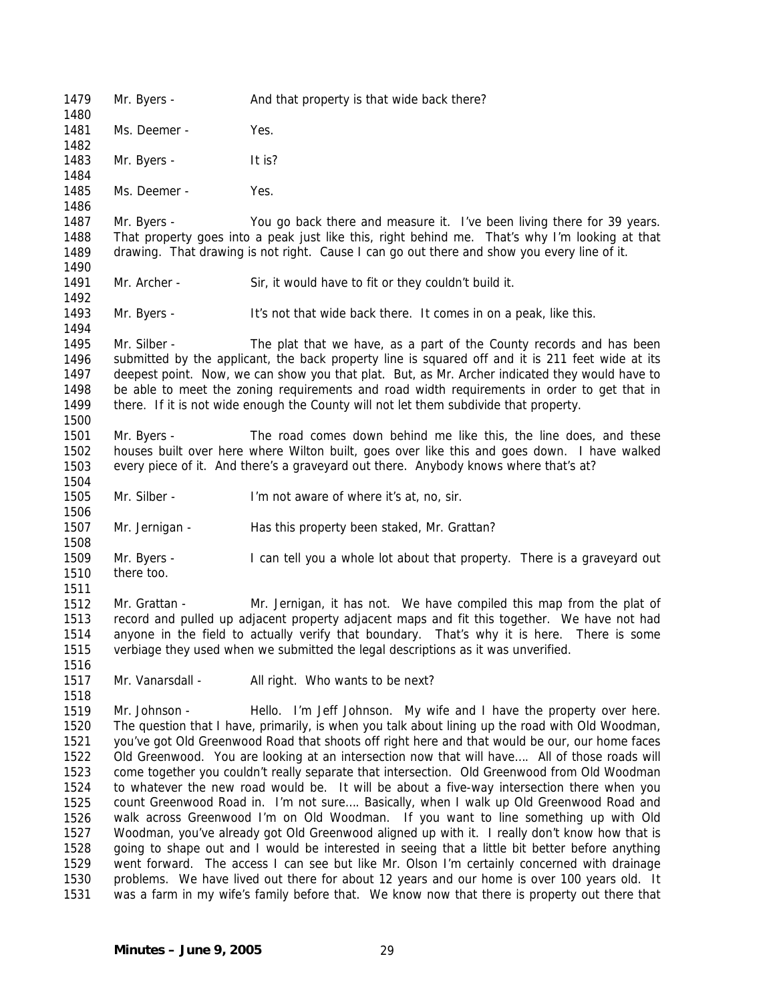1479 1480 1481 1482 1483 1484 1485 1486 1487 1488 1489 1490 1491 1492 1493 1494 1495 1496 1497 1498 1499 1500 1501 1502 1503 1504 1505 1506 1507 1508 1509 1510 1511 1512 1513 1514 1515 1516 1517 1518 1519 1520 1521 1522 1523 1524 1525 1526 1527 1528 1529 1530 1531 Mr. Byers - And that property is that wide back there? Ms. Deemer - Yes. Mr. Byers - It is? Ms. Deemer - Yes. Mr. Byers - You go back there and measure it. I've been living there for 39 years. That property goes into a peak just like this, right behind me. That's why I'm looking at that drawing. That drawing is not right. Cause I can go out there and show you every line of it. Mr. Archer - Sir, it would have to fit or they couldn't build it. Mr. Byers - It's not that wide back there. It comes in on a peak, like this. Mr. Silber - The plat that we have, as a part of the County records and has been submitted by the applicant, the back property line is squared off and it is 211 feet wide at its deepest point. Now, we can show you that plat. But, as Mr. Archer indicated they would have to be able to meet the zoning requirements and road width requirements in order to get that in there. If it is not wide enough the County will not let them subdivide that property. Mr. Byers - The road comes down behind me like this, the line does, and these houses built over here where Wilton built, goes over like this and goes down. I have walked every piece of it. And there's a graveyard out there. Anybody knows where that's at? Mr. Silber - I'm not aware of where it's at, no, sir. Mr. Jernigan - Has this property been staked, Mr. Grattan? Mr. Byers - I can tell you a whole lot about that property. There is a graveyard out there too. Mr. Grattan - Mr. Jernigan, it has not. We have compiled this map from the plat of record and pulled up adjacent property adjacent maps and fit this together. We have not had anyone in the field to actually verify that boundary. That's why it is here. There is some verbiage they used when we submitted the legal descriptions as it was unverified. Mr. Vanarsdall - All right. Who wants to be next? Mr. Johnson - Hello. I'm Jeff Johnson. My wife and I have the property over here. The question that I have, primarily, is when you talk about lining up the road with Old Woodman, you've got Old Greenwood Road that shoots off right here and that would be our, our home faces Old Greenwood. You are looking at an intersection now that will have…. All of those roads will come together you couldn't really separate that intersection. Old Greenwood from Old Woodman to whatever the new road would be. It will be about a five-way intersection there when you count Greenwood Road in. I'm not sure…. Basically, when I walk up Old Greenwood Road and walk across Greenwood I'm on Old Woodman. If you want to line something up with Old Woodman, you've already got Old Greenwood aligned up with it. I really don't know how that is going to shape out and I would be interested in seeing that a little bit better before anything went forward. The access I can see but like Mr. Olson I'm certainly concerned with drainage problems. We have lived out there for about 12 years and our home is over 100 years old. It was a farm in my wife's family before that. We know now that there is property out there that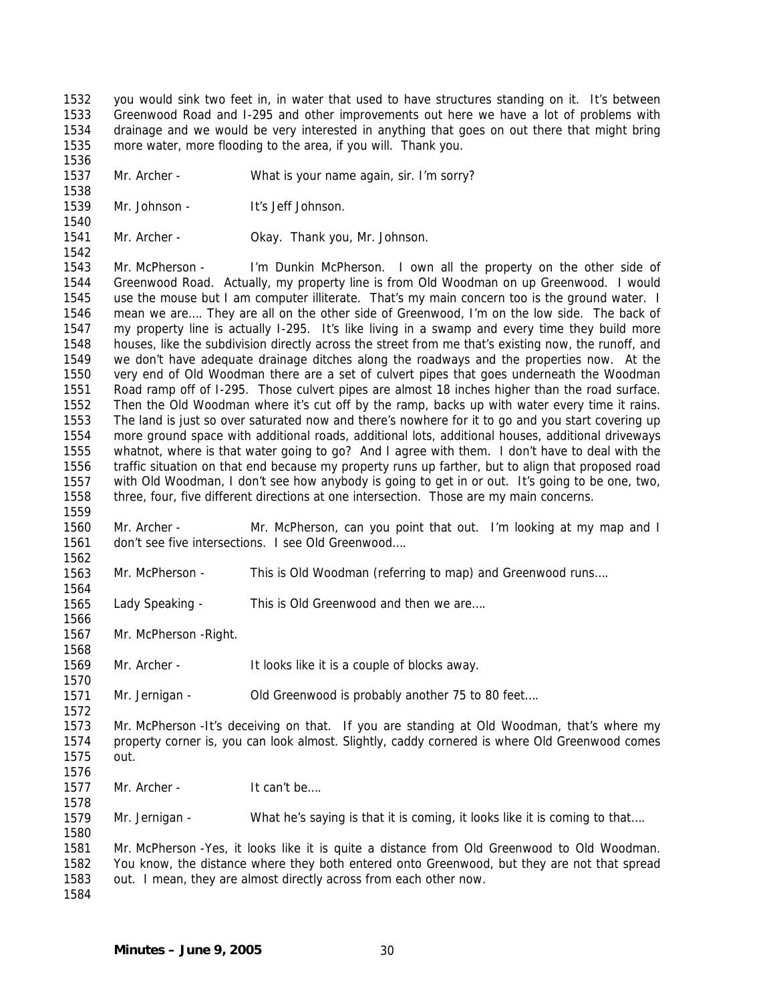1532 1533 1534 1535 you would sink two feet in, in water that used to have structures standing on it. It's between Greenwood Road and I-295 and other improvements out here we have a lot of problems with drainage and we would be very interested in anything that goes on out there that might bring more water, more flooding to the area, if you will. Thank you.

1536 1537 1538

1562

1564

1566

1568

1570

1572

1578

1580

Mr. Archer - What is your name again, sir. I'm sorry?

- 1539 1540 Mr. Johnson - It's Jeff Johnson.
- 1541 1542 Mr. Archer - **Okay. Thank you, Mr. Johnson.**

1543 1544 1545 1546 1547 1548 1549 1550 1551 1552 1553 1554 1555 1556 1557 1558 1559 Mr. McPherson - I'm Dunkin McPherson. I own all the property on the other side of Greenwood Road. Actually, my property line is from Old Woodman on up Greenwood. I would use the mouse but I am computer illiterate. That's my main concern too is the ground water. I mean we are…. They are all on the other side of Greenwood, I'm on the low side. The back of my property line is actually I-295. It's like living in a swamp and every time they build more houses, like the subdivision directly across the street from me that's existing now, the runoff, and we don't have adequate drainage ditches along the roadways and the properties now. At the very end of Old Woodman there are a set of culvert pipes that goes underneath the Woodman Road ramp off of I-295. Those culvert pipes are almost 18 inches higher than the road surface. Then the Old Woodman where it's cut off by the ramp, backs up with water every time it rains. The land is just so over saturated now and there's nowhere for it to go and you start covering up more ground space with additional roads, additional lots, additional houses, additional driveways whatnot, where is that water going to go? And I agree with them. I don't have to deal with the traffic situation on that end because my property runs up farther, but to align that proposed road with Old Woodman, I don't see how anybody is going to get in or out. It's going to be one, two, three, four, five different directions at one intersection. Those are my main concerns.

- 1560 1561 Mr. Archer - Mr. McPherson, can you point that out. I'm looking at my map and I don't see five intersections. I see Old Greenwood….
- 1563 Mr. McPherson - This is Old Woodman (referring to map) and Greenwood runs….
- 1565 Lady Speaking - This is Old Greenwood and then we are....
- 1567 Mr. McPherson -Right.

1569 Mr. Archer - It looks like it is a couple of blocks away.

1571 Mr. Jernigan - Old Greenwood is probably another 75 to 80 feet....

1573 1574 1575 1576 Mr. McPherson -It's deceiving on that. If you are standing at Old Woodman, that's where my property corner is, you can look almost. Slightly, caddy cornered is where Old Greenwood comes out.

1577 Mr. Archer - It can't be....

1579 Mr. Jernigan - What he's saying is that it is coming, it looks like it is coming to that....

1581 1582 1583 1584 Mr. McPherson -Yes, it looks like it is quite a distance from Old Greenwood to Old Woodman. You know, the distance where they both entered onto Greenwood, but they are not that spread out. I mean, they are almost directly across from each other now.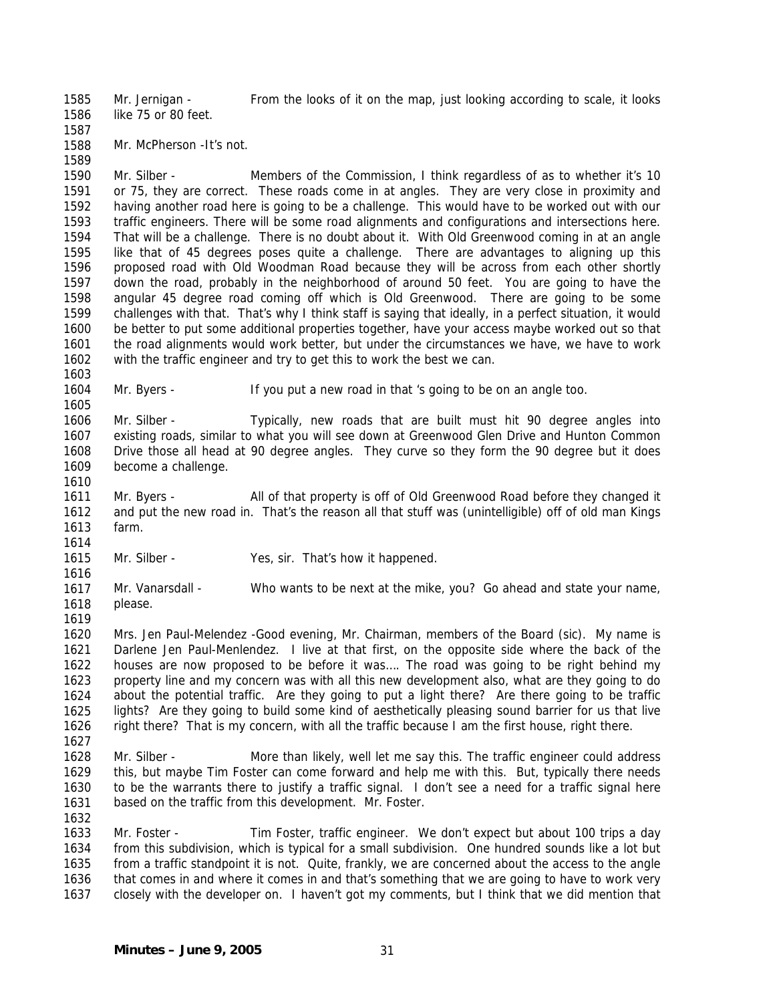1585 1586 Mr. Jernigan - From the looks of it on the map, just looking according to scale, it looks like 75 or 80 feet.

1587

1589

1603

1605

1588 Mr. McPherson -It's not.

1590 1591 1592 1593 1594 1595 1596 1597 1598 1599 1600 1601 1602 Mr. Silber - Members of the Commission, I think regardless of as to whether it's 10 or 75, they are correct. These roads come in at angles. They are very close in proximity and having another road here is going to be a challenge. This would have to be worked out with our traffic engineers. There will be some road alignments and configurations and intersections here. That will be a challenge. There is no doubt about it. With Old Greenwood coming in at an angle like that of 45 degrees poses quite a challenge. There are advantages to aligning up this proposed road with Old Woodman Road because they will be across from each other shortly down the road, probably in the neighborhood of around 50 feet. You are going to have the angular 45 degree road coming off which is Old Greenwood. There are going to be some challenges with that. That's why I think staff is saying that ideally, in a perfect situation, it would be better to put some additional properties together, have your access maybe worked out so that the road alignments would work better, but under the circumstances we have, we have to work with the traffic engineer and try to get this to work the best we can.

1604 Mr. Byers - If you put a new road in that 's going to be on an angle too.

1606 1607 1608 1609 Mr. Silber - Typically, new roads that are built must hit 90 degree angles into existing roads, similar to what you will see down at Greenwood Glen Drive and Hunton Common Drive those all head at 90 degree angles. They curve so they form the 90 degree but it does become a challenge.

1610 1611 1612 1613 Mr. Byers - All of that property is off of Old Greenwood Road before they changed it and put the new road in. That's the reason all that stuff was (unintelligible) off of old man Kings farm.

1615 Mr. Silber - Yes, sir. That's how it happened.

1617 1618 Mr. Vanarsdall - Who wants to be next at the mike, you? Go ahead and state your name, please.

1619

1614

1616

1620 1621 1622 1623 1624 1625 1626 Mrs. Jen Paul-Melendez -Good evening, Mr. Chairman, members of the Board (sic). My name is Darlene Jen Paul-Menlendez. I live at that first, on the opposite side where the back of the houses are now proposed to be before it was…. The road was going to be right behind my property line and my concern was with all this new development also, what are they going to do about the potential traffic. Are they going to put a light there? Are there going to be traffic lights? Are they going to build some kind of aesthetically pleasing sound barrier for us that live right there? That is my concern, with all the traffic because I am the first house, right there.

- 1627
- 1628 1629 1630 1631 1632 Mr. Silber - More than likely, well let me say this. The traffic engineer could address this, but maybe Tim Foster can come forward and help me with this. But, typically there needs to be the warrants there to justify a traffic signal. I don't see a need for a traffic signal here based on the traffic from this development. Mr. Foster.

1633 1634 1635 1636 1637 Mr. Foster - Tim Foster, traffic engineer. We don't expect but about 100 trips a day from this subdivision, which is typical for a small subdivision. One hundred sounds like a lot but from a traffic standpoint it is not. Quite, frankly, we are concerned about the access to the angle that comes in and where it comes in and that's something that we are going to have to work very closely with the developer on. I haven't got my comments, but I think that we did mention that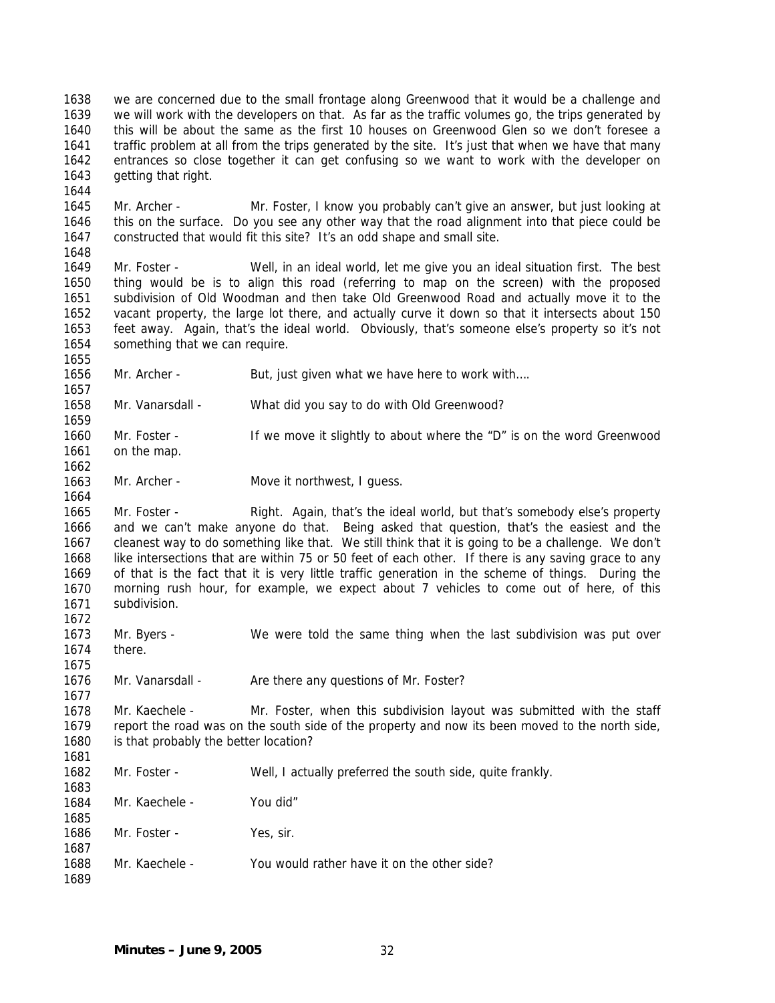1638 1639 1640 1641 1642 1643 we are concerned due to the small frontage along Greenwood that it would be a challenge and we will work with the developers on that. As far as the traffic volumes go, the trips generated by this will be about the same as the first 10 houses on Greenwood Glen so we don't foresee a traffic problem at all from the trips generated by the site. It's just that when we have that many entrances so close together it can get confusing so we want to work with the developer on getting that right.

- 1645 1646 1647 1648 Mr. Archer - Mr. Foster, I know you probably can't give an answer, but just looking at this on the surface. Do you see any other way that the road alignment into that piece could be constructed that would fit this site? It's an odd shape and small site.
- 1649 1650 1651 1652 1653 1654 Mr. Foster - Well, in an ideal world, let me give you an ideal situation first. The best thing would be is to align this road (referring to map on the screen) with the proposed subdivision of Old Woodman and then take Old Greenwood Road and actually move it to the vacant property, the large lot there, and actually curve it down so that it intersects about 150 feet away. Again, that's the ideal world. Obviously, that's someone else's property so it's not something that we can require.
- 1656 Mr. Archer - But, just given what we have here to work with....
- 1658 Mr. Vanarsdall - What did you say to do with Old Greenwood?
- 1659 1660 1661 Mr. Foster - If we move it slightly to about where the "D" is on the word Greenwood on the map.
- 1663 Mr. Archer - Move it northwest, I guess.
- 1665 1666 1667 1668 1669 1670 1671 Mr. Foster - Right. Again, that's the ideal world, but that's somebody else's property and we can't make anyone do that. Being asked that question, that's the easiest and the cleanest way to do something like that. We still think that it is going to be a challenge. We don't like intersections that are within 75 or 50 feet of each other. If there is any saving grace to any of that is the fact that it is very little traffic generation in the scheme of things. During the morning rush hour, for example, we expect about 7 vehicles to come out of here, of this subdivision.
- 1673 1674 Mr. Byers - We were told the same thing when the last subdivision was put over there.
- 1676 Mr. Vanarsdall - Are there any questions of Mr. Foster?

1678 1679 1680 Mr. Kaechele - Mr. Foster, when this subdivision layout was submitted with the staff report the road was on the south side of the property and now its been moved to the north side, is that probably the better location?

- 1682 1683 Mr. Foster - Well, I actually preferred the south side, quite frankly.
- 1684 1685 Mr. Kaechele - You did"
- 1686 Mr. Foster - Yes, sir.
- 1688 Mr. Kaechele - You would rather have it on the other side?
- 1689

1687

1644

1655

1657

1662

1664

1672

1675

1677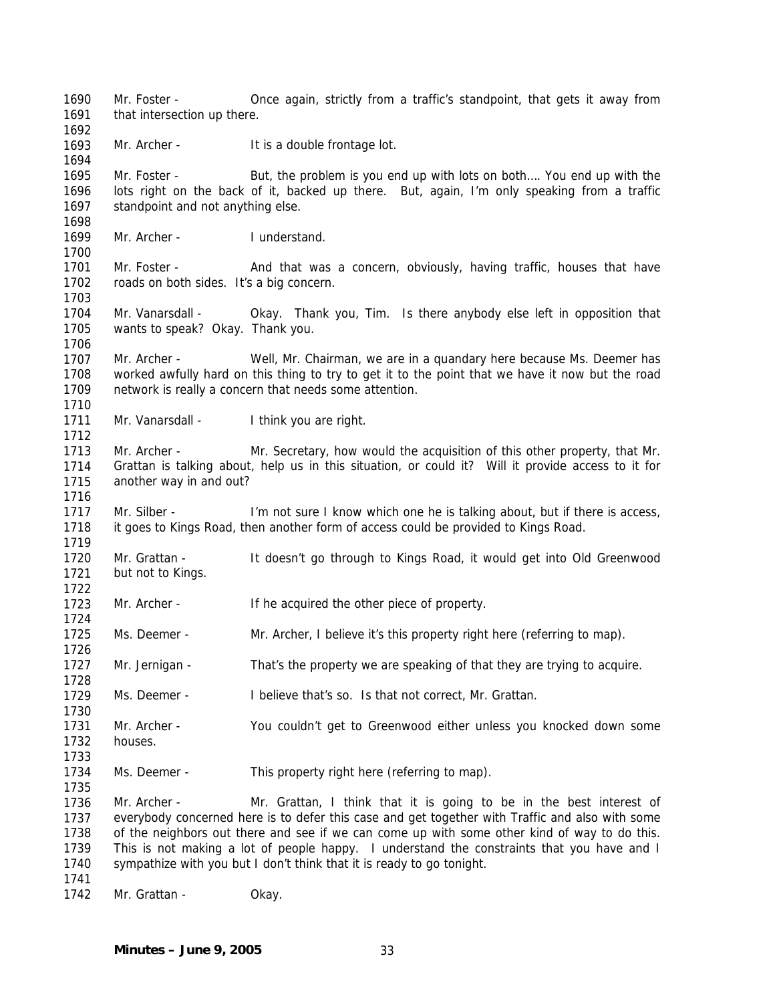1690 1691 1692 1693 1694 1695 1696 1697 1698 1699 1700 1701 1702 1703 1704 1705 1706 1707 1708 1709 1710 1711 1712 1713 1714 1715 1716 1717 1718 1719 1720 1721 1722 1723 1724 1725 1726 1727 1728 1729 1730 1731 1732 1733 1734 1735 1736 1737 1738 1739 1740 1741 1742 Mr. Foster - Once again, strictly from a traffic's standpoint, that gets it away from that intersection up there. Mr. Archer - It is a double frontage lot. Mr. Foster - But, the problem is you end up with lots on both.... You end up with the lots right on the back of it, backed up there. But, again, I'm only speaking from a traffic standpoint and not anything else. Mr. Archer - I understand. Mr. Foster - And that was a concern, obviously, having traffic, houses that have roads on both sides. It's a big concern. Mr. Vanarsdall - Okay. Thank you, Tim. Is there anybody else left in opposition that wants to speak? Okay. Thank you. Mr. Archer - Well, Mr. Chairman, we are in a quandary here because Ms. Deemer has worked awfully hard on this thing to try to get it to the point that we have it now but the road network is really a concern that needs some attention. Mr. Vanarsdall - I think you are right. Mr. Archer - Mr. Secretary, how would the acquisition of this other property, that Mr. Grattan is talking about, help us in this situation, or could it? Will it provide access to it for another way in and out? Mr. Silber - I'm not sure I know which one he is talking about, but if there is access, it goes to Kings Road, then another form of access could be provided to Kings Road. Mr. Grattan - It doesn't go through to Kings Road, it would get into Old Greenwood but not to Kings. Mr. Archer - If he acquired the other piece of property. Ms. Deemer - Mr. Archer, I believe it's this property right here (referring to map). Mr. Jernigan - That's the property we are speaking of that they are trying to acquire. Ms. Deemer - I believe that's so. Is that not correct, Mr. Grattan. Mr. Archer - You couldn't get to Greenwood either unless you knocked down some houses. Ms. Deemer - This property right here (referring to map). Mr. Archer - Mr. Grattan, I think that it is going to be in the best interest of everybody concerned here is to defer this case and get together with Traffic and also with some of the neighbors out there and see if we can come up with some other kind of way to do this. This is not making a lot of people happy. I understand the constraints that you have and I sympathize with you but I don't think that it is ready to go tonight. Mr. Grattan - Okay.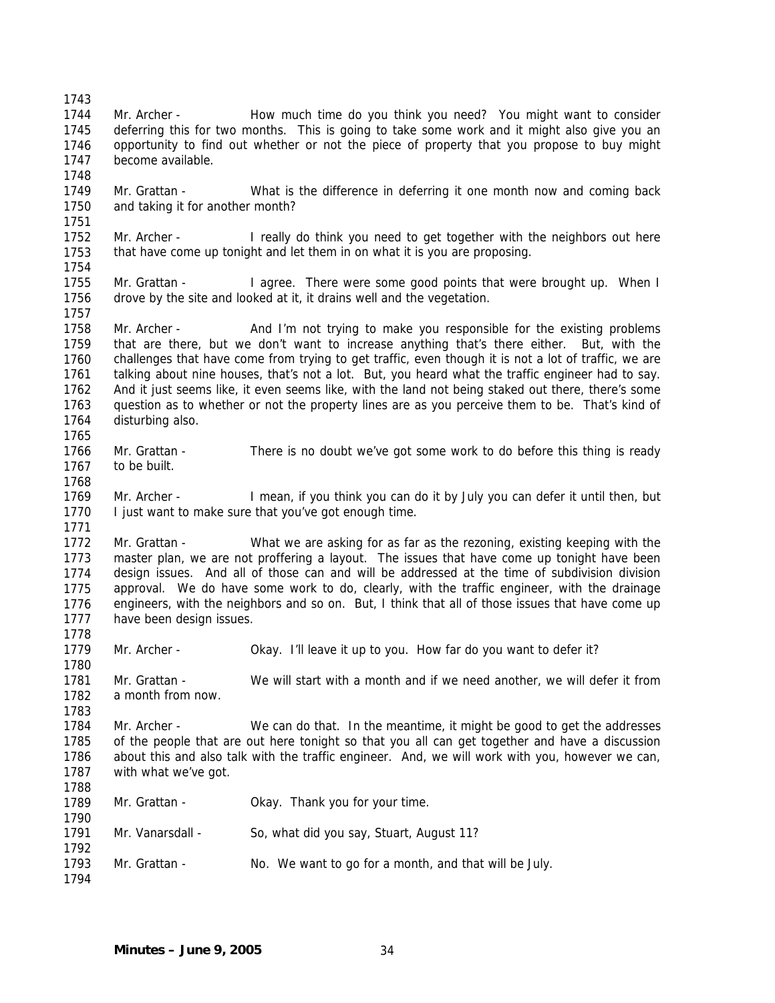1743 1744 1745 1746 1747 1748 1749 1750 1751 1752 1753 1754 1755 1756 1757 1758 1759 1760 1761 1762 1763 1764 1765 1766 1767 1768 1769 1770 1771 1772 1773 1774 1775 1776 1777 1778 1779 1780 1781 1782 1783 1784 1785 1786 1787 1788 1789 1790 1791 1792 1793 1794 Mr. Archer - How much time do you think you need? You might want to consider deferring this for two months. This is going to take some work and it might also give you an opportunity to find out whether or not the piece of property that you propose to buy might become available. Mr. Grattan - What is the difference in deferring it one month now and coming back and taking it for another month? Mr. Archer - I really do think you need to get together with the neighbors out here that have come up tonight and let them in on what it is you are proposing. Mr. Grattan - I agree. There were some good points that were brought up. When I drove by the site and looked at it, it drains well and the vegetation. Mr. Archer - And I'm not trying to make you responsible for the existing problems that are there, but we don't want to increase anything that's there either. But, with the challenges that have come from trying to get traffic, even though it is not a lot of traffic, we are talking about nine houses, that's not a lot. But, you heard what the traffic engineer had to say. And it just seems like, it even seems like, with the land not being staked out there, there's some question as to whether or not the property lines are as you perceive them to be. That's kind of disturbing also. Mr. Grattan - There is no doubt we've got some work to do before this thing is ready to be built. Mr. Archer - I mean, if you think you can do it by July you can defer it until then, but I just want to make sure that you've got enough time. Mr. Grattan - What we are asking for as far as the rezoning, existing keeping with the master plan, we are not proffering a layout. The issues that have come up tonight have been design issues. And all of those can and will be addressed at the time of subdivision division approval. We do have some work to do, clearly, with the traffic engineer, with the drainage engineers, with the neighbors and so on. But, I think that all of those issues that have come up have been design issues. Mr. Archer - Okay. I'll leave it up to you. How far do you want to defer it? Mr. Grattan - We will start with a month and if we need another, we will defer it from a month from now. Mr. Archer - We can do that. In the meantime, it might be good to get the addresses of the people that are out here tonight so that you all can get together and have a discussion about this and also talk with the traffic engineer. And, we will work with you, however we can, with what we've got. Mr. Grattan - Ckay. Thank you for your time. Mr. Vanarsdall - So, what did you say, Stuart, August 11? Mr. Grattan - No. We want to go for a month, and that will be July.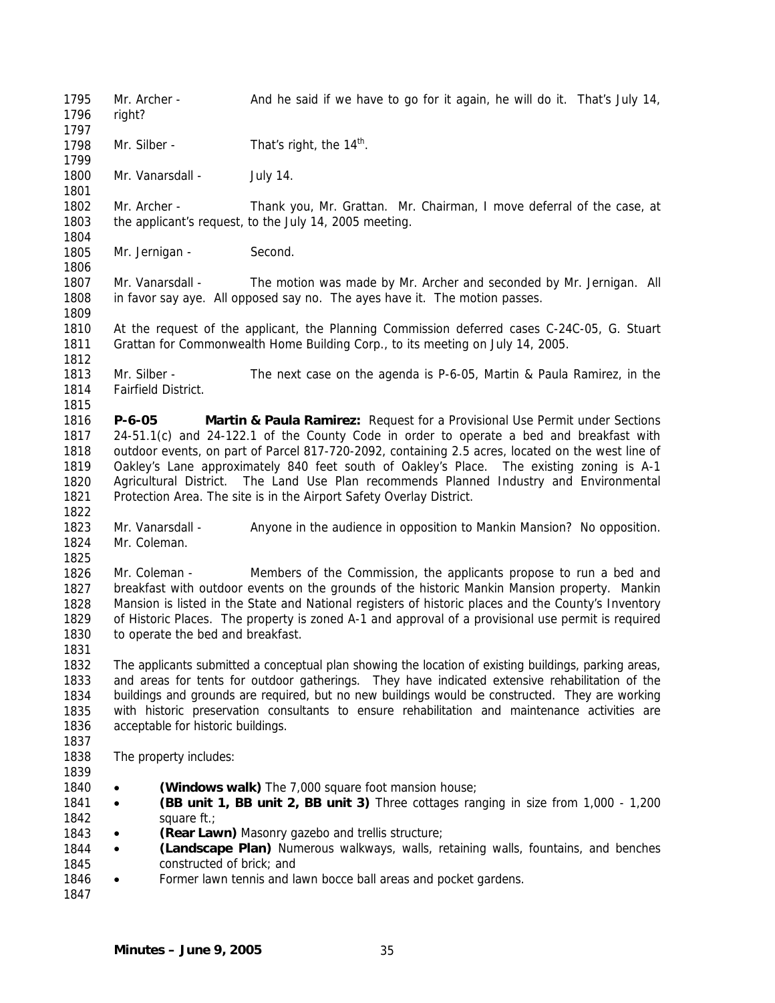1795 1796 1797 1798 1799 1800 1801 1802 1803 1804 1805 1806 1807 1808 1809 1810 1811 1812 1813 1814 1815 1816 1817 1818 1819 1820 1821 1822 1823 1824 1825 1826 1827 1828 1829 1830 1831 1832 1833 1834 1835 1836 1837 1838 1839 1840 1841 1842 1843 1844 1845 1846 1847 Mr. Archer - And he said if we have to go for it again, he will do it. That's July 14, right? Mr. Silber - That's right, the  $14<sup>th</sup>$ . Mr. Vanarsdall - July 14. Mr. Archer - Thank you, Mr. Grattan. Mr. Chairman, I move deferral of the case, at the applicant's request, to the July 14, 2005 meeting. Mr. Jernigan - Second. Mr. Vanarsdall - The motion was made by Mr. Archer and seconded by Mr. Jernigan. All in favor say aye. All opposed say no. The ayes have it. The motion passes. At the request of the applicant, the Planning Commission deferred cases C-24C-05, G. Stuart Grattan for Commonwealth Home Building Corp., to its meeting on July 14, 2005. Mr. Silber - The next case on the agenda is P-6-05, Martin & Paula Ramirez, in the Fairfield District. **P-6-05 Martin & Paula Ramirez:** Request for a Provisional Use Permit under Sections 24-51.1(c) and 24-122.1 of the County Code in order to operate a bed and breakfast with outdoor events, on part of Parcel 817-720-2092, containing 2.5 acres, located on the west line of Oakley's Lane approximately 840 feet south of Oakley's Place. The existing zoning is A-1 Agricultural District. The Land Use Plan recommends Planned Industry and Environmental Protection Area. The site is in the Airport Safety Overlay District. Mr. Vanarsdall - Anyone in the audience in opposition to Mankin Mansion? No opposition. Mr. Coleman. Mr. Coleman - Members of the Commission, the applicants propose to run a bed and breakfast with outdoor events on the grounds of the historic Mankin Mansion property. Mankin Mansion is listed in the State and National registers of historic places and the County's Inventory of Historic Places. The property is zoned A-1 and approval of a provisional use permit is required to operate the bed and breakfast. The applicants submitted a conceptual plan showing the location of existing buildings, parking areas, and areas for tents for outdoor gatherings. They have indicated extensive rehabilitation of the buildings and grounds are required, but no new buildings would be constructed. They are working with historic preservation consultants to ensure rehabilitation and maintenance activities are acceptable for historic buildings. The property includes: • **(Windows walk)** The 7,000 square foot mansion house; • **(BB unit 1, BB unit 2, BB unit 3)** Three cottages ranging in size from 1,000 - 1,200 square ft.; • **(Rear Lawn)** Masonry gazebo and trellis structure; • **(Landscape Plan)** Numerous walkways, walls, retaining walls, fountains, and benches constructed of brick; and • Former lawn tennis and lawn bocce ball areas and pocket gardens.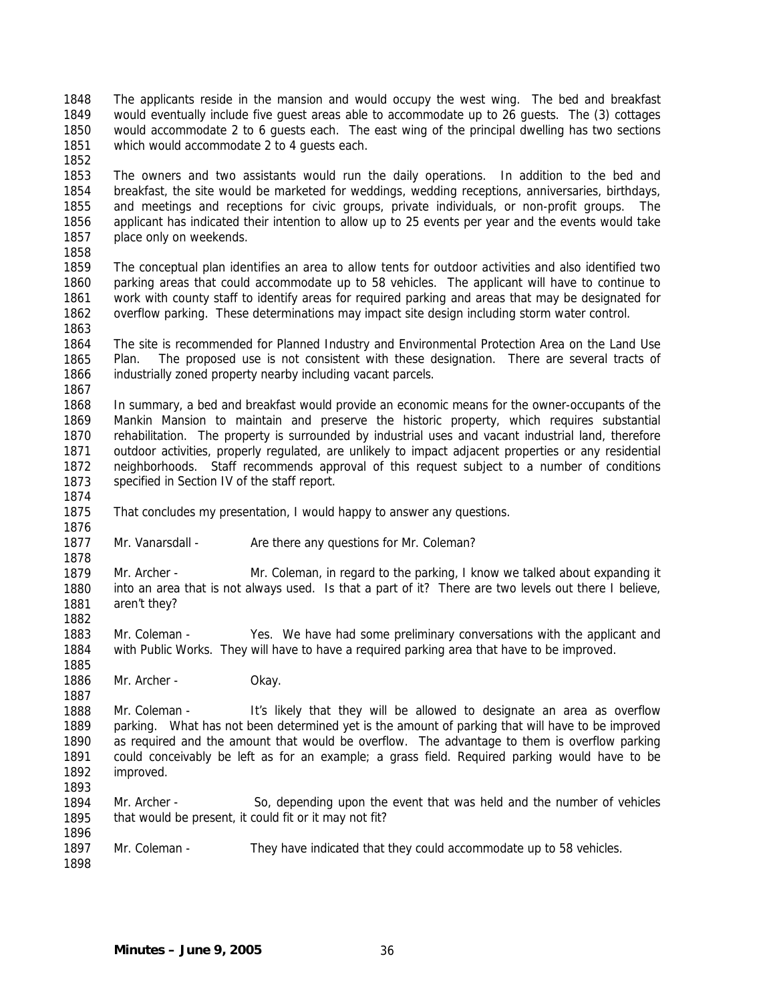1848 1849 1850 1851 The applicants reside in the mansion and would occupy the west wing. The bed and breakfast would eventually include five guest areas able to accommodate up to 26 guests. The (3) cottages would accommodate 2 to 6 guests each. The east wing of the principal dwelling has two sections which would accommodate 2 to 4 guests each.

1852

1853 1854 1855 1856 1857 The owners and two assistants would run the daily operations. In addition to the bed and breakfast, the site would be marketed for weddings, wedding receptions, anniversaries, birthdays, and meetings and receptions for civic groups, private individuals, or non-profit groups. The applicant has indicated their intention to allow up to 25 events per year and the events would take place only on weekends.

1858

1874

1878

1885

1887

1896

1859 1860 1861 1862 1863 The conceptual plan identifies an area to allow tents for outdoor activities and also identified two parking areas that could accommodate up to 58 vehicles. The applicant will have to continue to work with county staff to identify areas for required parking and areas that may be designated for overflow parking. These determinations may impact site design including storm water control.

1864 1865 1866 1867 The site is recommended for Planned Industry and Environmental Protection Area on the Land Use Plan. The proposed use is not consistent with these designation. There are several tracts of industrially zoned property nearby including vacant parcels.

1868 1869 1870 1871 1872 1873 In summary, a bed and breakfast would provide an economic means for the owner-occupants of the Mankin Mansion to maintain and preserve the historic property, which requires substantial rehabilitation. The property is surrounded by industrial uses and vacant industrial land, therefore outdoor activities, properly regulated, are unlikely to impact adjacent properties or any residential neighborhoods. Staff recommends approval of this request subject to a number of conditions specified in Section IV of the staff report.

- 1875 1876 That concludes my presentation, I would happy to answer any questions.
- 1877 Mr. Vanarsdall - Are there any questions for Mr. Coleman?

1879 1880 1881 1882 Mr. Archer - Mr. Coleman, in regard to the parking, I know we talked about expanding it into an area that is not always used. Is that a part of it? There are two levels out there I believe, aren't they?

1883 1884 Mr. Coleman - Yes. We have had some preliminary conversations with the applicant and with Public Works. They will have to have a required parking area that have to be improved.

1886 Mr. Archer - Okay.

1888 1889 1890 1891 1892 1893 Mr. Coleman - It's likely that they will be allowed to designate an area as overflow parking. What has not been determined yet is the amount of parking that will have to be improved as required and the amount that would be overflow. The advantage to them is overflow parking could conceivably be left as for an example; a grass field. Required parking would have to be improved.

1894 1895 Mr. Archer - So, depending upon the event that was held and the number of vehicles that would be present, it could fit or it may not fit?

1897 1898 Mr. Coleman - They have indicated that they could accommodate up to 58 vehicles.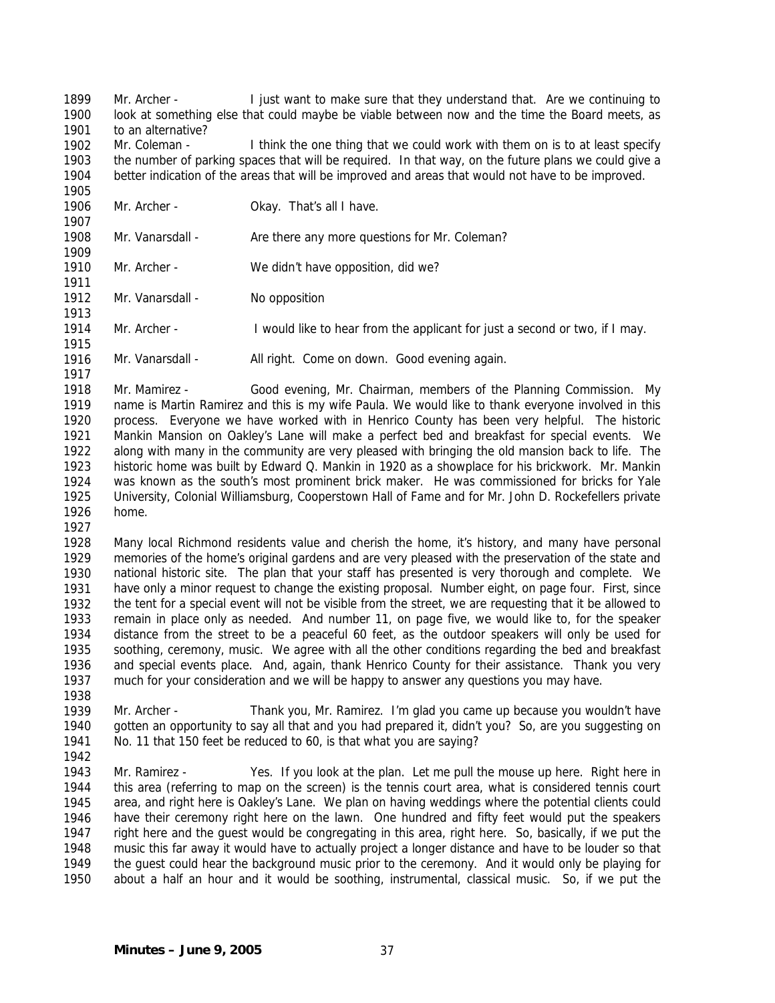1899 1900 1901 Mr. Archer - I just want to make sure that they understand that. Are we continuing to look at something else that could maybe be viable between now and the time the Board meets, as to an alternative?

1902 1903 1904 1905 Mr. Coleman - I think the one thing that we could work with them on is to at least specify the number of parking spaces that will be required. In that way, on the future plans we could give a better indication of the areas that will be improved and areas that would not have to be improved.

1906

1907

1911

1915

1917

Mr. Archer - **Okay. That's all I have.** 

1908 1909 Mr. Vanarsdall - Are there any more questions for Mr. Coleman?

1910 Mr. Archer - We didn't have opposition, did we?

1912 1913 Mr. Vanarsdall - No opposition

1914 Mr. Archer - I would like to hear from the applicant for just a second or two, if I may.

1916 Mr. Vanarsdall - All right. Come on down. Good evening again.

1918 1919 1920 1921 1922 1923 1924 1925 1926 Mr. Mamirez - Good evening, Mr. Chairman, members of the Planning Commission. My name is Martin Ramirez and this is my wife Paula. We would like to thank everyone involved in this process. Everyone we have worked with in Henrico County has been very helpful. The historic Mankin Mansion on Oakley's Lane will make a perfect bed and breakfast for special events. We along with many in the community are very pleased with bringing the old mansion back to life. The historic home was built by Edward Q. Mankin in 1920 as a showplace for his brickwork. Mr. Mankin was known as the south's most prominent brick maker. He was commissioned for bricks for Yale University, Colonial Williamsburg, Cooperstown Hall of Fame and for Mr. John D. Rockefellers private home.

1927

1928 1929 1930 1931 1932 1933 1934 1935 1936 1937 Many local Richmond residents value and cherish the home, it's history, and many have personal memories of the home's original gardens and are very pleased with the preservation of the state and national historic site. The plan that your staff has presented is very thorough and complete. We have only a minor request to change the existing proposal. Number eight, on page four. First, since the tent for a special event will not be visible from the street, we are requesting that it be allowed to remain in place only as needed. And number 11, on page five, we would like to, for the speaker distance from the street to be a peaceful 60 feet, as the outdoor speakers will only be used for soothing, ceremony, music. We agree with all the other conditions regarding the bed and breakfast and special events place. And, again, thank Henrico County for their assistance. Thank you very much for your consideration and we will be happy to answer any questions you may have.

- 1939 1940 1941 Mr. Archer - Thank you, Mr. Ramirez. I'm glad you came up because you wouldn't have gotten an opportunity to say all that and you had prepared it, didn't you? So, are you suggesting on No. 11 that 150 feet be reduced to 60, is that what you are saying?
- 1942

1938

1943 1944 1945 1946 1947 1948 1949 1950 Mr. Ramirez - Yes. If you look at the plan. Let me pull the mouse up here. Right here in this area (referring to map on the screen) is the tennis court area, what is considered tennis court area, and right here is Oakley's Lane. We plan on having weddings where the potential clients could have their ceremony right here on the lawn. One hundred and fifty feet would put the speakers right here and the guest would be congregating in this area, right here. So, basically, if we put the music this far away it would have to actually project a longer distance and have to be louder so that the guest could hear the background music prior to the ceremony. And it would only be playing for about a half an hour and it would be soothing, instrumental, classical music. So, if we put the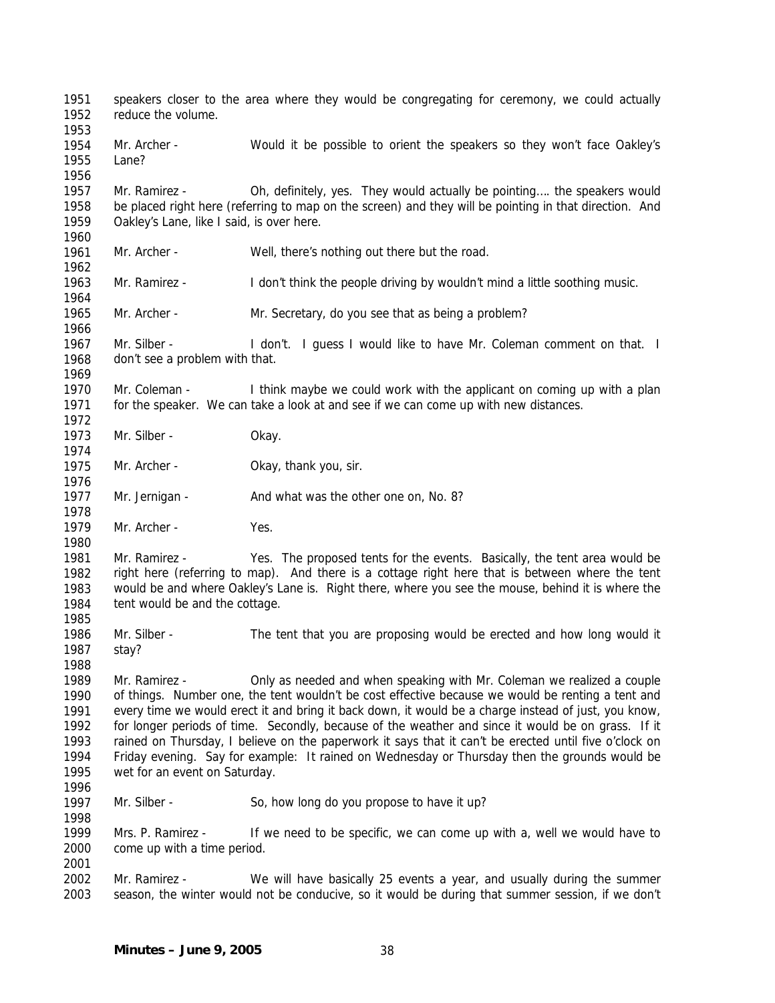1951 1952 1953 1954 1955 1956 1957 1958 1959 1960 1961 1962 1963 1964 1965 1966 1967 1968 1969 1970 1971 1972 1973 1974 1975 1976 1977 1978 1979 1980 1981 1982 1983 1984 1985 1986 1987 1988 1989 1990 1991 1992 1993 1994 1995 1996 1997 1998 1999 2000 2001 2002 2003 speakers closer to the area where they would be congregating for ceremony, we could actually reduce the volume. Mr. Archer - Would it be possible to orient the speakers so they won't face Oakley's Lane? Mr. Ramirez - Oh, definitely, yes. They would actually be pointing…. the speakers would be placed right here (referring to map on the screen) and they will be pointing in that direction. And Oakley's Lane, like I said, is over here. Mr. Archer - Well, there's nothing out there but the road. Mr. Ramirez - I don't think the people driving by wouldn't mind a little soothing music. Mr. Archer - Mr. Secretary, do you see that as being a problem? Mr. Silber - I don't. I guess I would like to have Mr. Coleman comment on that. I don't see a problem with that. Mr. Coleman - I think maybe we could work with the applicant on coming up with a plan for the speaker. We can take a look at and see if we can come up with new distances. Mr. Silber - Okay. Mr. Archer - Okay, thank you, sir. Mr. Jernigan - And what was the other one on, No. 8? Mr. Archer - Yes. Mr. Ramirez - Yes. The proposed tents for the events. Basically, the tent area would be right here (referring to map). And there is a cottage right here that is between where the tent would be and where Oakley's Lane is. Right there, where you see the mouse, behind it is where the tent would be and the cottage. Mr. Silber - The tent that you are proposing would be erected and how long would it stay? Mr. Ramirez - Only as needed and when speaking with Mr. Coleman we realized a couple of things. Number one, the tent wouldn't be cost effective because we would be renting a tent and every time we would erect it and bring it back down, it would be a charge instead of just, you know, for longer periods of time. Secondly, because of the weather and since it would be on grass. If it rained on Thursday, I believe on the paperwork it says that it can't be erected until five o'clock on Friday evening. Say for example: It rained on Wednesday or Thursday then the grounds would be wet for an event on Saturday. Mr. Silber - So, how long do you propose to have it up? Mrs. P. Ramirez - If we need to be specific, we can come up with a, well we would have to come up with a time period. Mr. Ramirez - We will have basically 25 events a year, and usually during the summer season, the winter would not be conducive, so it would be during that summer session, if we don't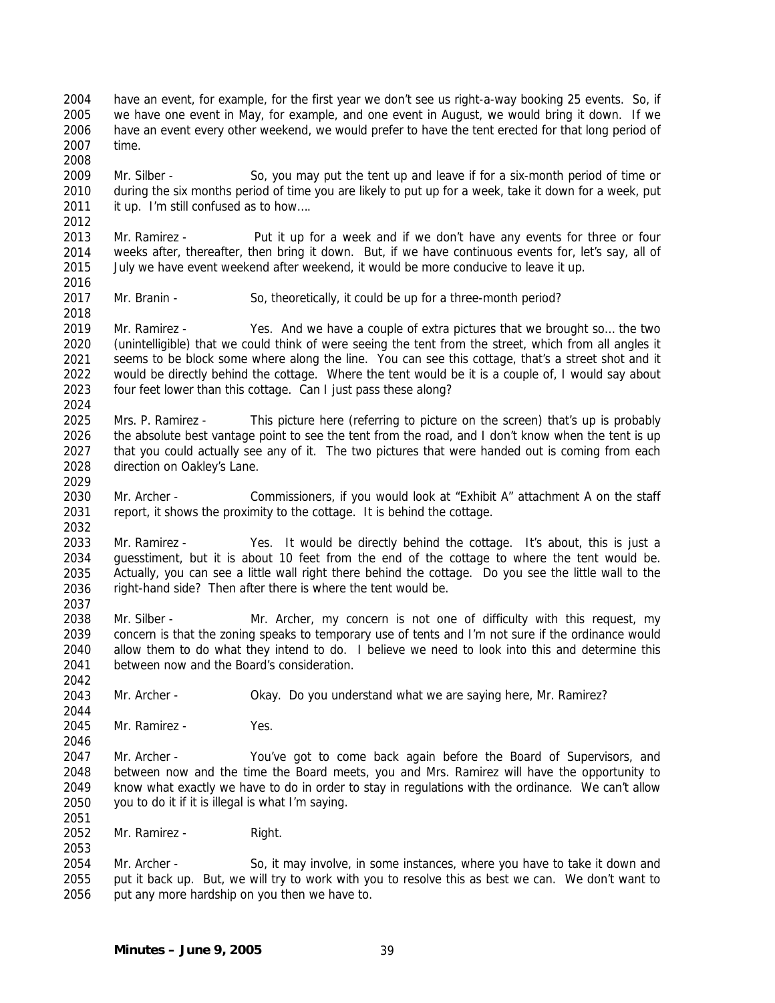2004 2005 2006 2007 have an event, for example, for the first year we don't see us right-a-way booking 25 events. So, if we have one event in May, for example, and one event in August, we would bring it down. If we have an event every other weekend, we would prefer to have the tent erected for that long period of time.

2009 2010 2011 Mr. Silber - So, you may put the tent up and leave if for a six-month period of time or during the six months period of time you are likely to put up for a week, take it down for a week, put it up. I'm still confused as to how….

2013 2014 2015 Mr. Ramirez - Put it up for a week and if we don't have any events for three or four weeks after, thereafter, then bring it down. But, if we have continuous events for, let's say, all of July we have event weekend after weekend, it would be more conducive to leave it up.

2017 Mr. Branin - So, theoretically, it could be up for a three-month period?

2019 2020 2021 2022 2023 Mr. Ramirez - Yes. And we have a couple of extra pictures that we brought so… the two (unintelligible) that we could think of were seeing the tent from the street, which from all angles it seems to be block some where along the line. You can see this cottage, that's a street shot and it would be directly behind the cottage. Where the tent would be it is a couple of, I would say about four feet lower than this cottage. Can I just pass these along?

2025 2026 2027 2028 Mrs. P. Ramirez - This picture here (referring to picture on the screen) that's up is probably the absolute best vantage point to see the tent from the road, and I don't know when the tent is up that you could actually see any of it. The two pictures that were handed out is coming from each direction on Oakley's Lane.

2030 2031 Mr. Archer - Commissioners, if you would look at "Exhibit A" attachment A on the staff report, it shows the proximity to the cottage. It is behind the cottage.

2033 2034 2035 2036 Mr. Ramirez - Yes. It would be directly behind the cottage. It's about, this is just a guesstiment, but it is about 10 feet from the end of the cottage to where the tent would be. Actually, you can see a little wall right there behind the cottage. Do you see the little wall to the right-hand side? Then after there is where the tent would be.

2038 2039 2040 2041 Mr. Silber - Mr. Archer, my concern is not one of difficulty with this request, my concern is that the zoning speaks to temporary use of tents and I'm not sure if the ordinance would allow them to do what they intend to do. I believe we need to look into this and determine this between now and the Board's consideration.

2043 Mr. Archer - Okay. Do you understand what we are saying here, Mr. Ramirez?

2045 Mr. Ramirez - Yes.

2008

2012

2016

2018

2024

2029

2032

2037

2042

2044

2046

2051

2053

2047 2048 2049 2050 Mr. Archer - You've got to come back again before the Board of Supervisors, and between now and the time the Board meets, you and Mrs. Ramirez will have the opportunity to know what exactly we have to do in order to stay in regulations with the ordinance. We can't allow you to do it if it is illegal is what I'm saying.

2052 Mr. Ramirez - Right.

2054 2055 2056 Mr. Archer - So, it may involve, in some instances, where you have to take it down and put it back up. But, we will try to work with you to resolve this as best we can. We don't want to put any more hardship on you then we have to.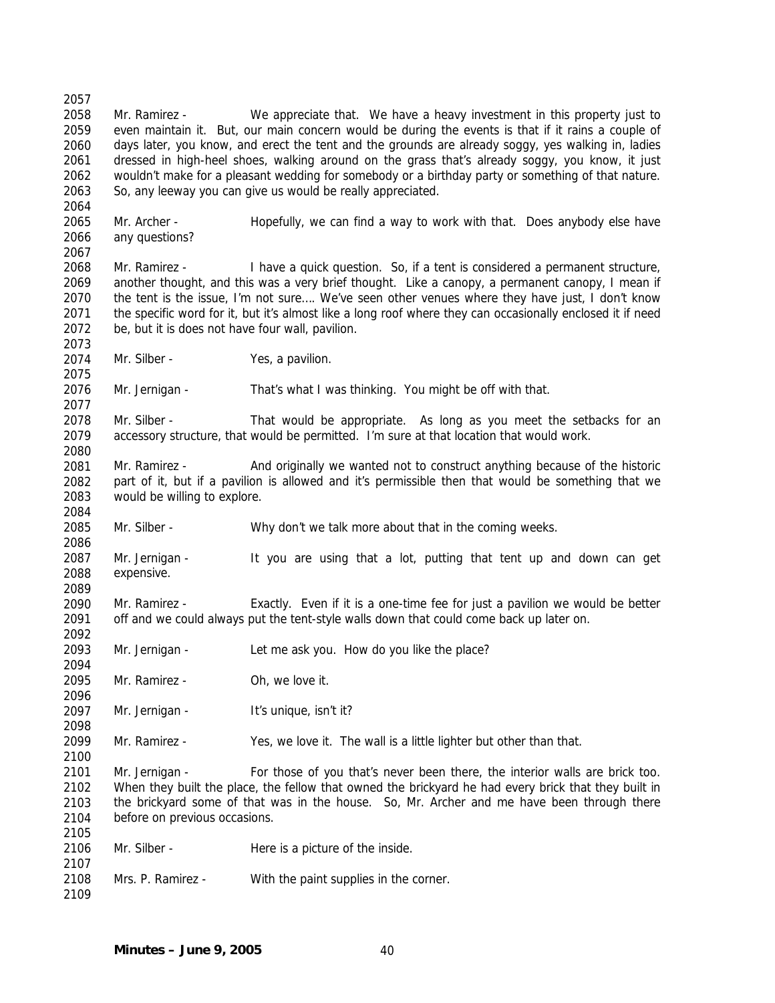2057 2058 2059 2060 2061 2062 2063 2064 2065 2066 2067 2068 2069 2070 2071 2072 2073 2074 2075 2076 2077 2078 2079 2080 2081 2082 2083 2084 2085 2086 2087 2088 2089 2090 2091 2092 2093 2094 2095 2096 2097 2098 2099 2100 2101 2102 2103 2104 2105 2106 2107 2108 2109 Mr. Ramirez - We appreciate that. We have a heavy investment in this property just to even maintain it. But, our main concern would be during the events is that if it rains a couple of days later, you know, and erect the tent and the grounds are already soggy, yes walking in, ladies dressed in high-heel shoes, walking around on the grass that's already soggy, you know, it just wouldn't make for a pleasant wedding for somebody or a birthday party or something of that nature. So, any leeway you can give us would be really appreciated. Mr. Archer - Hopefully, we can find a way to work with that. Does anybody else have any questions? Mr. Ramirez - I have a quick question. So, if a tent is considered a permanent structure, another thought, and this was a very brief thought. Like a canopy, a permanent canopy, I mean if the tent is the issue, I'm not sure…. We've seen other venues where they have just, I don't know the specific word for it, but it's almost like a long roof where they can occasionally enclosed it if need be, but it is does not have four wall, pavilion. Mr. Silber - Yes, a pavilion. Mr. Jernigan - That's what I was thinking. You might be off with that. Mr. Silber - That would be appropriate. As long as you meet the setbacks for an accessory structure, that would be permitted. I'm sure at that location that would work. Mr. Ramirez - And originally we wanted not to construct anything because of the historic part of it, but if a pavilion is allowed and it's permissible then that would be something that we would be willing to explore. Mr. Silber - Why don't we talk more about that in the coming weeks. Mr. Jernigan - It you are using that a lot, putting that tent up and down can get expensive. Mr. Ramirez - Exactly. Even if it is a one-time fee for just a pavilion we would be better off and we could always put the tent-style walls down that could come back up later on. Mr. Jernigan - Let me ask you. How do you like the place? Mr. Ramirez - Oh, we love it. Mr. Jernigan - It's unique, isn't it? Mr. Ramirez - Yes, we love it. The wall is a little lighter but other than that. Mr. Jernigan - For those of you that's never been there, the interior walls are brick too. When they built the place, the fellow that owned the brickyard he had every brick that they built in the brickyard some of that was in the house. So, Mr. Archer and me have been through there before on previous occasions. Mr. Silber - Here is a picture of the inside. Mrs. P. Ramirez - With the paint supplies in the corner.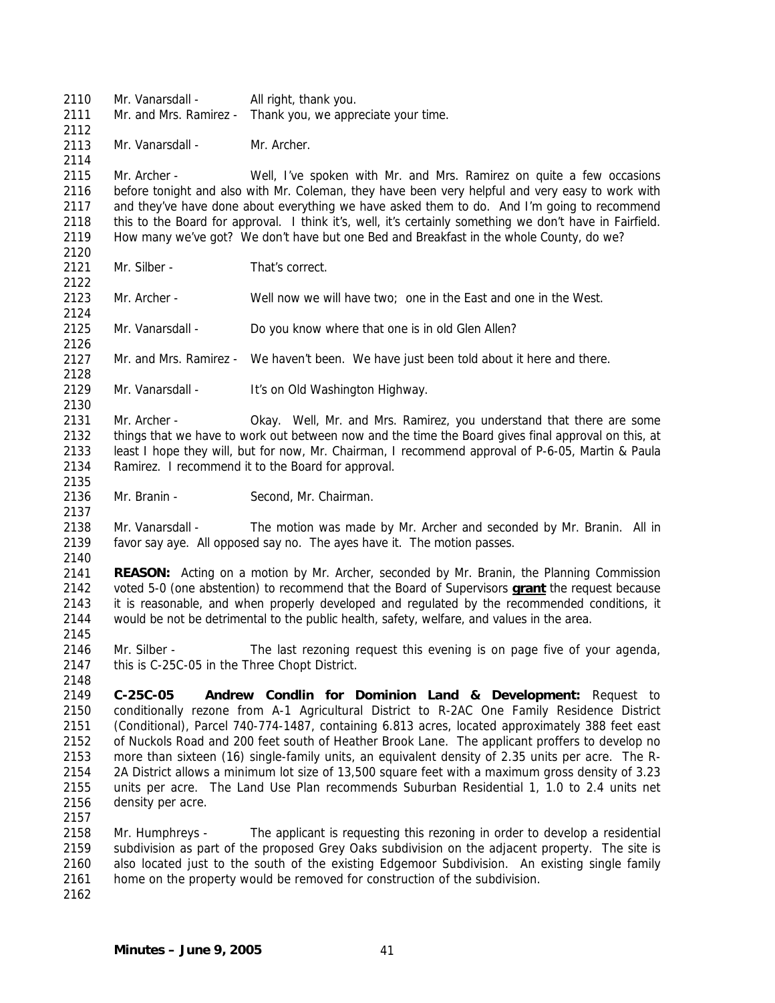2110 2111 2112 2113 2114 2115 2116 2117 2118 2119 2120 2121 2122 2123 2124 2125 2126 2127 2128 2129 2130 2131 2132 2133 2134 2135 2136 2137 2138 2139 2140 2141 Mr. Vanarsdall - All right, thank you. Mr. and Mrs. Ramirez - Thank you, we appreciate your time. Mr. Vanarsdall - Mr. Archer. Mr. Archer - Well, I've spoken with Mr. and Mrs. Ramirez on quite a few occasions before tonight and also with Mr. Coleman, they have been very helpful and very easy to work with and they've have done about everything we have asked them to do. And I'm going to recommend this to the Board for approval. I think it's, well, it's certainly something we don't have in Fairfield. How many we've got? We don't have but one Bed and Breakfast in the whole County, do we? Mr. Silber - That's correct. Mr. Archer - Well now we will have two; one in the East and one in the West. Mr. Vanarsdall - Do you know where that one is in old Glen Allen? Mr. and Mrs. Ramirez - We haven't been. We have just been told about it here and there. Mr. Vanarsdall - It's on Old Washington Highway. Mr. Archer - Okay. Well, Mr. and Mrs. Ramirez, you understand that there are some things that we have to work out between now and the time the Board gives final approval on this, at least I hope they will, but for now, Mr. Chairman, I recommend approval of P-6-05, Martin & Paula Ramirez. I recommend it to the Board for approval. Mr. Branin - Second, Mr. Chairman. Mr. Vanarsdall - The motion was made by Mr. Archer and seconded by Mr. Branin. All in favor say aye. All opposed say no. The ayes have it. The motion passes. **REASON:** Acting on a motion by Mr. Archer, seconded by Mr. Branin, the Planning Commission voted 5-0 (one abstention) to recommend that the Board of Supervisors **grant** the request because it is reasonable, and when properly developed and regulated by the recommended conditions, it would be not be detrimental to the public health, safety, welfare, and values in the area. 2142 2143 2144 2145 2146 2147 2148 2149 2150 2151 2152 2153 2154 2155 2156 2157 2158 2159 2160 2161 2162 Mr. Silber - The last rezoning request this evening is on page five of your agenda, this is C-25C-05 in the Three Chopt District. **C-25C-05 Andrew Condlin for Dominion Land & Development:** Request to conditionally rezone from A-1 Agricultural District to R-2AC One Family Residence District (Conditional), Parcel 740-774-1487, containing 6.813 acres, located approximately 388 feet east of Nuckols Road and 200 feet south of Heather Brook Lane. The applicant proffers to develop no more than sixteen (16) single-family units, an equivalent density of 2.35 units per acre. The R-2A District allows a minimum lot size of 13,500 square feet with a maximum gross density of 3.23 units per acre. The Land Use Plan recommends Suburban Residential 1, 1.0 to 2.4 units net density per acre. Mr. Humphreys - The applicant is requesting this rezoning in order to develop a residential subdivision as part of the proposed Grey Oaks subdivision on the adjacent property. The site is also located just to the south of the existing Edgemoor Subdivision. An existing single family home on the property would be removed for construction of the subdivision.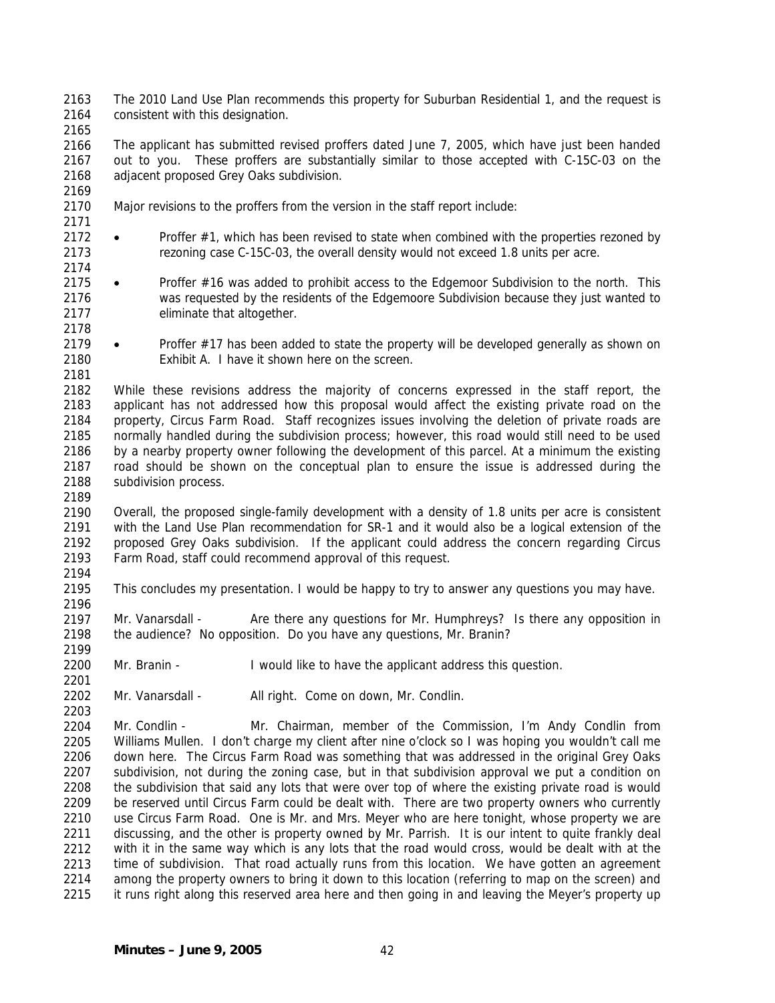2163 2164 The 2010 Land Use Plan recommends this property for Suburban Residential 1, and the request is consistent with this designation.

2165

2169

2171

2174

2178

2181

2189

2194

2196

2199

2201

2203

2166 2167 2168 The applicant has submitted revised proffers dated June 7, 2005, which have just been handed out to you. These proffers are substantially similar to those accepted with C-15C-03 on the adjacent proposed Grey Oaks subdivision.

- 2170 Major revisions to the proffers from the version in the staff report include:
- 2172 2173 • Proffer #1, which has been revised to state when combined with the properties rezoned by rezoning case C-15C-03, the overall density would not exceed 1.8 units per acre.
- 2175 2176 2177 • Proffer #16 was added to prohibit access to the Edgemoor Subdivision to the north. This was requested by the residents of the Edgemoore Subdivision because they just wanted to eliminate that altogether.
- 2179 2180 • Proffer #17 has been added to state the property will be developed generally as shown on Exhibit A. I have it shown here on the screen.

2182 2183 2184 2185 2186 2187 2188 While these revisions address the majority of concerns expressed in the staff report, the applicant has not addressed how this proposal would affect the existing private road on the property, Circus Farm Road. Staff recognizes issues involving the deletion of private roads are normally handled during the subdivision process; however, this road would still need to be used by a nearby property owner following the development of this parcel. At a minimum the existing road should be shown on the conceptual plan to ensure the issue is addressed during the subdivision process.

2190 2191 2192 2193 Overall, the proposed single-family development with a density of 1.8 units per acre is consistent with the Land Use Plan recommendation for SR-1 and it would also be a logical extension of the proposed Grey Oaks subdivision. If the applicant could address the concern regarding Circus Farm Road, staff could recommend approval of this request.

2195 This concludes my presentation. I would be happy to try to answer any questions you may have.

2197 2198 Mr. Vanarsdall - Are there any questions for Mr. Humphreys? Is there any opposition in the audience? No opposition. Do you have any questions, Mr. Branin?

2200 Mr. Branin - I would like to have the applicant address this question.

2202 Mr. Vanarsdall - All right. Come on down, Mr. Condlin.

2204 2205 2206 2207 2208 2209 2210 2211 2212 2213 2214 2215 Mr. Condlin - Mr. Chairman, member of the Commission, I'm Andy Condlin from Williams Mullen. I don't charge my client after nine o'clock so I was hoping you wouldn't call me down here. The Circus Farm Road was something that was addressed in the original Grey Oaks subdivision, not during the zoning case, but in that subdivision approval we put a condition on the subdivision that said any lots that were over top of where the existing private road is would be reserved until Circus Farm could be dealt with. There are two property owners who currently use Circus Farm Road. One is Mr. and Mrs. Meyer who are here tonight, whose property we are discussing, and the other is property owned by Mr. Parrish. It is our intent to quite frankly deal with it in the same way which is any lots that the road would cross, would be dealt with at the time of subdivision. That road actually runs from this location. We have gotten an agreement among the property owners to bring it down to this location (referring to map on the screen) and it runs right along this reserved area here and then going in and leaving the Meyer's property up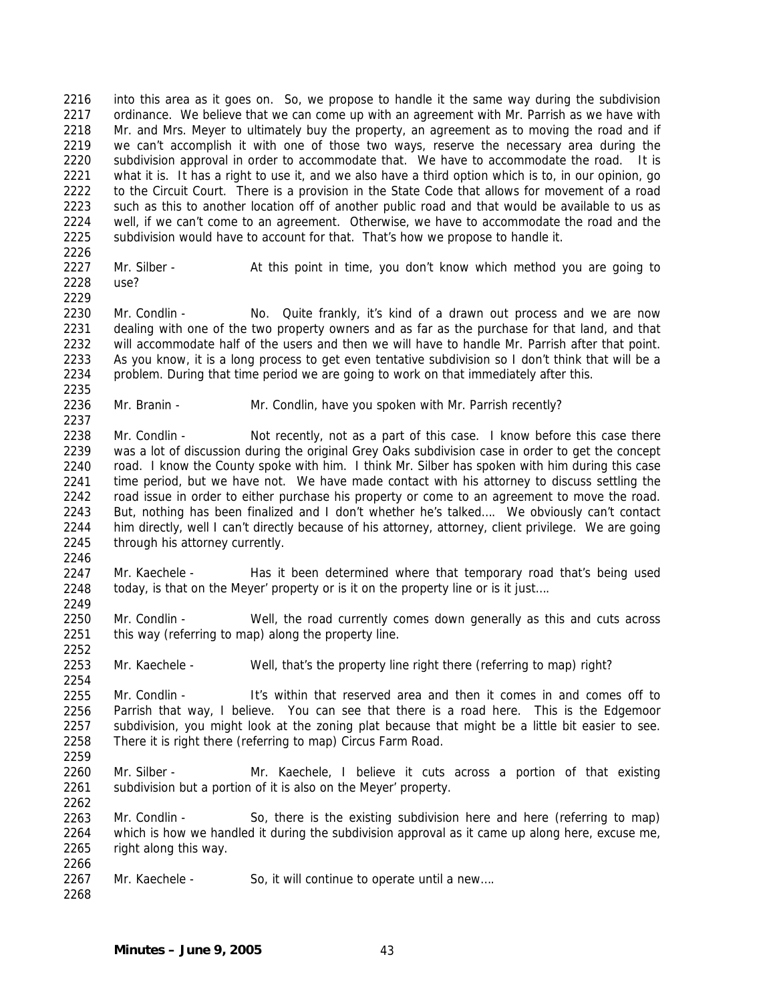2216 2217 2218 2219 2220 2221 2222 2223 2224 2225 2226 into this area as it goes on. So, we propose to handle it the same way during the subdivision ordinance. We believe that we can come up with an agreement with Mr. Parrish as we have with Mr. and Mrs. Meyer to ultimately buy the property, an agreement as to moving the road and if we can't accomplish it with one of those two ways, reserve the necessary area during the subdivision approval in order to accommodate that. We have to accommodate the road. It is what it is. It has a right to use it, and we also have a third option which is to, in our opinion, go to the Circuit Court. There is a provision in the State Code that allows for movement of a road such as this to another location off of another public road and that would be available to us as well, if we can't come to an agreement. Otherwise, we have to accommodate the road and the subdivision would have to account for that. That's how we propose to handle it.

2227 2228 Mr. Silber - At this point in time, you don't know which method you are going to use?

2229

2237

2246

2249

2252

2254

2259

2262

2230 2231 2232 2233 2234 2235 Mr. Condlin - No. Quite frankly, it's kind of a drawn out process and we are now dealing with one of the two property owners and as far as the purchase for that land, and that will accommodate half of the users and then we will have to handle Mr. Parrish after that point. As you know, it is a long process to get even tentative subdivision so I don't think that will be a problem. During that time period we are going to work on that immediately after this.

2236 Mr. Branin - Mr. Condlin, have you spoken with Mr. Parrish recently?

2238 2239 2240 2241 2242 2243 2244 2245 Mr. Condlin - Not recently, not as a part of this case. I know before this case there was a lot of discussion during the original Grey Oaks subdivision case in order to get the concept road. I know the County spoke with him. I think Mr. Silber has spoken with him during this case time period, but we have not. We have made contact with his attorney to discuss settling the road issue in order to either purchase his property or come to an agreement to move the road. But, nothing has been finalized and I don't whether he's talked…. We obviously can't contact him directly, well I can't directly because of his attorney, attorney, client privilege. We are going through his attorney currently.

2247 2248 Mr. Kaechele - Has it been determined where that temporary road that's being used today, is that on the Meyer' property or is it on the property line or is it just….

2250 2251 Mr. Condlin - Well, the road currently comes down generally as this and cuts across this way (referring to map) along the property line.

2253 Mr. Kaechele - Well, that's the property line right there (referring to map) right?

2255 2256 2257 2258 Mr. Condlin - It's within that reserved area and then it comes in and comes off to Parrish that way, I believe. You can see that there is a road here. This is the Edgemoor subdivision, you might look at the zoning plat because that might be a little bit easier to see. There it is right there (referring to map) Circus Farm Road.

2260 2261 Mr. Silber - Mr. Kaechele, I believe it cuts across a portion of that existing subdivision but a portion of it is also on the Meyer' property.

2263 2264 2265 2266 Mr. Condlin - So, there is the existing subdivision here and here (referring to map) which is how we handled it during the subdivision approval as it came up along here, excuse me, right along this way.

2267 Mr. Kaechele - So, it will continue to operate until a new....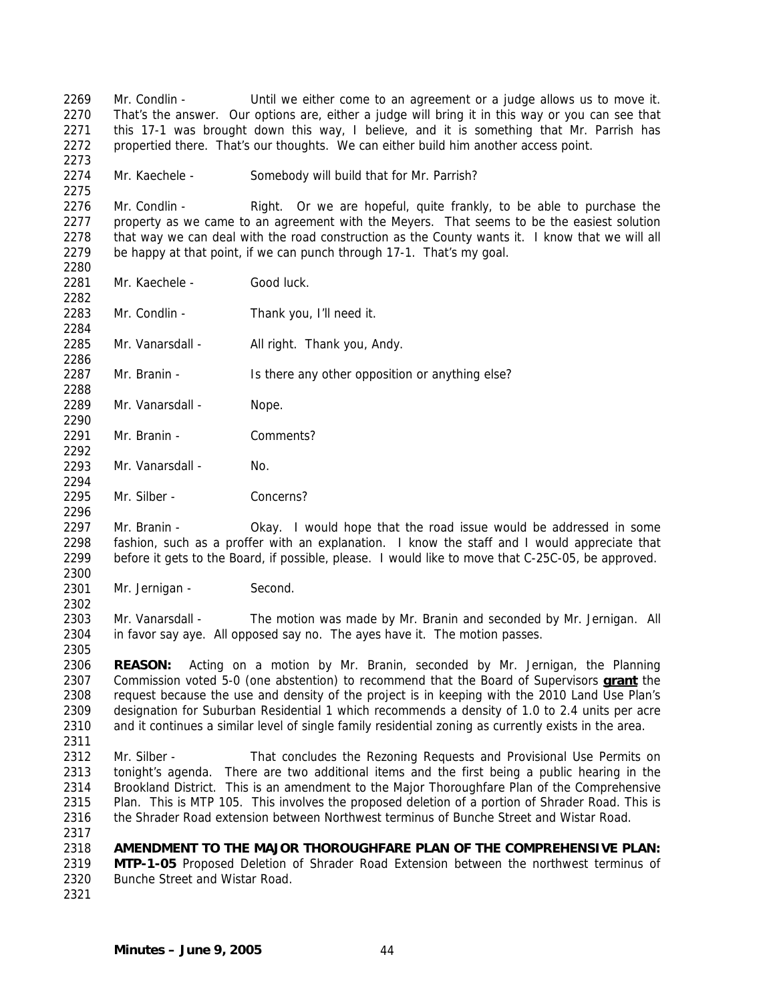2269 2270 2271 2272 2273 2274 2275 2276 2277 2278 2279 2280 2281 2282 2283 2284 2285 2286 2287 2288 2289 2290 2291 2292 2293 2294 2295 2296 2297 2298 2299 2300 2301 2302 2303 2304 2305 2306 Mr. Condlin - Until we either come to an agreement or a judge allows us to move it. That's the answer. Our options are, either a judge will bring it in this way or you can see that this 17-1 was brought down this way, I believe, and it is something that Mr. Parrish has propertied there. That's our thoughts. We can either build him another access point. Mr. Kaechele - Somebody will build that for Mr. Parrish? Mr. Condlin - Right. Or we are hopeful, quite frankly, to be able to purchase the property as we came to an agreement with the Meyers. That seems to be the easiest solution that way we can deal with the road construction as the County wants it. I know that we will all be happy at that point, if we can punch through 17-1. That's my goal. Mr. Kaechele - Good luck. Mr. Condlin - Thank you, I'll need it. Mr. Vanarsdall - All right. Thank you, Andy. Mr. Branin - Is there any other opposition or anything else? Mr. Vanarsdall - Nope. Mr. Branin - Comments? Mr. Vanarsdall - No. Mr. Silber - Concerns? Mr. Branin - Okay. I would hope that the road issue would be addressed in some fashion, such as a proffer with an explanation. I know the staff and I would appreciate that before it gets to the Board, if possible, please. I would like to move that C-25C-05, be approved. Mr. Jernigan - Second. Mr. Vanarsdall - The motion was made by Mr. Branin and seconded by Mr. Jernigan. All in favor say aye. All opposed say no. The ayes have it. The motion passes. **REASON:** Acting on a motion by Mr. Branin, seconded by Mr. Jernigan, the Planning Commission voted 5-0 (one abstention) to recommend that the Board of Supervisors **grant** the request because the use and density of the project is in keeping with the 2010 Land Use Plan's designation for Suburban Residential 1 which recommends a density of 1.0 to 2.4 units per acre and it continues a similar level of single family residential zoning as currently exists in the area. 2307 2308 2309 2310 2311 2312 2313 2314 2315 2316 2317 2318 2319 2320 2321 Mr. Silber - That concludes the Rezoning Requests and Provisional Use Permits on tonight's agenda. There are two additional items and the first being a public hearing in the Brookland District. This is an amendment to the Major Thoroughfare Plan of the Comprehensive Plan. This is MTP 105. This involves the proposed deletion of a portion of Shrader Road. This is the Shrader Road extension between Northwest terminus of Bunche Street and Wistar Road. **AMENDMENT TO THE MAJOR THOROUGHFARE PLAN OF THE COMPREHENSIVE PLAN: MTP-1-05** Proposed Deletion of Shrader Road Extension between the northwest terminus of Bunche Street and Wistar Road.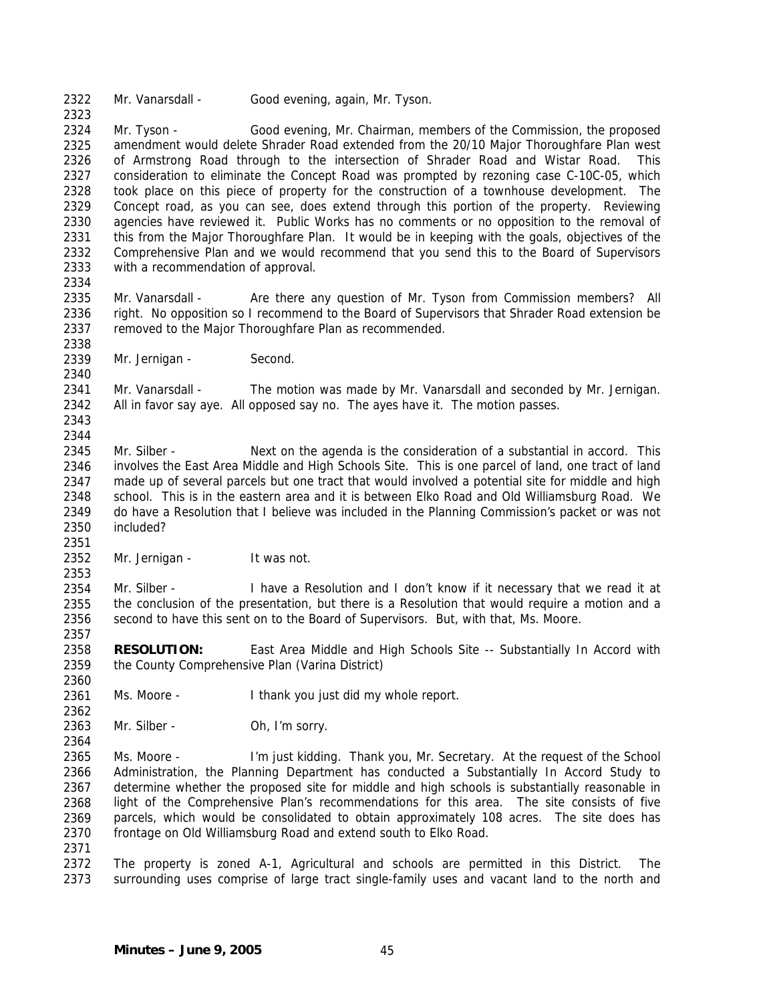2322 Mr. Vanarsdall - Good evening, again, Mr. Tyson.

2324 2325 2326 2327 2328 2329 2330 2331 2332 2333 Mr. Tyson - Good evening, Mr. Chairman, members of the Commission, the proposed amendment would delete Shrader Road extended from the 20/10 Major Thoroughfare Plan west of Armstrong Road through to the intersection of Shrader Road and Wistar Road. This consideration to eliminate the Concept Road was prompted by rezoning case C-10C-05, which took place on this piece of property for the construction of a townhouse development. The Concept road, as you can see, does extend through this portion of the property. Reviewing agencies have reviewed it. Public Works has no comments or no opposition to the removal of this from the Major Thoroughfare Plan. It would be in keeping with the goals, objectives of the Comprehensive Plan and we would recommend that you send this to the Board of Supervisors with a recommendation of approval.

2334

2338

2340

2323

2335 2336 2337 Mr. Vanarsdall - Are there any question of Mr. Tyson from Commission members? All right. No opposition so I recommend to the Board of Supervisors that Shrader Road extension be removed to the Major Thoroughfare Plan as recommended.

2339 Mr. Jernigan - Second.

2341 2342 Mr. Vanarsdall - The motion was made by Mr. Vanarsdall and seconded by Mr. Jernigan. All in favor say aye. All opposed say no. The ayes have it. The motion passes.

2343 2344

2351

2353

2357

2360

2362

2364

2345 2346 2347 2348 2349 2350 Mr. Silber - Next on the agenda is the consideration of a substantial in accord. This involves the East Area Middle and High Schools Site. This is one parcel of land, one tract of land made up of several parcels but one tract that would involved a potential site for middle and high school. This is in the eastern area and it is between Elko Road and Old Williamsburg Road. We do have a Resolution that I believe was included in the Planning Commission's packet or was not included?

2352 Mr. Jernigan - It was not.

2354 2355 2356 Mr. Silber - I have a Resolution and I don't know if it necessary that we read it at the conclusion of the presentation, but there is a Resolution that would require a motion and a second to have this sent on to the Board of Supervisors. But, with that, Ms. Moore.

2358 2359 **RESOLUTION:** East Area Middle and High Schools Site -- Substantially In Accord with the County Comprehensive Plan (Varina District)

2361 Ms. Moore - I thank you just did my whole report.

2363 Mr. Silber - Oh, I'm sorry.

2365 2366 2367 2368 2369 2370 Ms. Moore - I'm just kidding. Thank you, Mr. Secretary. At the request of the School Administration, the Planning Department has conducted a Substantially In Accord Study to determine whether the proposed site for middle and high schools is substantially reasonable in light of the Comprehensive Plan's recommendations for this area. The site consists of five parcels, which would be consolidated to obtain approximately 108 acres. The site does has frontage on Old Williamsburg Road and extend south to Elko Road.

2371

2372 2373 The property is zoned A-1, Agricultural and schools are permitted in this District. The surrounding uses comprise of large tract single-family uses and vacant land to the north and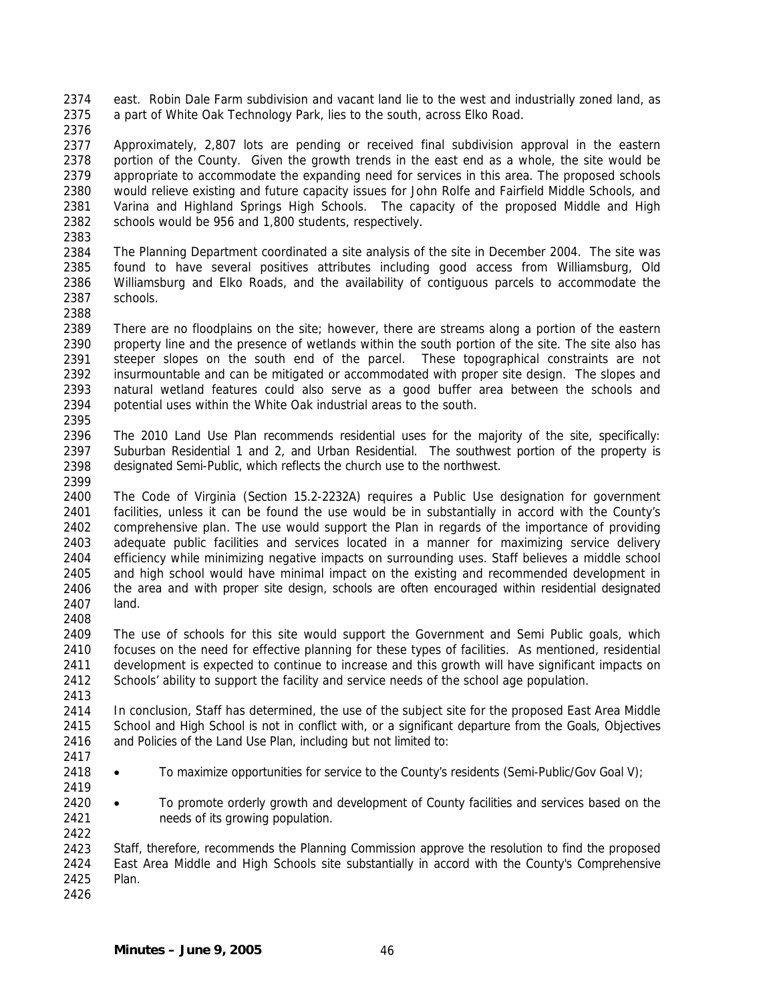2374 2375 east. Robin Dale Farm subdivision and vacant land lie to the west and industrially zoned land, as a part of White Oak Technology Park, lies to the south, across Elko Road.

2376

2377 2378 2379 2380 2381 2382 2383 Approximately, 2,807 lots are pending or received final subdivision approval in the eastern portion of the County. Given the growth trends in the east end as a whole, the site would be appropriate to accommodate the expanding need for services in this area. The proposed schools would relieve existing and future capacity issues for John Rolfe and Fairfield Middle Schools, and Varina and Highland Springs High Schools. The capacity of the proposed Middle and High schools would be 956 and 1,800 students, respectively.

2384 2385 2386 2387 The Planning Department coordinated a site analysis of the site in December 2004. The site was found to have several positives attributes including good access from Williamsburg, Old Williamsburg and Elko Roads, and the availability of contiguous parcels to accommodate the schools.

2388

2399

2408

2389 2390 2391 2392 2393 2394 2395 There are no floodplains on the site; however, there are streams along a portion of the eastern property line and the presence of wetlands within the south portion of the site. The site also has steeper slopes on the south end of the parcel. These topographical constraints are not insurmountable and can be mitigated or accommodated with proper site design. The slopes and natural wetland features could also serve as a good buffer area between the schools and potential uses within the White Oak industrial areas to the south.

- 2396 2397 2398 The 2010 Land Use Plan recommends residential uses for the majority of the site, specifically: Suburban Residential 1 and 2, and Urban Residential. The southwest portion of the property is designated Semi-Public, which reflects the church use to the northwest.
- 2400 2401 2402 2403 2404 2405 2406 2407 The Code of Virginia (Section 15.2-2232A) requires a Public Use designation for government facilities, unless it can be found the use would be in substantially in accord with the County's comprehensive plan. The use would support the Plan in regards of the importance of providing adequate public facilities and services located in a manner for maximizing service delivery efficiency while minimizing negative impacts on surrounding uses. Staff believes a middle school and high school would have minimal impact on the existing and recommended development in the area and with proper site design, schools are often encouraged within residential designated land.

2409 2410 2411 2412 The use of schools for this site would support the Government and Semi Public goals, which focuses on the need for effective planning for these types of facilities. As mentioned, residential development is expected to continue to increase and this growth will have significant impacts on Schools' ability to support the facility and service needs of the school age population.

2414 2415 2416 In conclusion, Staff has determined, the use of the subject site for the proposed East Area Middle School and High School is not in conflict with, or a significant departure from the Goals, Objectives and Policies of the Land Use Plan, including but not limited to:

2417

2413

2418

2422

- 2419 • To maximize opportunities for service to the County's residents (Semi-Public/Gov Goal V);
- 2420 2421 • To promote orderly growth and development of County facilities and services based on the needs of its growing population.

2423 2424 2425 Staff, therefore, recommends the Planning Commission approve the resolution to find the proposed East Area Middle and High Schools site substantially in accord with the County's Comprehensive Plan.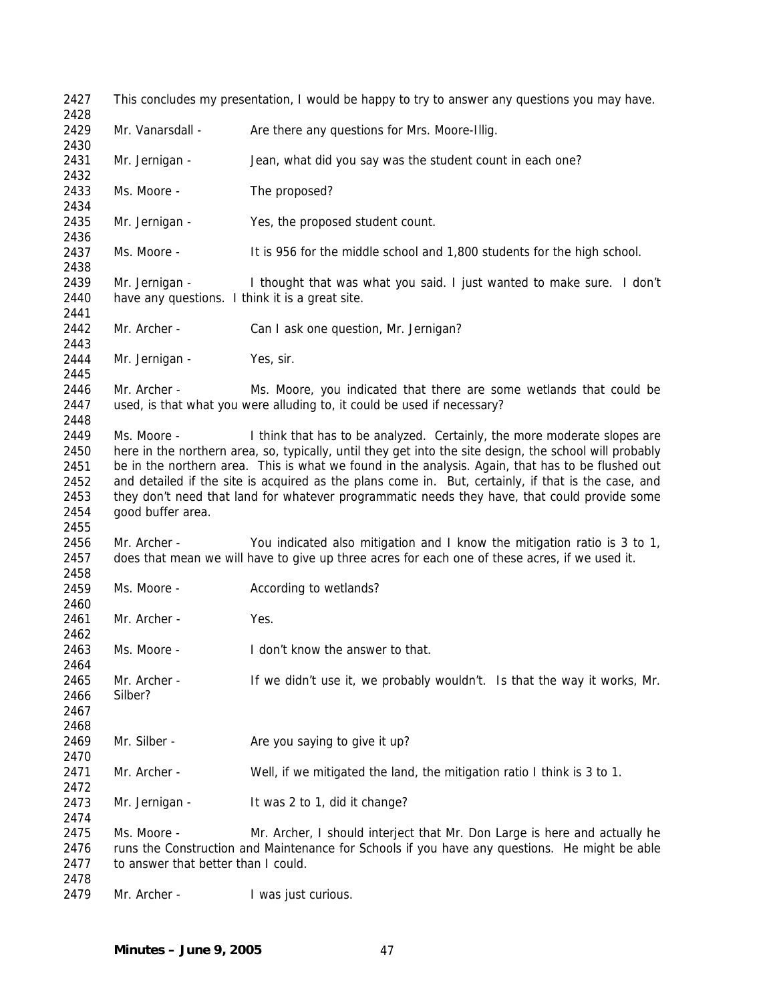This concludes my presentation, I would be happy to try to answer any questions you may have. Mr. Vanarsdall - Are there any questions for Mrs. Moore-Illig. Mr. Jernigan - Jean, what did you say was the student count in each one? Ms. Moore - The proposed? Mr. Jernigan - Yes, the proposed student count. Ms. Moore - It is 956 for the middle school and 1,800 students for the high school. Mr. Jernigan - I thought that was what you said. I just wanted to make sure. I don't have any questions. I think it is a great site. Mr. Archer - Can I ask one question, Mr. Jernigan? Mr. Jernigan - Yes, sir. Mr. Archer - Ms. Moore, you indicated that there are some wetlands that could be used, is that what you were alluding to, it could be used if necessary? Ms. Moore - I think that has to be analyzed. Certainly, the more moderate slopes are here in the northern area, so, typically, until they get into the site design, the school will probably be in the northern area. This is what we found in the analysis. Again, that has to be flushed out and detailed if the site is acquired as the plans come in. But, certainly, if that is the case, and they don't need that land for whatever programmatic needs they have, that could provide some good buffer area. Mr. Archer - You indicated also mitigation and I know the mitigation ratio is 3 to 1, does that mean we will have to give up three acres for each one of these acres, if we used it. Ms. Moore - **According to wetlands?** Mr. Archer - Yes. Ms. Moore - I don't know the answer to that. Mr. Archer - If we didn't use it, we probably wouldn't. Is that the way it works, Mr. Silber? Mr. Silber - Are you saying to give it up? Mr. Archer - Well, if we mitigated the land, the mitigation ratio I think is 3 to 1. Mr. Jernigan - It was 2 to 1, did it change? Ms. Moore - Mr. Archer, I should interject that Mr. Don Large is here and actually he runs the Construction and Maintenance for Schools if you have any questions. He might be able to answer that better than I could. Mr. Archer - I was just curious.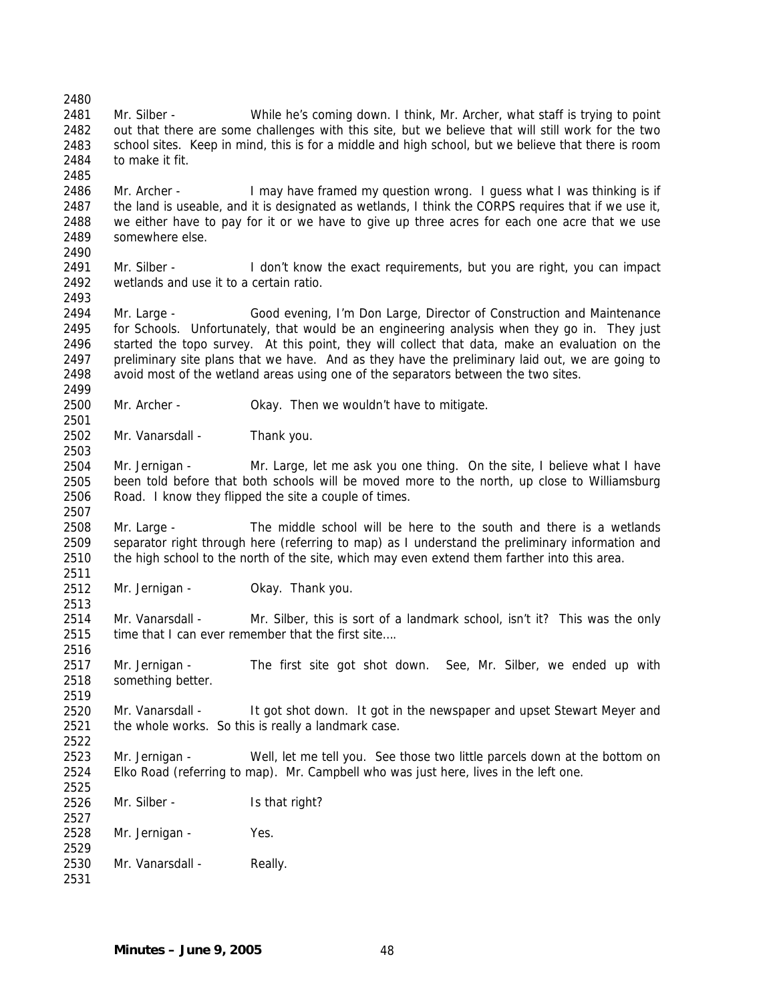2480 2481 2482 2483 2484 2485 2486 2487 2488 2489 2490 2491 2492 2493 2494 2495 2496 2497 2498 2499 2500 2501 2502 2503 2504 2505 2506 2507 2508 2509 2510 2511 2512 2513 2514 2515 2516 2517 2518 2519 2520 2521 2522 2523 2524 2525 2526 2527 2528 2529 2530 2531 Mr. Silber - While he's coming down. I think, Mr. Archer, what staff is trying to point out that there are some challenges with this site, but we believe that will still work for the two school sites. Keep in mind, this is for a middle and high school, but we believe that there is room to make it fit. Mr. Archer - I may have framed my question wrong. I guess what I was thinking is if the land is useable, and it is designated as wetlands, I think the CORPS requires that if we use it, we either have to pay for it or we have to give up three acres for each one acre that we use somewhere else. Mr. Silber - I don't know the exact requirements, but you are right, you can impact wetlands and use it to a certain ratio. Mr. Large - Good evening, I'm Don Large, Director of Construction and Maintenance for Schools. Unfortunately, that would be an engineering analysis when they go in. They just started the topo survey. At this point, they will collect that data, make an evaluation on the preliminary site plans that we have. And as they have the preliminary laid out, we are going to avoid most of the wetland areas using one of the separators between the two sites. Mr. Archer - Okay. Then we wouldn't have to mitigate. Mr. Vanarsdall - Thank you. Mr. Jernigan - Mr. Large, let me ask you one thing. On the site, I believe what I have been told before that both schools will be moved more to the north, up close to Williamsburg Road. I know they flipped the site a couple of times. Mr. Large - The middle school will be here to the south and there is a wetlands separator right through here (referring to map) as I understand the preliminary information and the high school to the north of the site, which may even extend them farther into this area. Mr. Jernigan - **Okay. Thank you.** Mr. Vanarsdall - Mr. Silber, this is sort of a landmark school, isn't it? This was the only time that I can ever remember that the first site…. Mr. Jernigan - The first site got shot down. See, Mr. Silber, we ended up with something better. Mr. Vanarsdall - It got shot down. It got in the newspaper and upset Stewart Meyer and the whole works. So this is really a landmark case. Mr. Jernigan - Well, let me tell you. See those two little parcels down at the bottom on Elko Road (referring to map). Mr. Campbell who was just here, lives in the left one. Mr. Silber - Is that right? Mr. Jernigan - Yes. Mr. Vanarsdall - Really.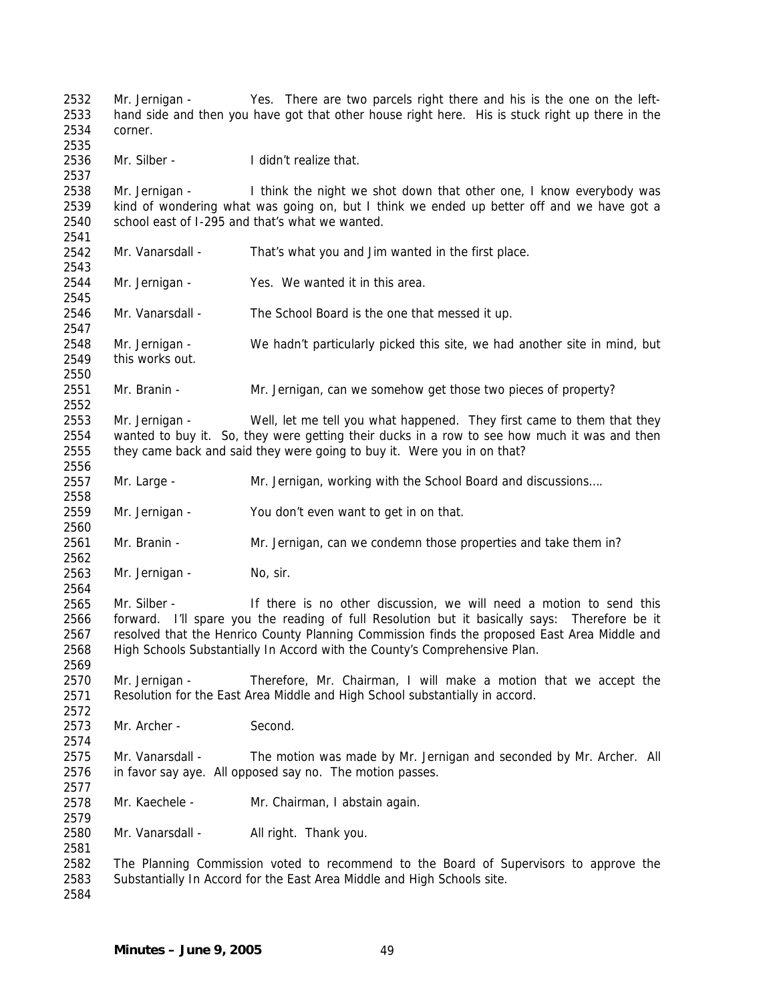Mr. Jernigan - Yes. There are two parcels right there and his is the one on the lefthand side and then you have got that other house right here. His is stuck right up there in the corner. Mr. Silber - I didn't realize that. Mr. Jernigan - I think the night we shot down that other one, I know everybody was kind of wondering what was going on, but I think we ended up better off and we have got a school east of I-295 and that's what we wanted. Mr. Vanarsdall - That's what you and Jim wanted in the first place. Mr. Jernigan - Yes. We wanted it in this area. Mr. Vanarsdall - The School Board is the one that messed it up. Mr. Jernigan - We hadn't particularly picked this site, we had another site in mind, but this works out. Mr. Branin - Mr. Jernigan, can we somehow get those two pieces of property? Mr. Jernigan - Well, let me tell you what happened. They first came to them that they wanted to buy it. So, they were getting their ducks in a row to see how much it was and then they came back and said they were going to buy it. Were you in on that? Mr. Large - Mr. Jernigan, working with the School Board and discussions…. Mr. Jernigan - You don't even want to get in on that. Mr. Branin - Mr. Jernigan, can we condemn those properties and take them in? Mr. Jernigan - No, sir. Mr. Silber - If there is no other discussion, we will need a motion to send this forward. I'll spare you the reading of full Resolution but it basically says: Therefore be it resolved that the Henrico County Planning Commission finds the proposed East Area Middle and High Schools Substantially In Accord with the County's Comprehensive Plan. Mr. Jernigan - Therefore, Mr. Chairman, I will make a motion that we accept the Resolution for the East Area Middle and High School substantially in accord. Mr. Archer - Second. Mr. Vanarsdall - The motion was made by Mr. Jernigan and seconded by Mr. Archer. All in favor say aye. All opposed say no. The motion passes. Mr. Kaechele - Mr. Chairman, I abstain again. Mr. Vanarsdall - All right. Thank you. The Planning Commission voted to recommend to the Board of Supervisors to approve the Substantially In Accord for the East Area Middle and High Schools site.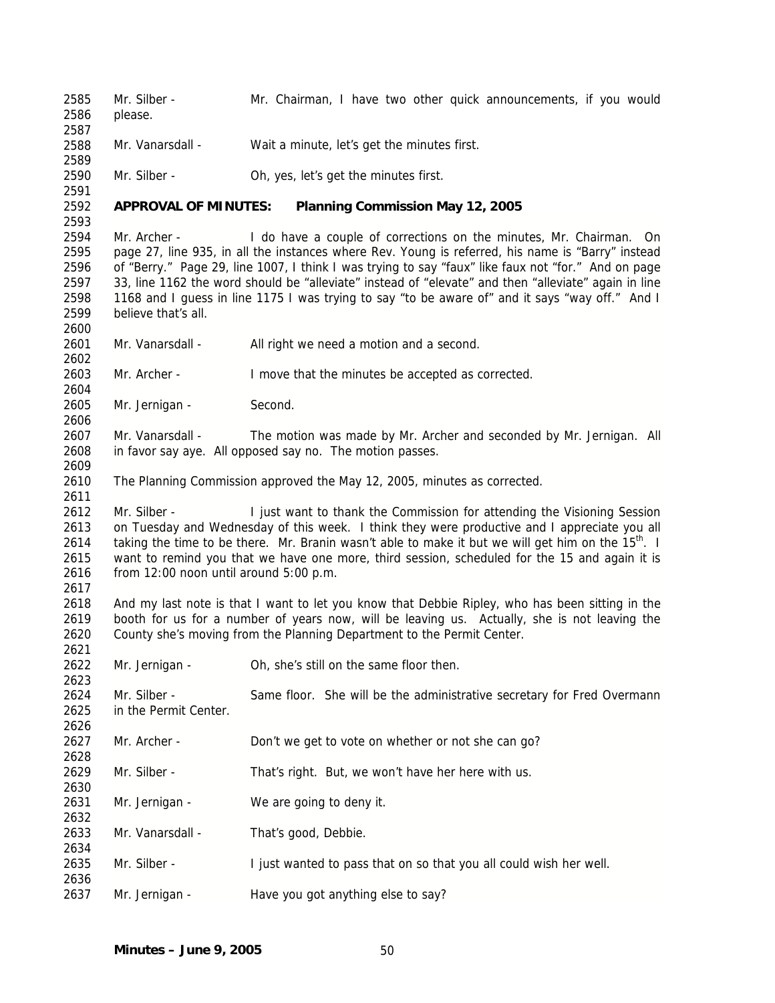2585 2586 2587 2588 2589 2590 2591 2592 Mr. Silber - Mr. Chairman, I have two other quick announcements, if you would please. Mr. Vanarsdall - Wait a minute, let's get the minutes first. Mr. Silber - Oh, yes, let's get the minutes first. **APPROVAL OF MINUTES: Planning Commission May 12, 2005**  2593 2594 Mr. Archer - I do have a couple of corrections on the minutes, Mr. Chairman. On 2595 page 27, line 935, in all the instances where Rev. Young is referred, his name is "Barry" instead 2596 of "Berry." Page 29, line 1007, I think I was trying to say "faux" like faux not "for." And on page 2597 33, line 1162 the word should be "alleviate" instead of "elevate" and then "alleviate" again in line 2598 1168 and I guess in line 1175 I was trying to say "to be aware of" and it says "way off." And I 2599 believe that's all. 2600 2601 Mr. Vanarsdall - All right we need a motion and a second. 2602 2603 Mr. Archer - I move that the minutes be accepted as corrected. 2604 2605 Mr. Jernigan - Second. 2606 2607 Mr. Vanarsdall - The motion was made by Mr. Archer and seconded by Mr. Jernigan. All 2608 in favor say aye. All opposed say no. The motion passes. 2609 2610 The Planning Commission approved the May 12, 2005, minutes as corrected. 2611 2612 Mr. Silber - I just want to thank the Commission for attending the Visioning Session 2613 on Tuesday and Wednesday of this week. I think they were productive and I appreciate you all 2614 taking the time to be there. Mr. Branin wasn't able to make it but we will get him on the  $15<sup>th</sup>$ . I 2615 want to remind you that we have one more, third session, scheduled for the 15 and again it is 2616 from 12:00 noon until around 5:00 p.m. 2617 2618 And my last note is that I want to let you know that Debbie Ripley, who has been sitting in the 2619 booth for us for a number of years now, will be leaving us. Actually, she is not leaving the 2620 County she's moving from the Planning Department to the Permit Center. 2621 2622 Mr. Jernigan - Oh, she's still on the same floor then. 2623 2624 Mr. Silber - Same floor. She will be the administrative secretary for Fred Overmann 2625 in the Permit Center. 2626 2627 Mr. Archer - Don't we get to vote on whether or not she can go? 2628 2629 Mr. Silber - That's right. But, we won't have her here with us. 2630 2631 Mr. Jernigan - We are going to deny it. 2632 2633 Mr. Vanarsdall - That's good, Debbie. 2634 2635 Mr. Silber - I just wanted to pass that on so that you all could wish her well. 2636 2637 Mr. Jernigan - Have you got anything else to say?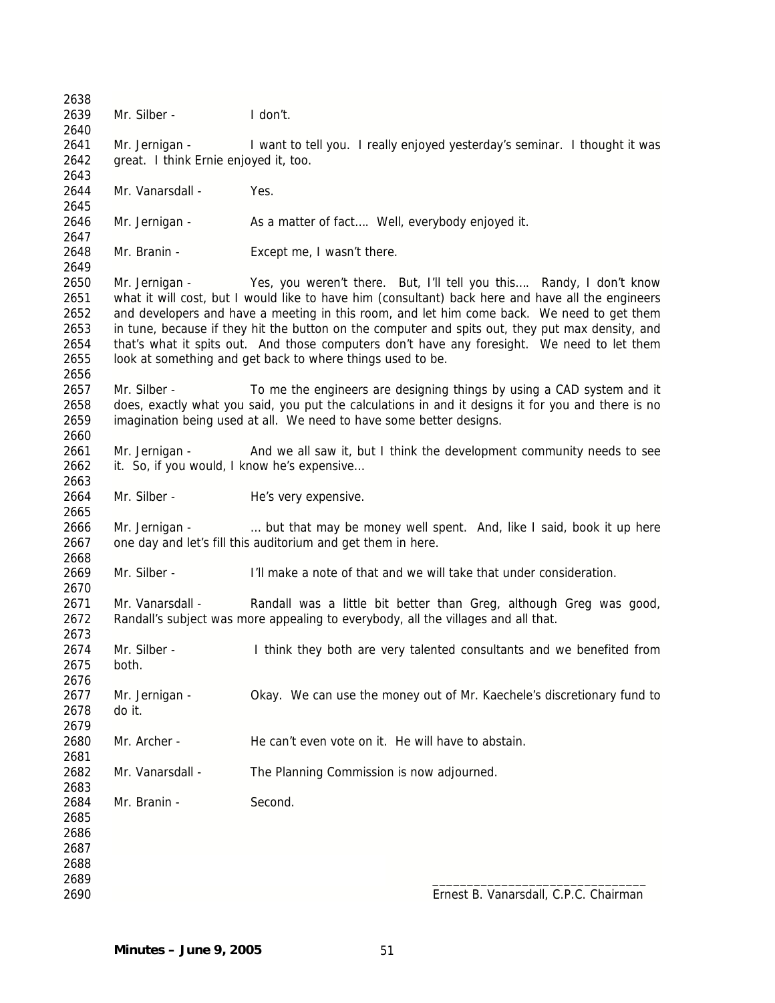2638 2639 Mr. Silber - I don't. 2640 2641 Mr. Jernigan - I want to tell you. I really enjoyed yesterday's seminar. I thought it was 2642 great. I think Ernie enjoyed it, too. 2643 2644 Mr. Vanarsdall - Yes. 2645 2646 Mr. Jernigan - As a matter of fact.... Well, everybody enjoyed it. 2647 2648 Mr. Branin - Except me, I wasn't there. 2649 2650 Mr. Jernigan - Yes, you weren't there. But, I'll tell you this…. Randy, I don't know 2651 what it will cost, but I would like to have him (consultant) back here and have all the engineers 2652 and developers and have a meeting in this room, and let him come back. We need to get them 2653 in tune, because if they hit the button on the computer and spits out, they put max density, and 2654 that's what it spits out. And those computers don't have any foresight. We need to let them 2655 look at something and get back to where things used to be. 2656 2657 Mr. Silber - To me the engineers are designing things by using a CAD system and it 2658 does, exactly what you said, you put the calculations in and it designs it for you and there is no 2659 imagination being used at all. We need to have some better designs. 2660 2661 Mr. Jernigan - And we all saw it, but I think the development community needs to see 2662 it. So, if you would, I know he's expensive… 2663 2664 Mr. Silber - He's very expensive. 2665 2666 Mr. Jernigan - … but that may be money well spent. And, like I said, book it up here 2667 one day and let's fill this auditorium and get them in here. 2668 2669 Mr. Silber - I'll make a note of that and we will take that under consideration. 2670 2671 Mr. Vanarsdall - Randall was a little bit better than Greg, although Greg was good, 2672 Randall's subject was more appealing to everybody, all the villages and all that. 2673 2674 Mr. Silber - I think they both are very talented consultants and we benefited from 2675 both. 2676 2677 Mr. Jernigan - Okay. We can use the money out of Mr. Kaechele's discretionary fund to 2678 do it. 2679 2680 Mr. Archer - He can't even vote on it. He will have to abstain. 2681 2682 Mr. Vanarsdall - The Planning Commission is now adjourned. 2683 2684 Mr. Branin - Second. 2685 2686 2687 2688 2689 \_\_\_\_\_\_\_\_\_\_\_\_\_\_\_\_\_\_\_\_\_\_\_\_\_\_\_\_\_\_\_ 2690 Ernest B. Vanarsdall, C.P.C. Chairman